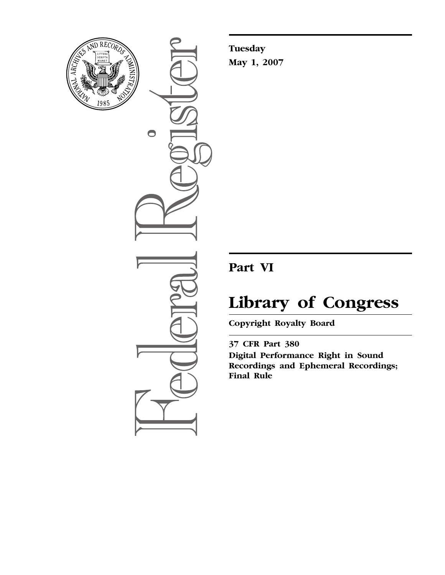

 $\bullet$ 

**Tuesday May 1, 2007** 

## **Part VI**

# **Library of Congress**

**Copyright Royalty Board** 

**37 CFR Part 380 Digital Performance Right in Sound Recordings and Ephemeral Recordings; Final Rule**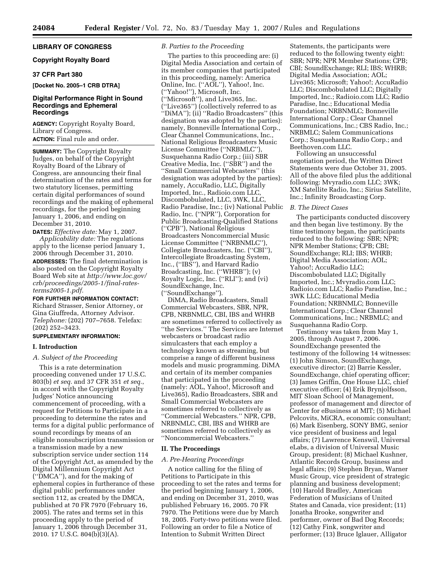#### **LIBRARY OF CONGRESS**

#### **Copyright Royalty Board**

#### **37 CFR Part 380**

#### **[Docket No. 2005–1 CRB DTRA]**

#### **Digital Performance Right in Sound Recordings and Ephemeral Recordings**

**AGENCY:** Copyright Royalty Board, Library of Congress. **ACTION:** Final rule and order.

**SUMMARY:** The Copyright Royalty Judges, on behalf of the Copyright Royalty Board of the Library of Congress, are announcing their final determination of the rates and terms for two statutory licenses, permitting certain digital performances of sound recordings and the making of ephemeral recordings, for the period beginning January 1, 2006, and ending on December 31, 2010.

**DATES:** *Effective date:* May 1, 2007. *Applicability date:* The regulations apply to the license period January 1,

2006 through December 31, 2010. **ADDRESSES:** The final determination is also posted on the Copyright Royalty Board Web site at *http://www.loc.gov/ [crb/proceedings/2005-1/final-rates](http://www.loc.gov/crb/proceedings/2005-1/final-rates-terms2005-1.pdf)terms2005-1.pdf.* 

#### **FOR FURTHER INFORMATION CONTACT:**

Richard Strasser, Senior Attorney, or Gina Giuffreda, Attorney Advisor. *Telephone:* (202) 707–7658. Telefax: (202) 252–3423.

#### **SUPPLEMENTARY INFORMATION:**

#### **I. Introduction**

#### *A. Subject of the Proceeding*

This is a rate determination proceeding convened under 17 U.S.C. 803(b) *et seq.* and 37 CFR 351 *et seq.*, in accord with the Copyright Royalty Judges' Notice announcing commencement of proceeding, with a request for Petitions to Participate in a proceeding to determine the rates and terms for a digital public performance of sound recordings by means of an eligible nonsubscription transmission or a transmission made by a new subscription service under section 114 of the Copyright Act, as amended by the Digital Millennium Copyright Act (''DMCA''), and for the making of ephemeral copies in furtherance of these digital public performances under section 112, as created by the DMCA, published at 70 FR 7970 (February 16, 2005). The rates and terms set in this proceeding apply to the period of January 1, 2006 through December 31, 2010. 17 U.S.C. 804(b)(3)(A).

#### *B. Parties to the Proceeding*

The parties to this proceeding are: (i) Digital Media Association and certain of its member companies that participated in this proceeding, namely: America Online, Inc. (''AOL''), Yahoo!, Inc. (''Yahoo!''), Microsoft, Inc. (''Microsoft''), and Live365, Inc. (''Live365'') (collectively referred to as ''DiMA''); (ii) ''Radio Broadcasters'' (this designation was adopted by the parties): namely, Bonneville International Corp., Clear Channel Communications, Inc., National Religious Broadcasters Music License Committee (''NRBMLC''), Susquehanna Radio Corp.; (iii) SBR Creative Media, Inc. (''SBR'') and the ''Small Commercial Webcasters'' (this designation was adopted by the parties): namely, AccuRadio, LLC, Digitally Imported, Inc., Radioio.com LLC, Discombobulated, LLC, 3WK, LLC, Radio Paradise, Inc.; (iv) National Public Radio, Inc. (''NPR''), Corporation for Public Broadcasting-Qualified Stations (''CPB''), National Religious Broadcasters Noncommercial Music License Committee (''NRBNMLC''), Collegiate Broadcasters, Inc. (''CBI''), Intercollegiate Broadcasting System, Inc., (''IBS''), and Harvard Radio Broadcasting, Inc. (''WHRB''); (v) Royalty Logic, Inc. (''RLI''); and (vi) SoundExchange, Inc. (''SoundExchange'').

DiMA, Radio Broadcasters, Small Commercial Webcasters, SBR, NPR, CPB, NRBNMLC, CBI, IBS and WHRB are sometimes referred to collectively as ''the Services.'' The Services are Internet webcasters or broadcast radio simulcasters that each employ a technology known as streaming, but comprise a range of different business models and music programming. DiMA and certain of its member companies that participated in the proceeding (namely: AOL, Yahoo!, Microsoft and Live365), Radio Broadcasters, SBR and Small Commercial Webcasters are sometimes referred to collectively as ''Commercial Webcasters.'' NPR, CPB, NRBNMLC, CBI, IBS and WHRB are sometimes referred to collectively as ''Noncommercial Webcasters.''

#### **II. The Proceedings**

#### *A. Pre-Hearing Proceedings*

A notice calling for the filing of Petitions to Participate in this proceeding to set the rates and terms for the period beginning January 1, 2006, and ending on December 31, 2010, was published February 16, 2005. 70 FR 7970. The Petitions were due by March 18, 2005. Forty-two petitions were filed. Following an order to file a Notice of Intention to Submit Written Direct

Statements, the participants were reduced to the following twenty eight: SBR; NPR; NPR Member Stations; CPB; CBI; SoundExchange; RLI; IBS; WHRB; Digital Media Association; AOL; Live365; Microsoft; Yahoo!; AccuRadio LLC; Discombobulated LLC; Digitally Imported, Inc.; Radioio.com LLC; Radio Paradise, Inc.; Educational Media Foundation; NRBNMLC; Bonneville International Corp.; Clear Channel Communications, Inc.; CBS Radio, Inc.; NRBMLC; Salem Communications Corp.; Susquehanna Radio Corp.; and Beethoven.com LLC.

Following an unsuccessful negotiation period, the Written Direct Statements were due October 31, 2005. All of the above filed plus the additional following: Mvyradio.com LLC; 3WK; XM Satellite Radio, Inc.; Sirius Satellite, Inc.; Infinity Broadcasting Corp.

#### *B. The Direct Cases*

The participants conducted discovery and then began live testimony. By the time testimony began, the participants reduced to the following: SBR; NPR; NPR Member Stations; CPB; CBI; SoundExchange; RLI; IBS; WHRB; Digital Media Association; AOL; Yahoo!; AccuRadio LLC; Discombobulated LLC; Digitally Imported, Inc.; Mvyradio.com LLC; Radioio.com LLC; Radio Paradise, Inc.; 3WK LLC; Educational Media Foundation; NRBNMLC; Bonneville International Corp.; Clear Channel Communications, Inc.; NRBMLC; and Susquehanna Radio Corp.

Testimony was taken from May 1, 2005, through August 7, 2006. SoundExchange presented the testimony of the following 14 witnesses: (1) John Simson, SoundExchange, executive director; (2) Barrie Kessler, SoundExchange, chief operating officer; (3) James Griffin, One House LLC, chief executive officer; (4) Erik Brynjolfsson, MIT Sloan School of Management, professor of management and director of Center for eBusiness at MIT; (5) Michael Pelcovits, MiCRA, economic consultant; (6) Mark Eisenberg, SONY BMG, senior vice president of business and legal affairs; (7) Lawrence Kenswil, Universal eLabs, a division of Universal Music Group, president; (8) Michael Kushner, Atlantic Records Group, business and legal affairs; (9) Stephen Bryan, Warner Music Group, vice president of strategic planning and business development; (10) Harold Bradley, American Federation of Musicians of United States and Canada, vice president; (11) Jonatha Brooke, songwriter and performer, owner of Bad Dog Records; (12) Cathy Fink, songwriter and performer; (13) Bruce Iglauer, Alligator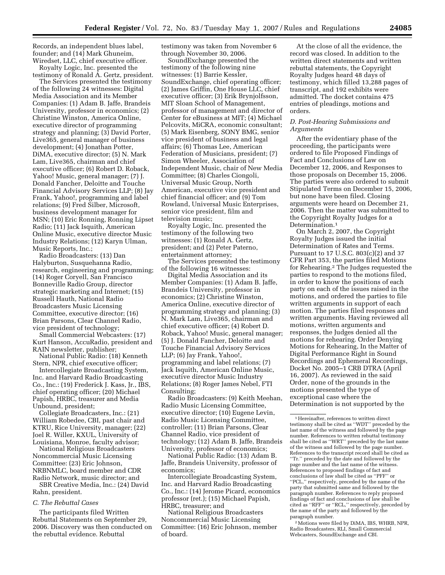Records, an independent blues label, founder; and (14) Mark Ghuneim, Wiredset, LLC, chief executive officer.

Royalty Logic, Inc. presented the testimony of Ronald A. Gertz, president.

The Services presented the testimony of the following 24 witnesses: Digital Media Association and its Member Companies: (1) Adam B. Jaffe, Brandeis University, professor in economics; (2) Christine Winston, America Online, executive director of programming strategy and planning; (3) David Porter, Live365, general manager of business development; (4) Jonathan Potter, DiMA, executive director; (5) N. Mark Lam, Live365, chairman and chief executive officer; (6) Robert D. Roback, Yahoo! Music, general manager; (7) J. Donald Fancher, Deloitte and Touche Financial Advisory Services LLP; (8) Jay Frank, Yahoo!, programming and label relations; (9) Fred Silber, Microsoft, business development manager for MSN; (10) Eric Ronning, Ronning Lipset Radio; (11) Jack Isquith, American Online Music, executive director Music Industry Relations; (12) Karyn Ulman, Music Reports, Inc.;

Radio Broadcasters: (13) Dan Halyburton, Susquehanna Radio, research, engineering and programming; (14) Roger Coryell, San Francisco Bonneville Radio Group, director strategic marketing and Internet; (15) Russell Hauth, National Radio Broadcasters Music Licensing Committee, executive director; (16) Brian Parsons, Clear Channel Radio, vice president of technology;

Small Commercial Webcasters: (17) Kurt Hanson, AccuRadio, president and RAIN newsletter, publisher;

National Public Radio: (18) Kenneth Stern, NPR, chief executive officer;

Intercollegiate Broadcasting System, Inc. and Harvard Radio Broadcasting Co., Inc.: (19) Frederick J. Kass, Jr., IBS, chief operating officer; (20) Michael Papish, HRBC, treasurer and Media Unbound, president;

Collegiate Broadcasters, Inc.: (21) William Robedee, CBI, past chair and KTRU, Rice University, manager; (22) Joel R. Willer, KXUL, University of Louisiana, Monroe, faculty advisor;

National Religious Broadcasters Noncommercial Music Licensing Committee: (23) Eric Johnson, NRBNMLC, board member and CDR Radio Network, music director; and

SBR Creative Media, Inc.: (24) David Rahn, president.

#### *C. The Rebuttal Cases*

The participants filed Written Rebuttal Statements on September 29, 2006. Discovery was then conducted on the rebuttal evidence. Rebuttal

testimony was taken from November 6 through November 30, 2006.

SoundExchange presented the testimony of the following nine witnesses: (1) Barrie Kessler, SoundExchange, chief operating officer; (2) James Griffin, One House LLC, chief executive officer; (3) Erik Brynjolfsson, MIT Sloan School of Management, professor of management and director of Center for eBusiness at MIT; (4) Michael Pelcovits, MiCRA, economic consultant; (5) Mark Eisenberg, SONY BMG, senior vice president of business and legal affairs; (6) Thomas Lee, American Federation of Musicians, president; (7) Simon Wheeler, Association of Independent Music, chair of New Media Committee; (8) Charles Ciongoli, Universal Music Group, North American, executive vice president and chief financial officer; and (9) Tom Rowland, Universal Music Enterprises, senior vice president, film and television music;

Royalty Logic, Inc. presented the testimony of the following two witnesses: (1) Ronald A. Gertz, president; and (2) Peter Paterno, entertainment attorney;

The Services presented the testimony of the following 16 witnesses:

Digital Media Association and its Member Companies: (1) Adam B. Jaffe, Brandeis University, professor in economics; (2) Christine Winston, America Online, executive director of programming strategy and planning; (3) N. Mark Lam, Live365, chairman and chief executive officer; (4) Robert D. Roback, Yahoo! Music, general manager; (5) J. Donald Fancher, Deloitte and Touche Financial Advisory Services LLP; (6) Jay Frank, Yahoo!, programming and label relations; (7) Jack Isquith, American Online Music, executive director Music Industry Relations; (8) Roger James Nebel, FTI Consulting;

Radio Broadcasters: (9) Keith Meehan, Radio Music Licensing Committee, executive director; (10) Eugene Levin, Radio Music Licensing Committee, controller; (11) Brian Parsons, Clear Channel Radio, vice president of technology; (12) Adam B. Jaffe, Brandeis University, professor of economics;

National Public Radio: (13) Adam B. Jaffe, Brandeis University, professor of economics;

Intercollegiate Broadcasting System, Inc. and Harvard Radio Broadcasting Co., Inc.: (14) Jerome Picard, economics professor (ret.); (15) Michael Papish, HRBC, treasurer; and

National Religious Broadcasters Noncommercial Music Licensing Committee: (16) Eric Johnson, member of board.

At the close of all the evidence, the record was closed. In addition to the written direct statements and written rebuttal statements, the Copyright Royalty Judges heard 48 days of testimony, which filled 13,288 pages of transcript, and 192 exhibits were admitted. The docket contains 475 entries of pleadings, motions and orders.

#### *D. Post-Hearing Submissions and Arguments*

After the evidentiary phase of the proceeding, the participants were ordered to file Proposed Findings of Fact and Conclusions of Law on December 12, 2006, and Responses to those proposals on December 15, 2006. The parties were also ordered to submit Stipulated Terms on December 15, 2006, but none have been filed. Closing arguments were heard on December 21, 2006. Then the matter was submitted to the Copyright Royalty Judges for a Determination.<sup>1</sup>

On March 2, 2007, the Copyright Royalty Judges issued the initial Determination of Rates and Terms. Pursuant to 17 U.S.C. 803(c)(2) and 37 CFR Part 353, the parties filed Motions for Rehearing.2 The Judges requested the parties to respond to the motions filed, in order to know the positions of each party on each of the issues raised in the motions, and ordered the parties to file written arguments in support of each motion. The parties filed responses and written arguments. Having reviewed all motions, written arguments and responses, the Judges denied all the motions for rehearing. Order Denying Motions for Rehearing, In the Matter of Digital Performance Right in Sound Recordings and Ephemeral Recordings, Docket No. 2005–1 CRB DTRA (April 16, 2007). As reviewed in the said Order, none of the grounds in the motions presented the type of exceptional case where the Determination is not supported by the

<sup>2</sup> Motions were filed by DiMA, IBS, WHRB, NPR, Radio Broadcasters, RLI, Small Commercial Webcasters, SoundExchange and CBI.

 $^{\rm 1}$  Hereinafter, references to written direct testimony shall be cited as ''WDT'' preceded by the last name of the witness and followed by the page number. References to written rebuttal testimony shall be cited as ''WRT'' preceded by the last name of the witness and followed by the page number. References to the transcript record shall be cited as ''Tr.'' preceded by the date and followed by the page number and the last name of the witness. References to proposed findings of fact and conclusions of law shall be cited as ''PFF'' or ''PCL,'' respectively, preceded by the name of the party that submitted same and followed by the paragraph number. References to reply proposed findings of fact and conclusions of law shall be cited as ''RFF'' or ''RCL,'' respectively, preceded by the name of the party and followed by the paragraph number.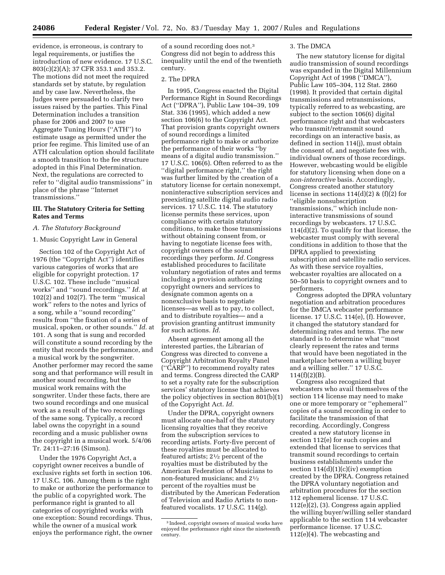evidence, is erroneous, is contrary to legal requirements, or justifies the introduction of new evidence. 17 U.S.C. 803(c)(2)(A); 37 CFR 353.1 and 353.2. The motions did not meet the required standards set by statute, by regulation and by case law. Nevertheless, the Judges were persuaded to clarify two issues raised by the parties. This Final Determination includes a transition phase for 2006 and 2007 to use Aggregate Tuning Hours (''ATH'') to estimate usage as permitted under the prior fee regime. This limited use of an ATH calculation option should facilitate a smooth transition to the fee structure adopted in this Final Determination. Next, the regulations are corrected to refer to ''digital audio transmissions'' in place of the phrase ''Internet transmissions.''

#### **III. The Statutory Criteria for Setting Rates and Terms**

#### *A. The Statutory Background*

#### 1. Music Copyright Law in General

Section 102 of the Copyright Act of 1976 (the ''Copyright Act'') identifies various categories of works that are eligible for copyright protection. 17 U.S.C. 102. These include ''musical works'' and ''sound recordings.'' *Id.* at 102(2) and 102(7). The term ''musical work'' refers to the notes and lyrics of a song, while a ''sound recording'' results from ''the fixation of a series of musical, spoken, or other sounds.'' *Id.* at 101. A song that is sung and recorded will constitute a sound recording by the entity that records the performance, and a musical work by the songwriter. Another performer may record the same song and that performance will result in another sound recording, but the musical work remains with the songwriter. Under these facts, there are two sound recordings and one musical work as a result of the two recordings of the same song. Typically, a record label owns the copyright in a sound recording and a music publisher owns the copyright in a musical work. 5/4/06 Tr. 24:11–27:16 (Simson).

Under the 1976 Copyright Act, a copyright owner receives a bundle of exclusive rights set forth in section 106. 17 U.S.C. 106. Among them is the right to make or authorize the performance to the public of a copyrighted work. The performance right is granted to all categories of copyrighted works with one exception: Sound recordings. Thus, while the owner of a musical work enjoys the performance right, the owner

of a sound recording does not.3 Congress did not begin to address this inequality until the end of the twentieth century.

#### 2. The DPRA

In 1995, Congress enacted the Digital Performance Right in Sound Recordings Act (''DPRA''), Public Law 104–39, 109 Stat. 336 (1995), which added a new section 106(6) to the Copyright Act. That provision grants copyright owners of sound recordings a limited performance right to make or authorize the performance of their works ''by means of a digital audio transmission.'' 17 U.S.C. 106(6). Often referred to as the ''digital performance right,'' the right was further limited by the creation of a statutory license for certain nonexempt, noninteractive subscription services and preexisting satellite digital audio radio services. 17 U.S.C. 114. The statutory license permits these services, upon compliance with certain statutory conditions, to make those transmissions without obtaining consent from, or having to negotiate license fees with, copyright owners of the sound recordings they perform. *Id.* Congress established procedures to facilitate voluntary negotiation of rates and terms including a provision authorizing copyright owners and services to designate common agents on a nonexclusive basis to negotiate licenses—as well as to pay, to collect, and to distribute royalties— and a provision granting antitrust immunity for such actions. *Id.* 

Absent agreement among all the interested parties, the Librarian of Congress was directed to convene a Copyright Arbitration Royalty Panel (''CARP'') to recommend royalty rates and terms. Congress directed the CARP to set a royalty rate for the subscription services' statutory license that achieves the policy objectives in section 801(b)(1) of the Copyright Act. *Id.* 

Under the DPRA, copyright owners must allocate one-half of the statutory licensing royalties that they receive from the subscription services to recording artists. Forty-five percent of these royalties must be allocated to featured artists; 21⁄2 percent of the royalties must be distributed by the American Federation of Musicians to non-featured musicians; and 21⁄2 percent of the royalties must be distributed by the American Federation of Television and Radio Artists to nonfeatured vocalists. 17 U.S.C. 114(g).

#### 3. The DMCA

The new statutory license for digital audio transmission of sound recordings was expanded in the Digital Millennium Copyright Act of 1998 (''DMCA''), Public Law 105–304, 112 Stat. 2860 (1998). It provided that certain digital transmissions and retransmissions, typically referred to as webcasting, are subject to the section 106(6) digital performance right and that webcasters who transmit/retransmit sound recordings on an interactive basis, as defined in section 114(j), must obtain the consent of, and negotiate fees with, individual owners of those recordings. However, webcasting would be eligible for statutory licensing when done on a *non-interactive* basis. Accordingly, Congress created another statutory license in sections  $114(d)(2)$  &  $(f)(2)$  for ''eligible nonsubscription transmissions,'' which include noninteractive transmissions of sound recordings by webcasters. 17 U.S.C. 114(d)(2). To qualify for that license, the webcaster must comply with several conditions in addition to those that the DPRA applied to preexisting subscription and satellite radio services. As with these service royalties, webcaster royalties are allocated on a 50–50 basis to copyright owners and to performers.

Congress adopted the DPRA voluntary negotiation and arbitration procedures for the DMCA webcaster performance license. 17 U.S.C. 114(e), (f). However, it changed the statutory standard for determining rates and terms. The new standard is to determine what ''most clearly represent the rates and terms that would have been negotiated in the marketplace between a willing buyer and a willing seller.'' 17 U.S.C. 114(f)(2)(B).

Congress also recognized that webcasters who avail themselves of the section 114 license may need to make one or more temporary or ''ephemeral'' copies of a sound recording in order to facilitate the transmission of that recording. Accordingly, Congress created a new statutory license in section 112(e) for such copies and extended that license to services that transmit sound recordings to certain business establishments under the section  $114(d)(1)(c)(iv)$  exemption created by the DPRA. Congress retained the DPRA voluntary negotiation and arbitration procedures for the section 112 ephemeral license. 17 U.S.C. 112(e)(2), (3). Congress again applied the willing buyer/willing seller standard applicable to the section 114 webcaster performance license. 17 U.S.C. 112(e)(4). The webcasting and

<sup>3</sup> Indeed, copyright owners of musical works have enjoyed the performance right since the nineteenth century.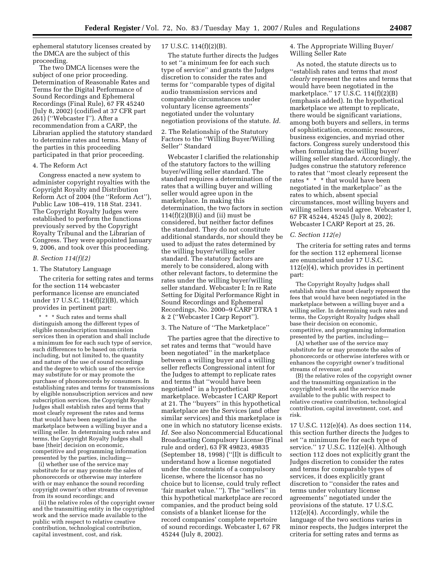ephemeral statutory licenses created by the DMCA are the subject of this proceeding.

The two DMCA licenses were the subject of one prior proceeding. Determination of Reasonable Rates and Terms for the Digital Performance of Sound Recordings and Ephemeral Recordings (Final Rule), 67 FR 45240 (July 8, 2002) (codified at 37 CFR part 261) (''Webcaster I''). After a recommendation from a CARP, the Librarian applied the statutory standard to determine rates and terms. Many of the parties in this proceeding participated in that prior proceeding.

#### 4. The Reform Act

Congress enacted a new system to administer copyright royalties with the Copyright Royalty and Distribution Reform Act of 2004 (the ''Reform Act''), Public Law 108–419, 118 Stat. 2341. The Copyright Royalty Judges were established to perform the functions previously served by the Copyright Royalty Tribunal and the Librarian of Congress. They were appointed January 9, 2006, and took over this proceeding.

#### *B. Section 114(f)(2)*

#### 1. The Statutory Language

The criteria for setting rates and terms for the section 114 webcaster performance license are enunciated under 17 U.S.C. 114(f)(2)(B), which provides in pertinent part:

\* \* \* Such rates and terms shall distinguish among the different types of eligible nonsubscription transmission services then in operation and shall include a minimum fee for each such type of service, such differences to be based on criteria including, but not limited to, the quantity and nature of the use of sound recordings and the degree to which use of the service may substitute for or may promote the purchase of phonorecords by consumers. In establishing rates and terms for transmissions by eligible nonsubscription services and new subscription services, the Copyright Royalty Judges shall establish rates and terms that most clearly represent the rates and terms that would have been negotiated in the marketplace between a willing buyer and a willing seller. In determining such rates and terms, the Copyright Royalty Judges shall base [their] decision on economic, competitive and programming information presented by the parties, including—

(i) whether use of the service may substitute for or may promote the sales of phonorecords or otherwise may interfere with or may enhance the sound recording copyright owner's other streams of revenue from its sound recordings; and

(ii) the relative roles of the copyright owner and the transmitting entity in the copyrighted work and the service made available to the public with respect to relative creative contribution, technological contribution, capital investment, cost, and risk.

#### 17 U.S.C. 114(f)(2)(B).

The statute further directs the Judges to set ''a minimum fee for each such type of service'' and grants the Judges discretion to consider the rates and terms for ''comparable types of digital audio transmission services and comparable circumstances under voluntary license agreements'' negotiated under the voluntary negotiation provisions of the statute. *Id.* 

2. The Relationship of the Statutory Factors to the ''Willing Buyer/Willing Seller'' Standard

Webcaster I clarified the relationship of the statutory factors to the willing buyer/willing seller standard. The standard requires a determination of the rates that a willing buyer and willing seller would agree upon in the marketplace. In making this determination, the two factors in section  $114(f)(2)(B)(i)$  and (ii) must be considered, but neither factor defines the standard. They do not constitute additional standards, nor should they be used to adjust the rates determined by the willing buyer/willing seller standard. The statutory factors are merely to be considered, along with other relevant factors, to determine the rates under the willing buyer/willing seller standard. Webcaster I; In re Rate Setting for Digital Performance Right in Sound Recordings and Ephemeral Recordings, No. 2000–9 CARP DTRA 1 & 2 (''Webcaster I Carp Report'').

#### 3. The Nature of ''The Marketplace''

The parties agree that the directive to set rates and terms that ''would have been negotiated'' in the marketplace between a willing buyer and a willing seller reflects Congressional intent for the Judges to attempt to replicate rates and terms that ''would have been negotiated'' in a hypothetical marketplace. Webcaster I CARP Report at 21. The ''buyers'' in this hypothetical marketplace are the Services (and other similar services) and this marketplace is one in which no statutory license exists. *Id.* See also Noncommercial Educational Broadcasting Compulsory License (Final rule and order), 63 FR 49823, 49835 (September 18, 1998) (''[I]t is difficult to understand how a license negotiated under the constraints of a compulsory license, where the licensor has no choice but to license, could truly reflect 'fair market value.' ''). The ''sellers'' in this hypothetical marketplace are record companies, and the product being sold consists of a blanket license for the record companies' complete repertoire of sound recordings. Webcaster I, 67 FR 45244 (July 8, 2002).

4. The Appropriate Willing Buyer/ Willing Seller Rate

As noted, the statute directs us to ''establish rates and terms that *most clearly* represent the rates and terms that would have been negotiated in the marketplace.'' 17 U.S.C. 114(f)(2)(B) (emphasis added). In the hypothetical marketplace we attempt to replicate, there would be significant variations, among both buyers and sellers, in terms of sophistication, economic resources, business exigencies, and myriad other factors. Congress surely understood this when formulating the willing buyer/ willing seller standard. Accordingly, the Judges construe the statutory reference to rates that ''most clearly represent the rates \* \* \* that would have been negotiated in the marketplace'' as the rates to which, absent special circumstances, most willing buyers and willing sellers would agree. Webcaster I, 67 FR 45244, 45245 (July 8, 2002); Webcaster I CARP Report at 25, 26.

#### *C. Section 112(e)*

The criteria for setting rates and terms for the section 112 ephemeral license are enunciated under 17 U.S.C. 112(e)(4), which provides in pertinent part:

The Copyright Royalty Judges shall establish rates that most clearly represent the fees that would have been negotiated in the marketplace between a willing buyer and a willing seller. In determining such rates and terms, the Copyright Royalty Judges shall base their decision on economic, competitive, and programming information presented by the parties, including—

(A) whether use of the service may substitute for or may promote the sales of phonorecords or otherwise interferes with or enhances the copyright owner's traditional streams of revenue; and

(B) the relative roles of the copyright owner and the transmitting organization in the copyrighted work and the service made available to the public with respect to relative creative contribution, technological contribution, capital investment, cost, and risk.

17 U.S.C. 112(e)(4). As does section 114, this section further directs the Judges to set ''a minimum fee for each type of service.'' 17 U.S.C. 112(e)(4). Although section 112 does not explicitly grant the Judges discretion to consider the rates and terms for comparable types of services, it does explicitly grant discretion to ''consider the rates and terms under voluntary license agreements'' negotiated under the provisions of the statute. 17 U.S.C. 112(e)(4). Accordingly, while the language of the two sections varies in minor respects, the Judges interpret the criteria for setting rates and terms as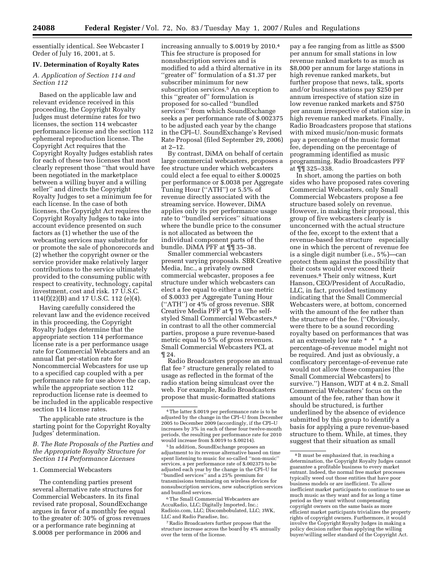essentially identical. See Webcaster I Order of July 16, 2001, at 5.

#### **IV. Determination of Royalty Rates**

#### *A. Application of Section 114 and Section 112*

Based on the applicable law and relevant evidence received in this proceeding, the Copyright Royalty Judges must determine rates for two licenses, the section 114 webcaster performance license and the section 112 ephemeral reproduction license. The Copyright Act requires that the Copyright Royalty Judges establish rates for each of these two licenses that most clearly represent those ''that would have been negotiated in the marketplace between a willing buyer and a willing seller'' and directs the Copyright Royalty Judges to set a minimum fee for each license. In the case of both licenses, the Copyright Act requires the Copyright Royalty Judges to take into account evidence presented on such factors as (1) whether the use of the webcasting services may substitute for or promote the sale of phonorecords and (2) whether the copyright owner or the service provider make relatively larger contributions to the service ultimately provided to the consuming public with respect to creativity, technology, capital investment, cost and risk. 17 U.S.C. 114(f)(2)(B) and 17 U.S.C. 112 (e)(4).

Having carefully considered the relevant law and the evidence received in this proceeding, the Copyright Royalty Judges determine that the appropriate section 114 performance license rate is a per performance usage rate for Commercial Webcasters and an annual flat per-station rate for Noncommercial Webcasters for use up to a specified cap coupled with a per performance rate for use above the cap, while the appropriate section 112 reproduction license rate is deemed to be included in the applicable respective section 114 license rates.

The applicable rate structure is the starting point for the Copyright Royalty Judges' determination.

*B. The Rate Proposals of the Parties and the Appropriate Royalty Structure for Section 114 Performance Licenses* 

#### 1. Commercial Webcasters

The contending parties present several alternative rate structures for Commercial Webcasters. In its final revised rate proposal, SoundExchange argues in favor of a monthly fee equal to the greater of: 30% of gross revenues or a performance rate beginning at \$.0008 per performance in 2006 and

increasing annually to \$.0019 by 2010.4 This fee structure is proposed for nonsubscription services and is modified to add a third alternative in its ''greater of'' formulation of a \$1.37 per subscriber minimum for new subscription services.<sup>5</sup> An exception to this ''greater of'' formulation is proposed for so-called ''bundled services'' from which SoundExchange seeks a per performance rate of \$.002375 to be adjusted each year by the change in the CPI–U. SoundExchange's Revised Rate Proposal (filed September 29, 2006) at 2–12.

By contrast, DiMA on behalf of certain large commercial webcasters, proposes a fee structure under which webcasters could elect a fee equal to either \$.00025 per performance or \$.0038 per Aggregate Tuning Hour (''ATH'') or 5.5% of revenue directly associated with the streaming service. However, DiMA applies only its per performance usage rate to ''bundled services'' situations where the bundle price to the consumer is not allocated as between the individual component parts of the bundle. DiMA PFF at  $\P$ <sup>q</sup> 35–38.

Smaller commercial webcasters present varying proposals. SBR Creative Media, Inc., a privately owned commercial webcaster, proposes a fee structure under which webcasters can elect a fee equal to either a use metric of \$.0033 per Aggregate Tuning Hour (''ATH'') or 4% of gross revenue. SBR Creative Media PFF at ¶ 19. The selfstyled Small Commercial Webcasters,6 in contrast to all the other commercial parties, propose a pure revenue-based metric equal to 5% of gross revenues. Small Commercial Webcasters PCL at ¶ 24.

Radio Broadcasters propose an annual flat fee 7 structure generally related to usage as reflected in the format of the radio station being simulcast over the web. For example, Radio Broadcasters propose that music-formatted stations

5 In addition, SoundExchange proposes an adjustment to its revenue alternative based on time spent listening to music for so-called ''non-music'' services, a per performance rate of \$.002375 to be adjusted each year by the change in the CPI–U for ''bundled services'' and a 25% premium for transmissions terminating on wireless devices for nonsubscription services, new subscription services and bundled services.

6The Small Commercial Webcasters are AccuRadio, LLC; Digitally Imported, Inc.; Radioio.com, LLC; Discombobulated, LLC; 3WK, LLC and Radio Paradise, Inc.

7Radio Broadcasters further propose that the structure increase across the board by 4% annually over the term of the license.

pay a fee ranging from as little as \$500 per annum for small stations in low revenue ranked markets to as much as \$8,000 per annum for large stations in high revenue ranked markets, but further propose that news, talk, sports and/or business stations pay \$250 per annum irrespective of station size in low revenue ranked markets and \$750 per annum irrespective of station size in high revenue ranked markets. Finally, Radio Broadcasters propose that stations with mixed music/non-music formats pay a percentage of the music format fee, depending on the percentage of programming identified as music programming. Radio Broadcasters PFF at ¶¶ 325–338.

In short, among the parties on both sides who have proposed rates covering Commercial Webcasters, only Small Commercial Webcasters propose a fee structure based solely on revenue. However, in making their proposal, this group of five webcasters clearly is unconcerned with the actual structure of the fee, except to the extent that a revenue-based fee structure especially one in which the percent of revenue fee is a single digit number (i.e., 5%)—can protect them against the possibility that their costs would ever exceed their revenues.8 Their only witness, Kurt Hanson, CEO/President of AccuRadio, LLC, in fact, provided testimony indicating that the Small Commercial Webcasters were, at bottom, concerned with the amount of the fee rather than the structure of the fee. (''Obviously, were there to be a sound recording royalty based on performances that was at an extremely low rate \* \* \* a percentage-of-revenue model might not be required. And just as obviously, a confiscatory percentage-of-revenue rate would not allow these companies [the Small Commercial Webcasters] to survive.'') Hanson, WDT at 4 n.2. Small Commercial Webcasters' focus on the amount of the fee, rather than how it should be structured, is further underlined by the absence of evidence submitted by this group to identify a basis for applying a pure revenue-based structure to them. While, at times, they suggest that their situation as small

<sup>4</sup>The latter \$.0019 per performance rate is to be adjusted by the change in the CPI–U from December 2005 to December 2009 (accordingly, if the CPI–U increases by 3% in each of these four twelve-month periods, the resulting per performance rate for 2010 would increase from \$.0019 to \$.00214).

 $^{\rm 8}$  It must be emphasized that, in reaching a determination, the Copyright Royalty Judges cannot guarantee a profitable business to every market entrant. Indeed, the normal free market processes typically weed out those entities that have poor business models or are inefficient. To allow inefficient market participants to continue to use as much music as they want and for as long a time period as they want without compensating copyright owners on the same basis as more efficient market participants trivializes the property rights of copyright owners. Furthermore, it would involve the Copyright Royalty Judges in making a policy decision rather than applying the willing buyer/willing seller standard of the Copyright Act.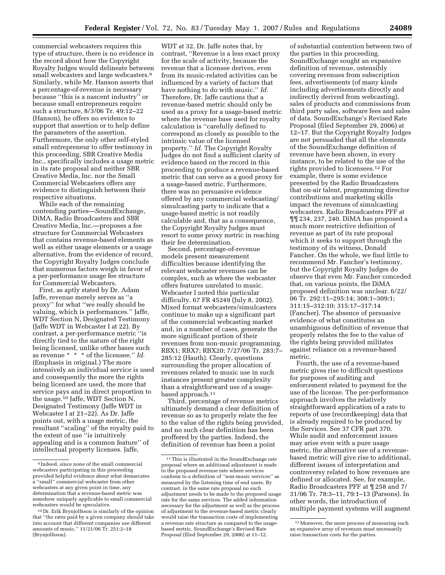commercial webcasters requires this type of structure, there is no evidence in the record about how the Copyright Royalty Judges would delineate between small webcasters and large webcasters.9 Similarly, while Mr. Hanson asserts that a percentage-of-revenue is necessary because ''this is a nascent industry'' or because small entrepreneurs require such a structure, 8/3/06 Tr. 49:12–22 (Hanson), he offers no evidence to support that assertion or to help define the parameters of the assertion. Furthermore, the only other self-styled small entrepreneur to offer testimony in this proceeding, SBR Creative Media Inc., specifically includes a usage metric in its rate proposal and neither SBR Creative Media, Inc. nor the Small Commercial Webcasters offers any evidence to distinguish between their respective situations.

While each of the remaining contending parties—SoundExchange, DiMA, Radio Broadcasters and SBR Creative Media, Inc.—proposes a fee structure for Commercial Webcasters that contains revenue-based elements as well as either usage elements or a usage alternative, from the evidence of record, the Copyright Royalty Judges conclude that numerous factors weigh in favor of a per-performance usage fee structure for Commercial Webcasters.

First, as aptly stated by Dr. Adam Jaffe, revenue merely serves as ''a proxy'' for what ''we really should be valuing, which is performances.'' Jaffe, WDT Section N, Designated Testimony (Jaffe WDT in Webcaster I at 22). By contrast, a per-performance metric ''is directly tied to the nature of the right being licensed, unlike other bases such as revenue \* \* \* of the licensee.'' *Id.*  (Emphasis in original.) The more intensively an individual service is used and consequently the more the rights being licensed are used, the more that service pays and in direct proportion to the usage.10 Jaffe, WDT Section N, Designated Testimony (Jaffe WDT in Webcaster I at 21–22). As Dr. Jaffe points out, with a usage metric, the resultant ''scaling'' of the royalty paid to the extent of use ''is intuitively appealing and is a common feature'' of intellectual property licenses. Jaffe,

WDT at 32. Dr. Jaffe notes that, by contrast, ''Revenue is a less exact proxy for the scale of activity, because the revenue that a licensee derives, even from its music-related activities can be influenced by a variety of factors that have nothing to do with music.'' *Id.*  Therefore, Dr. Jaffe cautions that a revenue-based metric should only be used as a proxy for a usage-based metric where the revenue base used for royalty calculation is ''carefully defined to correspond as closely as possible to the intrinsic value of the licensed property.'' *Id.* The Copyright Royalty Judges do not find a sufficient clarity of evidence based on the record in this proceeding to produce a revenue-based metric that can serve as a good proxy for a usage-based metric. Furthermore, there was no persuasive evidence offered by any commercial webcasting/ simulcasting party to indicate that a usage-based metric is not readily calculable and, that as a consequence, the Copyright Royalty Judges must resort to some proxy metric in reaching their fee determination.

Second, percentage-of-revenue models present measurement difficulties because identifying the relevant webcaster revenues can be complex, such as where the webcaster offers features unrelated to music. Webcaster I noted this particular difficulty. 67 FR 45249 (July 8, 2002). Mixed format webcasters/simulcasters continue to make up a significant part of the commercial webcasting market and, in a number of cases, generate the more significant portion of their revenues from non-music programming. RBX1; RBX7; RBX20; 7/27/06 Tr. 283:7– 285:12 (Hauth). Clearly, questions surrounding the proper allocation of revenues related to music use in such instances present greater complexity than a straightforward use of a usagebased approach.<sup>11</sup>

Third, percentage of revenue metrics ultimately demand a clear definition of revenue so as to properly relate the fee to the value of the rights being provided, and no such clear definition has been proffered by the parties. Indeed, the definition of revenue has been a point

of substantial contention between two of the parties in this proceeding. SoundExchange sought an expansive definition of revenue, ostensibly covering revenues from subscription fees, advertisements (of many kinds including advertisements directly and indirectly derived from webcasting), sales of products and commissions from third party sales, software fees and sales of data. SoundExchange's Revised Rate Proposal (filed September 29, 2006) at 12–17. But the Copyright Royalty Judges are not persuaded that all the elements of the SoundExchange definition of revenue have been shown, in every instance, to be related to the use of the rights provided to licensees.12 For example, there is some evidence presented by the Radio Broadcasters that on-air talent, programming director contributions and marketing skills impact the revenues of simulcasting webcasters. Radio Broadcasters PFF at ¶¶ 234, 237, 240. DiMA has proposed a much more restrictive definition of revenue as part of its rate proposal which it seeks to support through the testimony of its witness, Donald Fancher. On the whole, we find little to recommend Mr. Fancher's testimony, but the Copyright Royalty Judges do observe that even Mr. Fancher conceded that, on various points, the DiMA proposed definition was unclear. 6/22/ 06 Tr. 292:11–295:14; 308:1–309:1; 311:15–312:10; 315:17–317:14 (Fancher). The absence of persuasive evidence of what constitutes an unambiguous definition of revenue that properly relates the fee to the value of the rights being provided militates against reliance on a revenue-based metric.

Fourth, the use of a revenue-based metric gives rise to difficult questions for purposes of auditing and enforcement related to payment for the use of the license. The per-performance approach involves the relatively straightforward application of a rate to reports of use (recordkeeping) data that is already required to be produced by the Services. See 37 CFR part 370. While audit and enforcement issues may arise even with a pure usage metric, the alternative use of a revenuebased metric will give rise to additional, different issues of interpretation and controversy related to how revenues are defined or allocated. See, for example, Radio Broadcasters PFF at ¶ 258 and 7/ 31/06 Tr. 78:3–11, 79:1–13 (Parsons). In other words, the introduction of multiple payment systems will augment

<sup>9</sup> Indeed, since none of the small commercial webcasters participating in this proceeding provided helpful evidence about what demarcates a ''small'' commercial webcaster from other webcasters at any given point in time, any determination that a revenue-based metric was somehow uniquely applicable to small commercial webcasters would be speculative.

<sup>10</sup> Dr. Erik Brynjolfsson is similarly of the opinion that ''the rates paid by a given company should take into account that different companies use different amounts of music.'' 11/21/06 Tr. 251:2–18 (Brynjolfsson).

 $^{\rm 11}\!\!$  This is illustrated in the SoundExchange rate proposal where an additional adjustment is made to the proposed revenue rate where services conform to a definition of ''non-music services'' as measured by the listening time of end users. By contrast, in the same rate proposal no such adjustment needs to be made to the proposed usage rate for the same services. The added information necessary for the adjustment as well as the process of adjustment to the revenue-based metric clearly would raise the transaction costs of implementing a revenue rate structure as compared to the usagebased metric. SoundExchange's Revised Rate Proposal (filed September 29, 2006) at 11-12.

<sup>12</sup>Moreover, the mere process of measuring such an expansive array of revenues must necessarily raise transaction costs for the parties.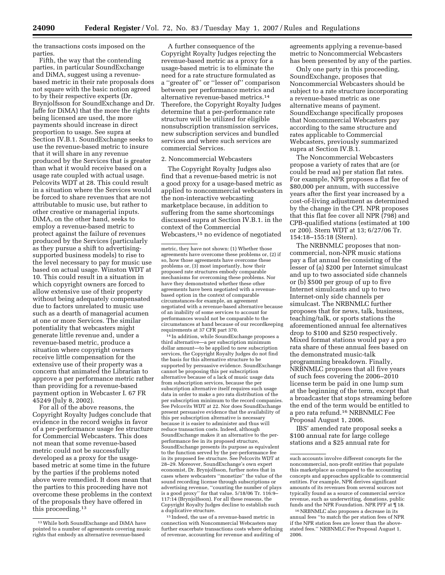the transactions costs imposed on the parties.

Fifth, the way that the contending parties, in particular SoundExchange and DiMA, suggest using a revenuebased metric in their rate proposals does not square with the basic notion agreed to by their respective experts (Dr. Brynjolfsson for SoundExchange and Dr. Jaffe for DiMA) that the more the rights being licensed are used, the more payments should increase in direct proportion to usage. See supra at Section IV.B.1. SoundExchange seeks to use the revenue-based metric to insure that it will share in any revenue produced by the Services that is greater than what it would receive based on a usage rate coupled with actual usage. Pelcovits WDT at 28. This could result in a situation where the Services would be forced to share revenues that are not attributable to music use, but rather to other creative or managerial inputs. DiMA, on the other hand, seeks to employ a revenue-based metric to protect against the failure of revenues produced by the Services (particularly as they pursue a shift to advertisingsupported business models) to rise to the level necessary to pay for music use based on actual usage. Winston WDT at 10. This could result in a situation in which copyright owners are forced to allow extensive use of their property without being adequately compensated due to factors unrelated to music use such as a dearth of managerial acumen at one or more Services. The similar potentiality that webcasters might generate little revenue and, under a revenue-based metric, produce a situation where copyright owners receive little compensation for the extensive use of their property was a concern that animated the Librarian to approve a per performance metric rather than providing for a revenue-based payment option in Webcaster I. 67 FR 45249 (July 8, 2002).

For all of the above reasons, the Copyright Royalty Judges conclude that evidence in the record weighs in favor of a per-performance usage fee structure for Commercial Webcasters. This does not mean that some revenue-based metric could not be successfully developed as a proxy for the usagebased metric at some time in the future by the parties if the problems noted above were remedied. It does mean that the parties to this proceeding have not overcome these problems in the context of the proposals they have offered in this proceeding.13

A further consequence of the Copyright Royalty Judges rejecting the revenue-based metric as a proxy for a usage-based metric is to eliminate the need for a rate structure formulated as a ''greater of'' or ''lesser of'' comparison between per performance metrics and alternative revenue-based metrics.14 Therefore, the Copyright Royalty Judges determine that a per-performance rate structure will be utilized for eligible nonsubscription transmission services, new subscription services and bundled services and where such services are commercial Services.

#### 2. Noncommercial Webcasters

The Copyright Royalty Judges also find that a revenue-based metric is not a good proxy for a usage-based metric as applied to noncommercial webcasters in the non-interactive webcasting marketplace because, in addition to suffering from the same shortcomings discussed supra at Section IV.B.1. in the context of the Commercial Webcasters,15 no evidence of negotiated

14 In addition, while SoundExchange proposes a third alternative—a per subscription minimum dollar amount—to be applied to new subscription services, the Copyright Royalty Judges do not find the basis for this alternative structure to be supported by persuasive evidence. SoundExchange cannot be proposing this per subscription alternative because of a lack of music usage data from subscription services, because the per subscription alternative itself requires such usage data in order to make a pro rata distribution of the per subscription minimum to the record companies. See Pelcovits WDT at 22. Nor does SoundExchange present persuasive evidence that the availability of this per subscription alternative is necessary because it is easier to administer and thus will reduce transaction costs. Indeed, although SoundExchange makes it an alternative to the perperformance fee in its proposed structure, SoundExchange presents its purpose as equivalent to the function served by the per-performance fee in its proposed fee structure. See Pelcovits WDT at 28–29. Moreover, SoundExchange's own expert economist, Dr. Brynjolfsson, further notes that in cases where webcasters ''monetize'' the value of the sound recording license through subscriptions or advertising revenue, ''counting the number of plays is a good proxy'' for that value. 5/18/06 Tr. 116:9– 117:14 (Brynjolfsson). For all these reasons, the Copyright Royalty Judges decline to establish such a duplicative structure.

15 Indeed, the use of a revenue-based metric in connection with Noncommercial Webcasters may further exacerbate transactions costs where defining of revenue, accounting for revenue and auditing of

agreements applying a revenue-based metric to Noncommercial Webcasters has been presented by any of the parties.

Only one party in this proceeding, SoundExchange, proposes that Noncommercial Webcasters should be subject to a rate structure incorporating a revenue-based metric as one alternative means of payment. SoundExchange specifically proposes that Noncommercial Webcasters pay according to the same structure and rates applicable to Commercial Webcasters, previously summarized supra at Section IV.B.1.

The Noncommercial Webcasters propose a variety of rates that are (or could be read as) per station flat rates. For example, NPR proposes a flat fee of \$80,000 per annum, with successive years after the first year increased by a cost-of-living adjustment as determined by the change in the CPI. NPR proposes that this flat fee cover all NPR (798) and CPB-qualified stations (estimated at 100 or 200). Stern WDT at 13; 6/27/06 Tr. 154:18–155:18 (Stern).

The NRBNMLC proposes that noncommercial, non-NPR music stations pay a flat annual fee consisting of the lesser of (a) \$200 per Internet simulcast and up to two associated side channels or (b) \$500 per group of up to five Internet simulcasts and up to two Internet-only side channels per simulcast. The NRBNMLC further proposes that for news, talk, business, teaching/talk, or sports stations the aforementioned annual fee alternatives drop to \$100 and \$250 respectively. Mixed format stations would pay a pro rata share of these annual fees based on the demonstrated music-talk programming breakdown. Finally, NRBNMLC proposes that all five years of such fees covering the 2006–2010 license term be paid in one lump sum at the beginning of the term, except that a broadcaster that stops streaming before the end of the term would be entitled to a pro rata refund.16 NRBNMLC Fee Proposal August 1, 2006.

IBS' amended rate proposal seeks a \$100 annual rate for large college stations and a \$25 annual rate for

<sup>13</sup>While both SoundExchange and DiMA have pointed to a number of agreements covering music rights that embody an alternative revenue-based

metric, they have not shown: (1) Whether those agreements have overcome these problems or, (2) if so, how those agreements have overcome these problems or, (3) most importantly, how their proposed rate structures embody comparable mechanisms for overcoming these problems. Nor have they demonstrated whether these other agreements have been negotiated with a revenuebased option in the context of comparable circumstances-for example, an agreement negotiated with a revenue-based alternative because of an inability of some services to account for performances would not be comparable to the circumstances at hand because of our recordkeeping requirements at 37 CFR part 370.

such accounts involve different concepts for the noncommercial, non-profit entities that populate this marketplace as compared to the accounting concepts and approaches applicable to commercial entities. For example, NPR derives significant amounts of its revenues from several sources not typically found as a source of commercial service revenue, such as underwriting, donations, public funds and the NPR Foundation. NPR PFF at ¶ 18.

<sup>16</sup>NRBNMLC also proposes a decrease in its annual fees ''to match the per station fees of NPR if the NPR station fees are lower than the abovestated fees.'' NRBNMLC Fee Proposal August 1, 2006.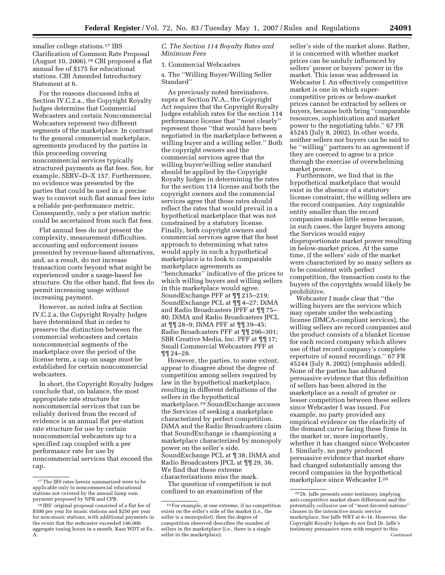smaller college stations.<sup>17</sup> IBS Clarification of Common Rate Proposal (August 10, 2006).18 CBI proposed a flat annual fee of \$175 for educational stations. CBI Amended Introductory Statement at 6.

For the reasons discussed infra at Section IV.C.2.a., the Copyright Royalty Judges determine that Commercial Webcasters and certain Noncommercial Webcasters represent two different segments of the marketplace. In contrast to the general commercial marketplace, agreements produced by the parties in this proceeding covering noncommercial services typically structured payments as flat fees. See, for example, SERV–D–X 157. Furthermore, no evidence was presented by the parties that could be used in a precise way to convert such flat annual fees into a reliable per-performance metric. Consequently, only a per station metric could be ascertained from such flat fees.

Flat annual fees do not present the complexity, measurement difficulties, accounting and enforcement issues presented by revenue-based alternatives, and, as a result, do not increase transaction costs beyond what might be experienced under a usage-based fee structure. On the other hand, flat fees do permit increasing usage without increasing payment.

However, as noted infra at Section IV.C.2.a, the Copyright Royalty Judges have determined that in order to preserve the distinction between the commercial webcasters and certain noncommercial segments of the marketplace over the period of the license term, a cap on usage must be established for certain noncommercial webcasters.

In short, the Copyright Royalty Judges conclude that, on balance, the most appropriate rate structure for noncommercial services that can be reliably derived from the record of evidence is an annual flat per-station rate structure for use by certain noncommercial webcasters up to a specified cap coupled with a per performance rate for use by noncommercial services that exceed the cap.

*C. The Section 114 Royalty Rates and Minimum Fees* 

1. Commercial Webcasters

a. The ''Willing Buyer/Willing Seller Standard''

As previously noted hereinabove, supra at Section IV.A., the Copyright Act requires that the Copyright Royalty Judges establish rates for the section 114 performance license that ''most clearly'' represent those ''that would have been negotiated in the marketplace between a willing buyer and a willing seller.'' Both the copyright owners and the commercial services agree that the willing buyer/willing seller standard should be applied by the Copyright Royalty Judges in determining the rates for the section 114 license and both the copyright owners and the commercial services agree that those rates should reflect the rates that would prevail in a hypothetical marketplace that was not constrained by a statutory license. Finally, both copyright owners and commercial services agree that the best approach to determining what rates would apply in such a hypothetical marketplace is to look to comparable marketplace agreements as ''benchmarks'' indicative of the prices to which willing buyers and willing sellers in this marketplace would agree. SoundExchange PFF at ¶¶ 215–219; SoundExchange PCL at ¶¶ 4–27; DiMA and Radio Broadcasters JPFF at ¶¶ 75– 80; DiMA and Radio Broadcasters JPCL at ¶¶ 28–9; DiMA PFF at ¶¶ 39–45; Radio Broadcasters PFF at ¶¶ 296–301; SBR Creative Media, Inc. PFF at ¶¶ 17; Small Commercial Webcasters PFF at ¶¶ 24–28.

However, the parties, to some extent, appear to disagree about the degree of competition among sellers required by law in the hypothetical marketplace, resulting in different definitions of the sellers in the hypothetical marketplace.19 SoundExchange accuses the Services of seeking a marketplace characterized by perfect competition. DiMA and the Radio Broadcasters claim that SoundExchange is championing a marketplace characterized by monopoly power on the seller's side. SoundExchange PCL at ¶ 38; DiMA and Radio Broadcasters JPCL at ¶¶ 29, 36. We find that these extreme characterizations miss the mark.

The question of competition is not confined to an examination of the

seller's side of the market alone. Rather, it is concerned with whether market prices can be unduly influenced by sellers' power or buyers' power in the market. This issue was addressed in Webcaster I. An effectively competitive market is one in which supercompetitive prices or below-market prices cannot be extracted by sellers or buyers, because both bring ''comparable resources, sophistication and market power to the negotiating table.'' 67 FR 45245 (July 8, 2002). In other words, neither sellers nor buyers can be said to be ''willing'' partners to an agreement if they are coerced to agree to a price through the exercise of overwhelming market power.

Furthermore, we find that in the hypothetical marketplace that would exist in the absence of a statutory license constraint, the willing sellers are the record companies. Any cognizable entity smaller than the record companies makes little sense because, in such cases, the larger buyers among the Services would enjoy disproportionate market power resulting in below-market prices. At the same time, if the sellers' side of the market were characterized by so many sellers as to be consistent with perfect competition, the transaction costs to the buyers of the copyrights would likely be prohibitive.

Webcaster I made clear that ''the willing buyers are the services which may operate under the webcasting license (DMCA-compliant services), the willing sellers are record companies and the product consists of a blanket license for each record company which allows use of that record company's complete repertoire of sound recordings.'' 67 FR 45244 (July 8, 2002) (emphasis added). None of the parties has adduced persuasive evidence that this definition of sellers has been altered in the marketplace as a result of greater or lesser competition between these sellers since Webcaster I was issued. For example, no party provided any empirical evidence on the elasticity of the demand curve facing these firms in the market or, more importantly, whether it has changed since Webcaster I. Similarly, no party produced persuasive evidence that market share had changed substantially among the record companies in the hypothetical marketplace since Webcaster I.20

 $^{\rm 17}\rm{The}$  IBS rates herein summarized were to be applicable only to noncommercial educational stations not covered by the annual lump sum payment proposed by NPR and CPB.

<sup>18</sup> IBS' original proposal consisted of a flat fee of \$500 per year for music stations and \$250 per year for non-music stations, with additional payments in the event that the webcaster exceeded 146,000 aggregate tuning hours in a month. Kass WDT at Ex. A.

<sup>19</sup>For example, at one extreme, if no competition exists on the seller's side of the market (i.e., the seller is a monopolist), then the degree of competition observed describes the number of sellers in the marketplace (i.e., there is a single seller in the marketplace).

<sup>20</sup> Dr. Jaffe presents some testimony implying anti-competitive market share differences and the potentially collusive use of ''most-favored-nations'' clauses in the interactive music service marketplace. See Jaffe WRT at 6–16. However, the Copyright Royalty Judges do not find Dr. Jaffe's testimony persuasive even with respect to this Continued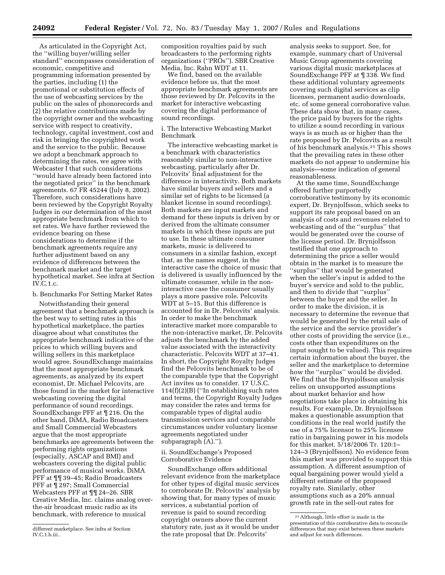As articulated in the Copyright Act, the ''willing buyer/willing seller standard'' encompasses consideration of economic, competitive and programming information presented by the parties, including (1) the promotional or substitution effects of the use of webcasting services by the public on the sales of phonorecords and (2) the relative contributions made by the copyright owner and the webcasting service with respect to creativity, technology, capital investment, cost and risk in bringing the copyrighted work and the service to the public. Because we adopt a benchmark approach to determining the rates, we agree with Webcaster I that such considerations ''would have already been factored into the negotiated price'' in the benchmark agreements. 67 FR 45244 (July 8, 2002). Therefore, such considerations have been reviewed by the Copyright Royalty Judges in our determination of the most appropriate benchmark from which to set rates. We have further reviewed the evidence bearing on these considerations to determine if the benchmark agreements require any further adjustment based on any evidence of differences between the benchmark market and the target hypothetical market. See infra at Section IV.C.1.c.

b. Benchmarks For Setting Market Rates

Notwithstanding their general agreement that a benchmark approach is the best way to setting rates in this hypothetical marketplace, the parties disagree about what constitutes the appropriate benchmark indicative of the prices to which willing buyers and willing sellers in this marketplace would agree. SoundExchange maintains that the most appropriate benchmark agreements, as analyzed by its expert economist, Dr. Michael Pelcovits, are those found in the market for interactive webcasting covering the digital performance of sound recordings. SoundExchange PFF at ¶ 216. On the other hand, DiMA, Radio Broadcasters and Small Commercial Webcasters argue that the most appropriate benchmarks are agreements between the performing rights organizations (especially, ASCAP and BMI) and webcasters covering the digital public performance of musical works. DiMA PFF at ¶¶ 39–45; Radio Broadcasters PFF at ¶ 297; Small Commercial Webcasters PFF at ¶¶ 24–26. SBR Creative Media, Inc. claims analog overthe-air broadcast music radio as its benchmark, with reference to musical

different marketplace. See infra at Section IV.C.1.b.iii..

composition royalties paid by such broadcasters to the performing rights organizations (''PROs''). SBR Creative Media, Inc. Rahn WDT at 11.

We find, based on the available evidence before us, that the most appropriate benchmark agreements are those reviewed by Dr. Pelcovits in the market for interactive webcasting covering the digital performance of sound recordings.

i. The Interactive Webcasting Market Benchmark

The interactive webcasting market is a benchmark with characteristics reasonably similar to non-interactive webcasting, particularly after Dr. Pelcovits' final adjustment for the difference in interactivity. Both markets have similar buyers and sellers and a similar set of rights to be licensed (a blanket license in sound recordings). Both markets are input markets and demand for these inputs is driven by or derived from the ultimate consumer markets in which these inputs are put to use. In these ultimate consumer markets, music is delivered to consumers in a similar fashion, except that, as the names suggest, in the interactive case the choice of music that is delivered is usually influenced by the ultimate consumer, while in the noninteractive case the consumer usually plays a more passive role. Pelcovits WDT at 5–15. But this difference is accounted for in Dr. Pelcovits' analysis. In order to make the benchmark interactive market more comparable to the non-interactive market, Dr. Pelcovits adjusts the benchmark by the added value associated with the interactivity characteristic. Pelcovits WDT at 37–41. In short, the Copyright Royalty Judges find the Pelcovits benchmark to be of the comparable type that the Copyright Act invites us to consider. 17 U.S.C. 114(f)(2)(B) (''In establishing such rates and terms, the Copyright Royalty Judges may consider the rates and terms for comparable types of digital audio transmission services and comparable circumstances under voluntary license agreements negotiated under subparagraph (A).'').

#### ii. SoundExchange's Proposed Corroborative Evidence

SoundExchange offers additional relevant evidence from the marketplace for other types of digital music services to corroborate Dr. Pelcovits' analysis by showing that, for many types of music services, a substantial portion of revenue is paid to sound recording copyright owners above the current statutory rate, just as it would be under the rate proposal that Dr. Pelcovits'

analysis seeks to support. See, for example, summary chart of Universal Music Group agreements covering various digital music marketplaces at SoundExchange PFF at ¶ 338. We find these additional voluntary agreements covering such digital services as clip licenses, permanent audio downloads, etc. of some general corroborative value. These data show that, in many cases, the price paid by buyers for the rights to utilize a sound recording in various ways is as much as or higher than the rate proposed by Dr. Pelcovits as a result of his benchmark analysis.21 This shows that the prevailing rates in these other markets do not appear to undermine his analysis—some indication of general reasonableness.

At the same time, SoundExchange offered further purportedly corroborative testimony by its economic expert, Dr. Brynjolfsson, which seeks to support its rate proposal based on an analysis of costs and revenues related to webcasting and of the ''surplus'' that would be generated over the course of the license period. Dr. Brynjolfsson testified that one approach to determining the price a seller would obtain in the market is to measure the ''surplus'' that would be generated when the seller's input is added to the buyer's service and sold to the public, and then to divide that ''surplus'' between the buyer and the seller. In order to make the division, it is necessary to determine the revenue that would be generated by the retail sale of the service and the service provider's other costs of providing the service (i.e., costs other than expenditures on the input sought to be valued). This requires certain information about the buyer, the seller and the marketplace to determine how the ''surplus'' would be divided. We find that the Brynjolfsson analysis relies on unsupported assumptions about market behavior and how negotiations take place in obtaining his results. For example, Dr. Brynjolfsson makes a questionable assumption that conditions in the real world justify the use of a 75% licensor to 25% licensee ratio in bargaining power in his models for this market. 5/18/2006 Tr. 120:1– 124–3 (Brynjolfsson). No evidence from this market was provided to support this assumption. A different assumption of equal bargaining power would yield a different estimate of the proposed royalty rate. Similarly, other assumptions such as a 20% annual growth rate in the sell-out rates for

<sup>21</sup>Although, little effort is made in the presentation of this corroborative data to reconcile differences that may exist between these markets and adjust for such differences.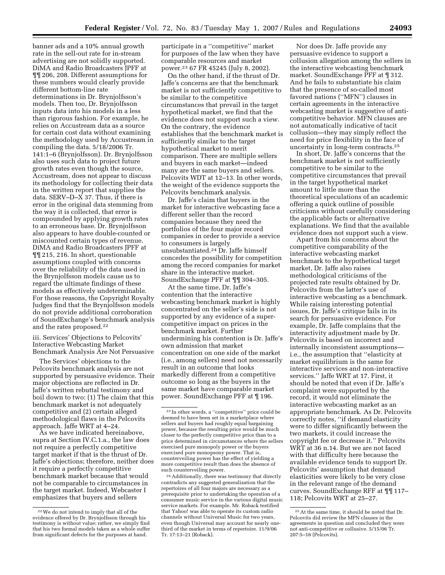banner ads and a 10% annual growth rate in the sell-out rate for in-stream advertising are not solidly supported. DiMA and Radio Broadcasters JPFF at ¶¶ 206, 208. Different assumptions for these numbers would clearly provide different bottom-line rate determinations in Dr. Brynjolfsson's models. Then too, Dr. Brynjolfsson inputs data into his models in a less than rigorous fashion. For example, he relies on Accustream data as a source for certain cost data without examining the methodology used by Accustream in compiling the data. 5/18/2006 Tr. 141:1–6 (Brynjolfsson). Dr. Brynjolfsson also uses such data to project future growth rates even though the source, Accustream, does not appear to discuss its methodology for collecting their data in the written report that supplies the data. SERV–D–X 37. Thus, if there is error in the original data stemming from the way it is collected, that error is compounded by applying growth rates to an erroneous base. Dr. Brynjolfsson also appears to have double-counted or miscounted certain types of revenue. DiMA and Radio Broadcasters JPFF at ¶¶ 215, 216. In short, questionable assumptions coupled with concerns over the reliability of the data used in the Brynjolfsson models cause us to regard the ultimate findings of these models as effectively undeterminable. For those reasons, the Copyright Royalty Judges find that the Brynjolfsson models do not provide additional corroboration of SoundExchange's benchmark analysis and the rates proposed.22

iii. Services' Objections to Pelcovits' Interactive Webcasting Market Benchmark Analysis Are Not Persuasive

The Services' objections to the Pelcovits benchmark analysis are not supported by persuasive evidence. Their major objections are reflected in Dr. Jaffe's written rebuttal testimony and boil down to two: (1) The claim that this benchmark market is not adequately competitive and (2) certain alleged methodological flaws in the Pelcovits approach. Jaffe WRT at 4–24.

As we have indicated hereinabove, supra at Section IV.C.1.a., the law does not require a perfectly competitive target market if that is the thrust of Dr. Jaffe's objections; therefore, neither does it require a perfectly competitive benchmark market because that would not be comparable to circumstances in the target market. Indeed, Webcaster I emphasizes that buyers and sellers

participate in a ''competitive'' market for purposes of the law when they have comparable resources and market power.23 67 FR 45245 (July 8, 2002).

On the other hand, if the thrust of Dr. Jaffe's concerns are that the benchmark market is not sufficiently competitive to be similar to the competitive circumstances that prevail in the target hypothetical market, we find that the evidence does not support such a view. On the contrary, the evidence establishes that the benchmark market is sufficiently similar to the target hypothetical market to merit comparison. There are multiple sellers and buyers in each market—indeed many are the same buyers and sellers. Pelcovits WDT at 12–13. In other words, the weight of the evidence supports the Pelcovits benchmark analysis.

Dr. Jaffe's claim that buyers in the market for interactive webcasting face a different seller than the record companies because they need the portfolios of the four major record companies in order to provide a service to consumers is largely unsubstantiated.24 Dr. Jaffe himself concedes the possibility for competition among the record companies for market share in the interactive market. SoundExchange PFF at ¶¶ 304–305.

At the same time, Dr. Jaffe's contention that the interactive webcasting benchmark market is highly concentrated on the seller's side is not supported by any evidence of a supercompetitive impact on prices in the benchmark market. Further undermining his contention is Dr. Jaffe's own admission that market concentration on one side of the market (i.e., among sellers) need not necessarily result in an outcome that looks markedly different from a competitive outcome so long as the buyers in the same market have comparable market power. SoundExchange PFF at ¶ 196.

24Additionally, there was testimony that directly contradicts any suggested generalization that the repertoires of all four majors are necessary as a prerequisite prior to undertaking the operation of a consumer music service in the various digital music service markets. For example, Mr. Roback testified that Yahoo! was able to operate its custom radio channels without Universal Music for two years, even though Universal may account for nearly onethird of the market in terms of repertoire. 11/9/06 Tr. 17:13–21 (Roback).

Nor does Dr. Jaffe provide any persuasive evidence to support a collusion allegation among the sellers in the interactive webcasting benchmark market. SoundExchange PFF at 1312. And he fails to substantiate his claim that the presence of so-called most favored nations (''MFN'') clauses in certain agreements in the interactive webcasting market is suggestive of anticompetitive behavior. MFN clauses are not automatically indicative of tacit collusion—they may simply reflect the need for price flexibility in the face of uncertainty in long-term contracts.25

In short, Dr. Jaffe's concerns that the benchmark market is not sufficiently competitive to be similar to the competitive circumstances that prevail in the target hypothetical market amount to little more than the theoretical speculations of an academic offering a quick outline of possible criticisms without carefully considering the applicable facts or alternative explanations. We find that the available evidence does not support such a view.

Apart from his concerns about the competitive comparability of the interactive webcasting market benchmark to the hypothetical target market, Dr. Jaffe also raises methodological criticisms of the projected rate results obtained by Dr. Pelcovits from the latter's use of interactive webcasting as a benchmark. While raising interesting potential issues, Dr. Jaffe's critique fails in its search for persuasive evidence. For example, Dr. Jaffe complains that the interactivity adjustment made by Dr. Pelcovits is based on incorrect and internally inconsistent assumptions i.e., the assumption that ''elasticity at market equilibrium is the same for interactive services and non-interactive services.'' Jaffe WRT at 17. First, it should be noted that even if Dr. Jaffe's complaint were supported by the record, it would not eliminate the interactive webcasting market as an appropriate benchmark. As Dr. Pelcovits correctly notes, ''if demand elasticity were to differ significantly between the two markets, it could increase the copyright fee or decrease it.'' Pelcovits WRT at 36 n.14. But we are not faced with that difficulty here because the available evidence tends to support Dr. Pelcovits' assumption that demand elasticities were likely to be very close in the relevant range of the demand curves. SoundExchange RFF at ¶¶ 117– 118; Pelcovits WRT at 25–27.

<sup>22</sup>We do not intend to imply that all of the evidence offered by Dr. Brynjolfsson through his testimony is without value; rather, we simply find that his two formal models taken as a whole suffer from significant defects for the purposes at hand.

<sup>23</sup> In other words, a ''competitive'' price could be deemed to have been set in a marketplace where sellers and buyers had roughly equal bargaining power, because the resulting price would be much closer to the perfectly competitive price than to a price determined in circumstances where the sellers exercised pure monopoly power or the buyers exercised pure monopsony power. That is, counterveiling power has the effect of yielding a more competitive result than does the absence of such counterveiling power.

<sup>25</sup>At the same time, it should be noted that Dr. Pelcovits did review the MFN clauses in the agreements in question and concluded they were not anti-competitive or collusive. 5/15/06 Tr. 207:5–16 (Pelcovits).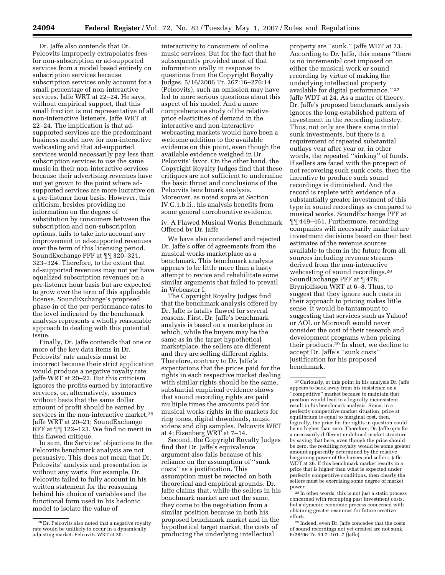Dr. Jaffe also contends that Dr. Pelcovits improperly extrapolates fees for non-subscription or ad-supported services from a model based entirely on subscription services because subscription services only account for a small percentage of non-interactive services. Jaffe WRT at 22–24. He says, without empirical support, that this small fraction is not representative of all non-interactive listeners. Jaffe WRT at 22–24. The implication is that adsupported services are the predominant business model now for non-interactive webcasting and that ad-supported services would necessarily pay less than subscription services to use the same music in their non-interactive services because their advertising revenues have not yet grown to the point where adsupported services are more lucrative on a per-listener hour basis. However, this criticism, besides providing no information on the degree of substitution by consumers between the subscription and non-subscription options, fails to take into account any improvement in ad-supported revenues over the term of this licensing period. SoundExchange PFF at ¶¶ 320–321, 323–324. Therefore, to the extent that ad-supported revenues may not yet have equalized subscription revenues on a per-listener hour basis but are expected to grow over the term of this applicable license, SoundExchange's proposed phase-in of the per-performance rates to the level indicated by the benchmark analysis represents a wholly reasonable approach to dealing with this potential issue.

Finally, Dr. Jaffe contends that one or more of the key data items in Dr. Pelcovits' rate analysis must be incorrect because their strict application would produce a negative royalty rate. Jaffe WRT at 20–22. But this criticism ignores the profits earned by interactive services, or, alternatively, assumes without basis that the same dollar amount of profit should be earned by services in the non-interactive market.26 Jaffe WRT at 20–21; SoundExchange RFF at ¶¶ 122–123. We find no merit in this flawed critique.

In sum, the Services' objections to the Pelcovits benchmark analysis are not persuasive. This does not mean that Dr. Pelcovits' analysis and presentation is without any warts. For example, Dr. Pelcovits failed to fully account in his written statement for the reasoning behind his choice of variables and the functional form used in his hedonic model to isolate the value of

interactivity to consumers of online music services. But for the fact that he subsequently provided most of that information orally in response to questions from the Copyright Royalty Judges, 5/16/2006 Tr. 267:16–276:14 (Pelcovits), such an omission may have led to more serious questions about this aspect of his model. And a more comprehensive study of the relative price elasticities of demand in the interactive and non-interactive webcasting markets would have been a welcome addition to the available evidence on this point, even though the available evidence weighed in Dr. Pelcovits' favor. On the other hand, the Copyright Royalty Judges find that these critiques are not sufficient to undermine the basic thrust and conclusions of the Pelcovits benchmark analysis. Moreover, as noted supra at Section IV.C.1.b.ii., his analysis benefits from some general corroborative evidence.

iv. A Flawed Musical Works Benchmark Offered by Dr. Jaffe

We have also considered and rejected Dr. Jaffe's offer of agreements from the musical works marketplace as a benchmark. This benchmark analysis appears to be little more than a hasty attempt to revive and rehabilitate some similar arguments that failed to prevail in Webcaster I.

The Copyright Royalty Judges find that the benchmark analysis offered by Dr. Jaffe is fatally flawed for several reasons. First, Dr. Jaffe's benchmark analysis is based on a marketplace in which, while the buyers may be the same as in the target hypothetical marketplace, the sellers are different and they are selling different rights. Therefore, contrary to Dr. Jaffe's expectations that the prices paid for the rights in each respective market dealing with similar rights should be the same, substantial empirical evidence shows that sound recording rights are paid multiple times the amounts paid for musical works rights in the markets for ring tones, digital downloads, music videos and clip samples. Pelcovits WRT at 4; Eisenberg WRT at 7–14.

Second, the Copyright Royalty Judges find that Dr. Jaffe's equivalence argument also fails because of his reliance on the assumption of ''sunk costs'' as a justification. This assumption must be rejected on both theoretical and empirical grounds. Dr. Jaffe claims that, while the sellers in his benchmark market are not the same, they come to the negotiation from a similar position because in both his proposed benchmark market and in the hypothetical target market, the costs of producing the underlying intellectual

property are ''sunk.'' Jaffe WDT at 23. According to Dr. Jaffe, this means ''there is no incremental cost imposed on either the musical work or sound recording by virtue of making the underlying intellectual property available for digital performance.'' 27 Jaffe WDT at 24. As a matter of theory, Dr. Jaffe's proposed benchmark analysis ignores the long-established pattern of investment in the recording industry. Thus, not only are there some initial sunk investments, but there is a requirement of repeated substantial outlays year after year or, in other words, the repeated ''sinking'' of funds. If sellers are faced with the prospect of not recovering such sunk costs, then the incentive to produce such sound recordings is diminished. And the record is replete with evidence of a substantially greater investment of this type in sound recordings as compared to musical works. SoundExchange PFF at ¶¶ 449–461. Furthermore, recording companies will necessarily make future investment decisions based on their best estimates of the revenue sources available to them in the future from all sources including revenue streams derived from the non-interactive webcasting of sound recordings.28 SoundExchange PFF at ¶ 478; Brynjolfsson WRT at 6–8. Thus, to suggest that they ignore such costs in their approach to pricing makes little sense. It would be tantamount to suggesting that services such as Yahoo! or AOL or Microsoft would never consider the cost of their research and development programs when pricing their products.29 In short, we decline to accept Dr. Jaffe's ''sunk costs'' justification for his proposed benchmark.

29 Indeed, even Dr. Jaffe concedes that the costs of sound recordings not yet created are not sunk. 6/28/06 Tr. 99:7–101–7 (Jaffe).

<sup>26</sup> Dr. Pelcovits also noted that a negative royalty rate would be unlikely to occur in a dynamically adjusting market. Pelcovits WRT at 30.

<sup>27</sup>Curiously, at this point in his analysis Dr. Jaffe appears to back away from his insistence on a ''competitive'' market because to maintain that position would lead to a logically inconsistent result in his benchmark analysis. Since, in a perfectly competitive market situation, price at equilibrium is equal to marginal cost, then, logically, the price for the rights in question could be no higher than zero. Therefore, Dr. Jaffe opts for a necessarily different undefined market structure by saying that here, even though the price should be zero, the resulting royalty would be some greater amount apparently determined by the relative bargaining power of the buyers and sellers. Jaffe WDT at 26. If this benchmark market results in a price that is higher than what is expected under perfectly competitive conditions, then clearly the sellers must be exercising some degree of market power.

<sup>28</sup> In other words, this is not just a static process concerned with recouping past investment costs, but a dynamic economic process concerned with obtaining greater resources for future creative efforts.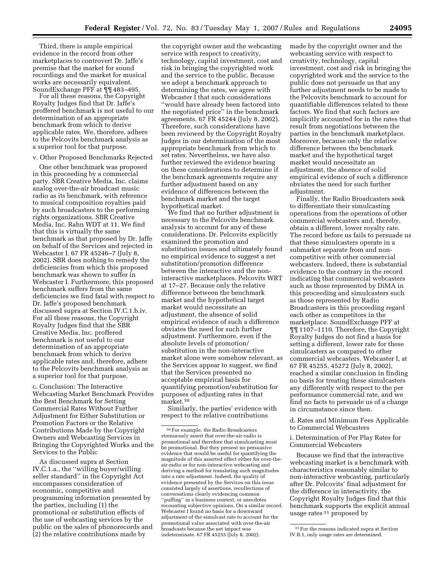Third, there is ample empirical evidence in the record from other marketplaces to controvert Dr. Jaffe's premise that the market for sound recordings and the market for musical works are necessarily equivalent. SoundExchange PFF at ¶¶ 483–495.

For all these reasons, the Copyright Royalty Judges find that Dr. Jaffe's proffered benchmark is not useful to our determination of an appropriate benchmark from which to derive applicable rates. We, therefore, adhere to the Pelcovits benchmark analysis as a superior tool for that purpose.

#### v. Other Proposed Benchmarks Rejected

One other benchmark was proposed in this proceeding by a commercial party. SBR Creative Media, Inc. claims analog over-the-air broadcast music radio as its benchmark, with reference to musical composition royalties paid by such broadcasters to the performing rights organizations. SBR Creative Media, Inc. Rahn WDT at 11. We find that this is virtually the same benchmark as that proposed by Dr. Jaffe on behalf of the Services and rejected in Webcaster I. 67 FR 45246–7 (July 8, 2002). SBR does nothing to remedy the deficiencies from which this proposed benchmark was shown to suffer in Webcaster I. Furthermore, this proposed benchmark suffers from the same deficiencies we find fatal with respect to Dr. Jaffe's proposed benchmark discussed supra at Section IV.C.1.b.iv. For all these reasons, the Copyright Royalty Judges find that the SBR Creative Media, Inc. proffered benchmark is not useful to our determination of an appropriate benchmark from which to derive applicable rates and, therefore, adhere to the Pelcovits benchmark analysis as a superior tool for that purpose.

c. Conclusion: The Interactive Webcasting Market Benchmark Provides the Best Benchmark for Setting Commercial Rates Without Further Adjustment for Either Substitution or Promotion Factors or the Relative Contributions Made by the Copyright Owners and Webcasting Services in Bringing the Copyrighted Works and the Services to the Public

As discussed supra at Section IV.C.1.a., the ''willing buyer/willing seller standard'' in the Copyright Act encompasses consideration of economic, competitive and programming information presented by the parties, including (1) the promotional or substitution effects of the use of webcasting services by the public on the sales of phonorecords and (2) the relative contributions made by

the copyright owner and the webcasting service with respect to creativity, technology, capital investment, cost and risk in bringing the copyrighted work and the service to the public. Because we adopt a benchmark approach to determining the rates, we agree with Webcaster I that such considerations ''would have already been factored into the negotiated price'' in the benchmark agreements. 67 FR 45244 (July 8, 2002). Therefore, such considerations have been reviewed by the Copyright Royalty Judges in our determination of the most appropriate benchmark from which to set rates. Nevertheless, we have also further reviewed the evidence bearing on these considerations to determine if the benchmark agreements require any further adjustment based on any evidence of differences between the benchmark market and the target hypothetical market.

We find that no further adjustment is necessary to the Pelcovits benchmark analysis to account for any of these considerations. Dr. Pelcovits explicitly examined the promotion and substitution issues and ultimately found no empirical evidence to suggest a net substitution/promotion difference between the interactive and the noninteractive marketplaces. Pelcovits WRT at 17–27. Because only the relative difference between the benchmark market and the hypothetical target market would necessitate an adjustment, the absence of solid empirical evidence of such a difference obviates the need for such further adjustment. Furthermore, even if the absolute levels of promotion/ substitution in the non-interactive market alone were somehow relevant, as the Services appear to suggest, we find that the Services presented no acceptable empirical basis for quantifying promotion/substitution for purposes of adjusting rates in that  $\rm market.^{30}$ 

Similarly, the parties' evidence with respect to the relative contributions

made by the copyright owner and the webcasting service with respect to creativity, technology, capital investment, cost and risk in bringing the copyrighted work and the service to the public does not persuade us that any further adjustment needs to be made to the Pelcovits benchmark to account for quantifiable differences related to these factors. We find that such factors are implicitly accounted for in the rates that result from negotiations between the parties in the benchmark marketplace. Moreover, because only the relative difference between the benchmark market and the hypothetical target market would necessitate an adjustment, the absence of solid empirical evidence of such a difference obviates the need for such further adjustment.

Finally, the Radio Broadcasters seek to differentiate their simulcasting operations from the operations of other commercial webcasters and, thereby, obtain a different, lower royalty rate. The record before us fails to persuade us that these simulcasters operate in a submarket separate from and noncompetitive with other commercial webcasters. Indeed, there is substantial evidence to the contrary in the record indicating that commercial webcasters such as those represented by DiMA in this proceeding and simulcasters such as those represented by Radio Broadcasters in this proceeding regard each other as competitors in the marketplace. SoundExchange PFF at ¶¶ 1107–1110. Therefore, the Copyright Royalty Judges do not find a basis for setting a different, lower rate for these simulcasters as compared to other commercial webcasters. Webcaster I, at 67 FR 45255, 45272 (July 8, 2002), reached a similar conclusion in finding no basis for treating these simulcasters any differently with respect to the per performance commercial rate, and we find no facts to persuade us of a change in circumstance since then.

d. Rates and Minimum Fees Applicable to Commercial Webcasters

i. Determination of Per Play Rates for Commercial Webcasters

Because we find that the interactive webcasting market is a benchmark with characteristics reasonably similar to non-interactive webcasting, particularly after Dr. Pelcovits' final adjustment for the difference in interactivity, the Copyright Royalty Judges find that this benchmark supports the explicit annual usage rates 31 proposed by

<sup>30</sup>For example, the Radio Broadcasters strenuously assert that over-the-air-radio is promotional and therefore that simulcasting must be promotional. But they present no persuasive evidence that would be useful for quantifying the magnitude of this asserted effect either for over-theair-radio or for non-interactive webcasting and deriving a method for translating such magnitudes into a rate adjustment. Indeed, the quality of evidence presented by the Services on this issue consisted largely of assertions, recollections of conversations clearly evidencing common ''puffing'' in a business context, or anecdotes recounting subjective opinions. On a similar record, Webcaster I found no basis for a downward adjustment of the simulcast rate to account for the promotional value associated with over-the-air broadcasts because the net impact was indeterminate. 67 FR 45255 (July 8, 2002).

<sup>31</sup>For the reasons indicated supra at Section IV.B.1, only usage rates are determined.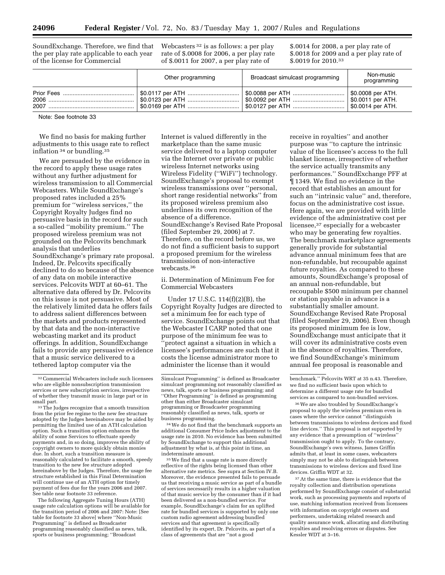SoundExchange. Therefore, we find that the per play rate applicable to each year of the license for Commercial

Webcasters 32 is as follows: a per play rate of \$.0008 for 2006, a per play rate of \$.0011 for 2007, a per play rate of

\$.0014 for 2008, a per play rate of \$.0018 for 2009 and a per play rate of \$.0019 for 2010.33

| Other programming | Broadcast simulcast programming                                                | Non-music<br>programming |
|-------------------|--------------------------------------------------------------------------------|--------------------------|
|                   | \$0.0117 per ATH ……………………………   \$0.0088 per ATH …………………………   \$0.0008 per ATH. | \$0.0011 per ATH.        |

Note: See footnote 33

We find no basis for making further adjustments to this usage rate to reflect inflation 34 or bundling.35

We are persuaded by the evidence in the record to apply these usage rates without any further adjustment for wireless transmission to all Commercial Webcasters. While SoundExchange's proposed rates included a 25% premium for ''wireless services,'' the Copyright Royalty Judges find no persuasive basis in the record for such a so-called ''mobility premium.'' The proposed wireless premium was not grounded on the Pelcovits benchmark analysis that underlies SoundExchange's primary rate proposal. Indeed, Dr. Pelcovits specifically declined to do so because of the absence of any data on mobile interactive services. Pelcovits WDT at 60–61. The alternative data offered by Dr. Pelcovits on this issue is not persuasive. Most of the relatively limited data he offers fails to address salient differences between the markets and products represented by that data and the non-interactive webcasting market and its product offerings. In addition, SoundExchange fails to provide any persuasive evidence that a music service delivered to a tethered laptop computer via the

The following Aggregate Tuning Hours (ATH) usage rate calculation options will be available for the transition period of 2006 and 2007: Note: [See table for footnote 33 above] where ''Non-Music Programming'' is defined as Broadcaster programming reasonably classified as news, talk, sports or business programming; ''Broadcast

Internet is valued differently in the marketplace than the same music service delivered to a laptop computer via the Internet over private or public wireless Internet networks using Wireless Fidelity (''WiFi'') technology. SoundExchange's proposal to exempt wireless transmissions over ''personal, short range residential networks'' from its proposed wireless premium also underlines its own recognition of the absence of a difference. SoundExchange's Revised Rate Proposal (filed September 29, 2006) at 7. Therefore, on the record before us, we do not find a sufficient basis to support a proposed premium for the wireless transmission of non-interactive webcasts.36

ii. Determination of Minimum Fee for Commercial Webcasters

Under 17 U.S.C. 114(f)(2)(B), the Copyright Royalty Judges are directed to set a minimum fee for each type of service. SoundExchange points out that the Webcaster I CARP noted that one purpose of the minimum fee was to 'protect against a situation in which a licensee's performances are such that it costs the license administrator more to administer the license than it would

34We do not find that the benchmark supports an additional Consumer Price Index adjustment to the usage rate in 2010. No evidence has been submitted by SoundExchange to support this additional adjustment by what is, at this point in time, an indeterminate amount.

<sup>35</sup> We find that a usage rate is more directly reflective of the rights being licensed than other alternative rate metrics. See supra at Section IV.B. Moreover, the evidence presented fails to persuade us that receiving a music service as part of a bundle of services necessarily results in a higher valuation of that music service by the consumer than if it had been delivered as a non-bundled service. For example, SoundExchange's claim for an uplifted rate for bundled services is supported by only one custom radio agreement addressing bundled services and that agreement is specifically identified by its expert, Dr. Pelcovits, as part of a class of agreements that are ''not a good

receive in royalties'' and another purpose was ''to capture the intrinsic value of the licensee's access to the full blanket license, irrespective of whether the service actually transmits any performances.'' SoundExchange PFF at ¶ 1349. We find no evidence in the record that establishes an amount for such an ''intrinsic value'' and, therefore, focus on the administrative cost issue. Here again, we are provided with little evidence of the administrative cost per licensee,37 especially for a webcaster who may be generating few royalties. The benchmark marketplace agreements generally provide for substantial advance annual minimum fees that are non-refundable, but recoupable against future royalties. As compared to these amounts, SoundExchange's proposal of an annual non-refundable, but recoupable \$500 minimum per channel or station payable in advance is a substantially smaller amount. SoundExchange Revised Rate Proposal (filed September 29, 2006). Even though its proposed minimum fee is low, SoundExchange must anticipate that it will cover its administrative costs even in the absence of royalties. Therefore, we find SoundExchange's minimum annual fee proposal is reasonable and

36We are also troubled by SoundExchange's proposal to apply the wireless premium even in cases where the service cannot ''distinguish between transmissions to wireless devices and fixed line devices.'' This proposal is not supported by any evidence that a presumption of ''wireless'' transmission ought to apply. To the contrary, SoundExchange's own witness, James Griffin admits that, at least in some cases, webcasters simply may not be able to distinguish between transmissions to wireless devices and fixed line devices. Griffin WDT at 32.

37At the same time, there is evidence that the royalty collection and distribution operations performed by SoundExchange consist of substantial work, such as processing payments and reports of use, matching information received from licensees with information on copyright owners and performers, undertaking related research and quality assurance work, allocating and distributing royalties and resolving errors or disputes. See Kessler WDT at 3–16.

 $^{\rm 32}$  Commercial Webcasters include such licensees who are eligible nonsubscription transmission services or new subscription services, irrespective of whether they transmit music in large part or in

<sup>33</sup> The Judges recognize that a smooth transition from the prior fee regime to the new fee structure adopted by the Judges hereinabove may be aided by permitting the limited use of an ATH calculation option. Such a transition option enhances the ability of some Services to effectuate speedy payments and, in so doing, improves the ability of copyright owners to more quickly obtain monies due. In short, such a transition measure is reasonably calculated to facilitate a smooth, speedy transition to the new fee structure adopted hereinabove by the Judges. Therefore, the usage fee structure established in this Final Determination will continue use of an ATH option for timely payment of fees due for the years 2006 and 2007. See table near footnote 33 reference.

Simulcast Programming'' is defined as Broadcaster simulcast programming not reasonably classified as news, talk, sports or business programming; and ''Other Programming'' is defined as programming other than either Broadcaster simulcast programming or Broadcaster programming reasonably classified as news, talk, sports or business programming.

benchmark.'' Pelcovits WRT at 35 n.43. Therefore, we find no sufficient basis upon which to determine a different usage rate for bundled services as compared to non-bundled services.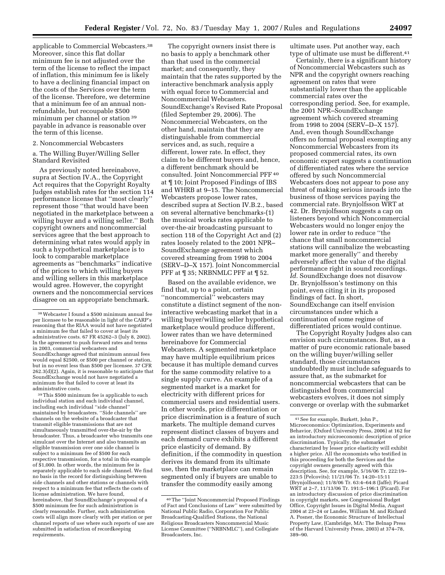applicable to Commercial Webcasters.38 Moreover, since this flat dollar minimum fee is not adjusted over the term of the license to reflect the impact of inflation, this minimum fee is likely to have a declining financial impact on the costs of the Services over the term of the license. Therefore, we determine that a minimum fee of an annual nonrefundable, but recoupable \$500 minimum per channel or station 39 payable in advance is reasonable over the term of this license.

#### 2. Noncommercial Webcasters

#### a. The Willing Buyer/Willing Seller Standard Revisited

As previously noted hereinabove, supra at Section IV.A., the Copyright Act requires that the Copyright Royalty Judges establish rates for the section 114 performance license that ''most clearly'' represent those ''that would have been negotiated in the marketplace between a willing buyer and a willing seller.'' Both copyright owners and noncommercial services agree that the best approach to determining what rates would apply in such a hypothetical marketplace is to look to comparable marketplace agreements as ''benchmarks'' indicative of the prices to which willing buyers and willing sellers in this marketplace would agree. However, the copyright owners and the noncommercial services disagree on an appropriate benchmark.

39This \$500 minimum fee is applicable to each individual station and each individual channel, including each individual ''side channel'' maintained by broadcasters. ''Side channels'' are channels on the website of a broadcaster that transmit eligible transmissions that are not simultaneously transmitted over-the-air by the broadcaster. Thus, a broadcaster who transmits one simulcast over the Internet and also transmits an eligible transmission over one side channel is subject to a minimum fee of \$500 for each respective transmission, for a total in this example of \$1,000. In other words, the minimum fee is separately applicable to each side channel. We find no basis in the record for distinguishing between side channels and other stations or channels with respect to a minimum fee that reflects the costs of license administration. We have found, hereinabove, that SoundExchange's proposal of a \$500 minimum fee for such administration is clearly reasonable. Further, such administration costs will align more clearly with per station or per channel reports of use where such reports of use are submitted in satisfaction of recordkeeping requirements.

The copyright owners insist there is no basis to apply a benchmark other than that used in the commercial market; and consequently, they maintain that the rates supported by the interactive benchmark analysis apply with equal force to Commercial and Noncommercial Webcasters. SoundExchange's Revised Rate Proposal (filed September 29, 2006). The Noncommercial Webcasters, on the other hand, maintain that they are distinguishable from commercial services and, as such, require a different, lower rate. In effect, they claim to be different buyers and, hence, a different benchmark should be consulted. Joint Noncommercial PFF 40 at ¶ 10; Joint Proposed Findings of IBS and WHRB at 9–15. The Noncommercial Webcasters propose lower rates, described supra at Section IV.B.2., based on several alternative benchmarks-(1) the musical works rates applicable to over-the-air broadcasting pursuant to section 118 of the Copyright Act and (2) rates loosely related to the 2001 NPR– SoundExchange agreement which covered streaming from 1998 to 2004 (SERV–D–X 157). Joint Noncommercial PFF at  $\P$  35; NRBNMLC PFF at  $\P$  52.

Based on the available evidence, we find that, up to a point, certain ''noncommercial'' webcasters may constitute a distinct segment of the noninteractive webcasting market that in a willing buyer/willing seller hypothetical marketplace would produce different, lower rates than we have determined hereinabove for Commercial Webcasters. A segmented marketplace may have multiple equilibrium prices because it has multiple demand curves for the same commodity relative to a single supply curve. An example of a segmented market is a market for electricity with different prices for commercial users and residential users. In other words, price differentiation or price discrimination is a feature of such markets. The multiple demand curves represent distinct classes of buyers and each demand curve exhibits a different price elasticity of demand. By definition, if the commodity in question derives its demand from its ultimate use, then the marketplace can remain segmented only if buyers are unable to transfer the commodity easily among

ultimate uses. Put another way, each type of ultimate use must be different.<sup>41</sup>

Certainly, there is a significant history of Noncommercial Webcasters such as NPR and the copyright owners reaching agreement on rates that were substantially lower than the applicable commercial rates over the corresponding period. See, for example, the 2001 NPR–SoundExchange agreement which covered streaming from 1998 to 2004 (SERV–D–X 157). And, even though SoundExchange offers no formal proposal exempting any Noncommercial Webcasters from its proposed commercial rates, its own economic expert suggests a continuation of differentiated rates where the service offered by such Noncommercial Webcasters does not appear to pose any threat of making serious inroads into the business of those services paying the commercial rate. Brynjolfsson WRT at 42. Dr. Brynjolfsson suggests a cap on listeners beyond which Noncommercial Webcasters would no longer enjoy the lower rate in order to reduce ''the chance that small noncommercial stations will cannibalize the webcasting market more generally'' and thereby adversely affect the value of the digital performance right in sound recordings. *Id.* SoundExchange does not disavow Dr. Brynjolfsson's testimony on this point, even citing it in its proposed findings of fact. In short, SoundExchange can itself envision circumstances under which a continuation of some regime of differentiated prices would continue.

The Copyright Royalty Judges also can envision such circumstances. But, as a matter of pure economic rationale based on the willing buyer/willing seller standard, those circumstances undoubtedly must include safeguards to assure that, as the submarket for noncommercial webcasters that can be distinguished from commercial webcasters evolves, it does not simply converge or overlap with the submarket

<sup>38</sup>Webcaster I found a \$500 minimum annual fee per licensee to be reasonable in light of the CARP's reasoning that the RIAA would not have negotiated a minimum fee that failed to cover at least its administrative costs. 67 FR 45262–3 (July 8, 2002). In the agreement to push forward rates and terms in 2003, commercial webcasters and SoundExchange agreed that minimum annual fees would equal \$2500, or \$500 per channel or station, but in no event less than \$500 per licensee. 37 CFR 262.3(d)(2). Again, it is reasonable to anticipate that SoundExchange would not have negotiated a minimum fee that failed to cover at least its administrative costs.

<sup>40</sup>The ''Joint Noncommercial Proposed Findings of Fact and Conclusions of Law'' were submitted by National Public Radio, Corporation For Public Broadcasting-Qualified Stations, the National Religious Broadcasters Noncommercial Music License Committee (''NRBNMLC''), and Collegiate Broadcasters, Inc.

<sup>41</sup>See for example, Burkett, John P., Microeconomics: Optimization, Experiments and Behavior, (Oxford University Press, 2006) at 162 for an introductory microeconomic description of price discrimination. Typically, the submarket characterized by lesser price elasticity will exhibit a higher price. All the economists who testified in this proceeding for both the Services and the copyright owners generally agreed with this description. See, for example, 5/16/06 Tr. 222:19– 223:5 (Pelcovits); 11/21/06 Tr. 14:20–15:11 (Brynjolfsson); 11/8/06 Tr. 63:4–64:8 (Jaffe); Picard WRT at 2–7, 11/13/06 Tr. 191:5–196:1 (Picard). For an introductory discussion of price discrimination in copyright markets, see Congressional Budget Office, Copyright Issues in Digital Media, August 2004 at 23–24 or Landes, William M. and Richard A. Posner, the Economic Structure of Intellectual Property Law, (Cambridge, MA: The Belnap Press of the Harvard University Press, 2003) at 374–78, 389–90.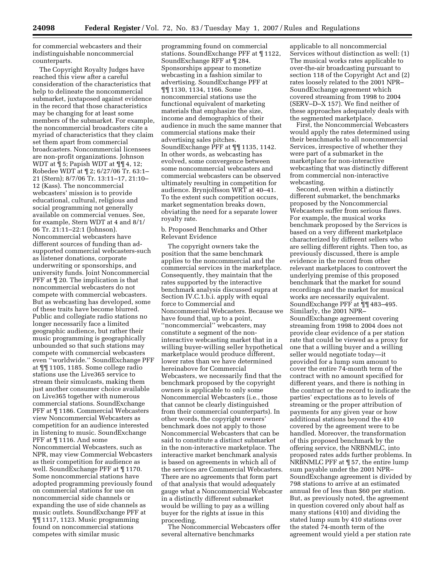for commercial webcasters and their indistinguishable noncommercial counterparts.

The Copyright Royalty Judges have reached this view after a careful consideration of the characteristics that help to delineate the noncommercial submarket, juxtaposed against evidence in the record that those characteristics may be changing for at least some members of the submarket. For example, the noncommercial broadcasters cite a myriad of characteristics that they claim set them apart from commercial broadcasters. Noncommercial licensees are non-profit organizations. Johnson WDT at ¶ 5; Papish WDT at ¶¶ 4, 12; Robedee WDT at ¶ 2; 6/27/06 Tr. 63:1– 21 (Stern); 8/7/06 Tr. 13:11–17, 21:10– 12 (Kass). The noncommercial webcasters' mission is to provide educational, cultural, religious and social programming not generally available on commercial venues. See, for example, Stern WDT at 4 and 8/1/ 06 Tr. 21:11–22:1 (Johnson). Noncommercial webcasters have different sources of funding than adsupported commercial webcasters-such as listener donations, corporate underwriting or sponsorships, and university funds. Joint Noncommercial PFF at ¶ 20. The implication is that noncommercial webcasters do not compete with commercial webcasters. But as webcasting has developed, some of these traits have become blurred. Public and collegiate radio stations no longer necessarily face a limited geographic audience, but rather their music programming is geographically unbounded so that such stations may compete with commercial webcasters even ''worldwide.'' SoundExchange PFF at ¶¶ 1105, 1185. Some college radio stations use the Live365 service to stream their simulcasts, making them just another consumer choice available on Live365 together with numerous commercial stations. SoundExchange PFF at ¶ 1186. Commercial Webcasters view Noncommercial Webcasters as competition for an audience interested in listening to music. SoundExchange PFF at ¶ 1116. And some Noncommercial Webcasters, such as NPR, may view Commercial Webcasters as their competition for audience as well. SoundExchange PFF at ¶ 1170. Some noncommercial stations have adopted programming previously found on commercial stations for use on noncommercial side channels or expanding the use of side channels as music outlets. SoundExchange PFF at ¶¶ 1117, 1123. Music programming found on noncommercial stations competes with similar music

programming found on commercial stations. SoundExchange PFF at ¶ 1122, SoundExchange RFF at ¶ 284. Sponsorships appear to monetize webcasting in a fashion similar to advertising. SoundExchange PFF at ¶¶ 1130, 1134, 1166. Some noncommercial stations use the functional equivalent of marketing materials that emphasize the size, income and demographics of their audience in much the same manner that commercial stations make their advertising sales pitches. SoundExchange PFF at ¶¶ 1135, 1142. In other words, as webcasting has evolved, some convergence between some noncommercial webcasters and commercial webcasters can be observed ultimately resulting in competition for audience. Brynjolfsson WRT at 40–41. To the extent such competition occurs, market segmentation breaks down, obviating the need for a separate lower royalty rate.

#### b. Proposed Benchmarks and Other Relevant Evidence

The copyright owners take the position that the same benchmark applies to the noncommercial and the commercial services in the marketplace. Consequently, they maintain that the rates supported by the interactive benchmark analysis discussed supra at Section IV.C.1.b.i. apply with equal force to Commercial and Noncommercial Webcasters. Because we have found that, up to a point, ''noncommercial'' webcasters, may constitute a segment of the noninteractive webcasting market that in a willing buyer-willing seller hypothetical marketplace would produce different, lower rates than we have determined hereinabove for Commercial Webcasters, we necessarily find that the benchmark proposed by the copyright owners is applicable to only some Noncommercial Webcasters (i.e., those that cannot be clearly distinguished from their commercial counterparts). In other words, the copyright owners' benchmark does not apply to those Noncommercial Webcasters that can be said to constitute a distinct submarket in the non-interactive marketplace. The interactive market benchmark analysis is based on agreements in which all of the services are Commercial Webcasters. There are no agreements that form part of that analysis that would adequately gauge what a Noncommercial Webcaster in a distinctly different submarket would be willing to pay as a willing buyer for the rights at issue in this proceeding.

The Noncommercial Webcasters offer several alternative benchmarks

applicable to all noncommercial Services without distinction as well: (1) The musical works rates applicable to over-the-air broadcasting pursuant to section 118 of the Copyright Act and (2) rates loosely related to the 2001 NPR– SoundExchange agreement which covered streaming from 1998 to 2004 (SERV–D–X 157). We find neither of these approaches adequately deals with the segmented marketplace.

First, the Noncommercial Webcasters would apply the rates determined using their benchmarks to all noncommercial Services, irrespective of whether they were part of a submarket in the marketplace for non-interactive webcasting that was distinctly different from commercial non-interactive webcasting.

Second, even within a distinctly different submarket, the benchmarks proposed by the Noncommercial Webcasters suffer from serious flaws. For example, the musical works benchmark proposed by the Services is based on a very different marketplace characterized by different sellers who are selling different rights. Then too, as previously discussed, there is ample evidence in the record from other relevant marketplaces to controvert the underlying premise of this proposed benchmark that the market for sound recordings and the market for musical works are necessarily equivalent. SoundExchange PFF at ¶¶ 483–495. Similarly, the 2001 NPR– SoundExchange agreement covering streaming from 1998 to 2004 does not provide clear evidence of a per station rate that could be viewed as a proxy for one that a willing buyer and a willing seller would negotiate today—it provided for a lump sum amount to cover the entire 74-month term of the contract with no amount specified for different years, and there is nothing in the contract or the record to indicate the parties' expectations as to levels of streaming or the proper attribution of payments for any given year or how additional stations beyond the 410 covered by the agreement were to be handled. Moreover, the transformation of this proposed benchmark by the offering service, the NRBNMLC, into proposed rates adds further problems. In NRBNMLC PFF at ¶ 57, the entire lump sum payable under the 2001 NPR– SoundExchange agreement is divided by 798 stations to arrive at an estimated annual fee of less than \$60 per station. But, as previously noted, the agreement in question covered only about half as many stations (410) and dividing the stated lump sum by 410 stations over the stated 74-month term of the agreement would yield a per station rate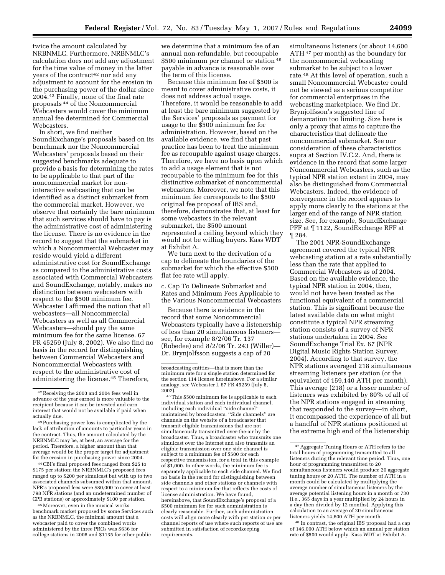twice the amount calculated by NRBNMLC. Furthermore, NRBNMLC's calculation does not add any adjustment for the time value of money in the latter years of the contract<sup>42</sup> nor add any adjustment to account for the erosion in the purchasing power of the dollar since 2004.43 Finally, none of the final rate proposals 44 of the Noncommercial Webcasters would cover the minimum annual fee determined for Commercial Webcasters.

In short, we find neither SoundExchange's proposals based on its benchmark nor the Noncommercial Webcasters' proposals based on their suggested benchmarks adequate to provide a basis for determining the rates to be applicable to that part of the noncommercial market for noninteractive webcasting that can be identified as a distinct submarket from the commercial market. However, we observe that certainly the bare minimum that such services should have to pay is the administrative cost of administering the license. There is no evidence in the record to suggest that the submarket in which a Noncommercial Webcaster may reside would yield a different administrative cost for SoundExchange as compared to the administrative costs associated with Commercial Webcasters and SoundExchange, notably, makes no distinction between webcasters with respect to the \$500 minimum fee. Webcaster I affirmed the notion that all webcasters—all Noncommercial Webcasters as well as all Commercial Webcasters—should pay the same minimum fee for the same license. 67 FR 45259 (July 8, 2002). We also find no basis in the record for distinguishing between Commercial Webcasters and Noncommercial Webcasters with respect to the administrative cost of administering the license.45 Therefore,

44CBI's final proposed fees ranged from \$25 to \$175 per station; the NRBNMLC's proposed fees ranged up to \$200 per simulcast but with up to two associated channels subsumed within that amount. NPR's proposed fees were \$80,000 to cover at least 798 NPR stations (and an undetermined number of CPB stations) or approximately \$100 per station.

45Moreover, even in the musical works benchmark market proposed by some Services such as the NRBNMLC, the minimal amount that a webcaster paid to cover the combined works administered by the three PROs was \$636 for college stations in 2006 and \$1135 for other public

we determine that a minimum fee of an annual non-refundable, but recoupable \$500 minimum per channel or station 46 payable in advance is reasonable over the term of this license.

Because this minimum fee of \$500 is meant to cover administrative costs, it does not address actual usage. Therefore, it would be reasonable to add at least the bare minimum suggested by the Services' proposals as payment for usage to the \$500 minimum fee for administration. However, based on the available evidence, we find that past practice has been to treat the minimum fee as recoupable against usage charges. Therefore, we have no basis upon which to add a usage element that is not recoupable to the minimum fee for this distinctive submarket of noncommercial webcasters. Moreover, we note that this minimum fee corresponds to the \$500 original fee proposal of IBS and, therefore, demonstrates that, at least for some webcasters in the relevant submarket, the \$500 amount represented a ceiling beyond which they would not be willing buyers. Kass WDT at Exhibit A.

We turn next to the derivation of a cap to delineate the boundaries of the submarket for which the effective \$500 flat fee rate will apply.

c. Cap To Delineate Submarket and Rates and Minimum Fees Applicable to the Various Noncommercial Webcasters

Because there is evidence in the record that some Noncommercial Webcasters typically have a listenership of less than 20 simultaneous listeners see, for example 8/2/06 Tr. 137 (Robedee) and 8/2/06 Tr. 243 (Willer)— Dr. Brynjolfsson suggests a cap of 20

46This \$500 minimum fee is applicable to each individual station and each individual channel, including each individual ''side channel'' maintained by broadcasters. ''Side channels'' are channels on the website of a broadcaster that transmit eligible transmissions that are not simultaneously transmitted over-the-air by the broadcaster. Thus, a broadcaster who transmits one simulcast over the Internet and also transmits an eligible transmission over one side channel is subject to a minimum fee of \$500 for each respective transmission, for a total in this example of \$1,000. In other words, the minimum fee is separately applicable to each side channel. We find no basis in the record for distinguishing between side channels and other stations or channels with respect to a minimum fee that reflects the costs of license administration. We have found, hereinabove, that SoundExchange's proposal of a \$500 minimum fee for such administration is clearly reasonable. Further, such administration costs will align more clearly with per station or per channel reports of use where such reports of use are submitted in satisfaction of recordkeeping requirements.

simultaneous listeners (or about 14,600 ATH 47 per month) as the boundary for the noncommercial webcasting submarket to be subject to a lower rate.48 At this level of operation, such a small Noncommercial Webcaster could not be viewed as a serious competitor for commercial enterprises in the webcasting marketplace. We find Dr. Brynjolfsson's suggested line of demarcation too limiting. Size here is only a proxy that aims to capture the characteristics that delineate the noncommercial submarket. See our consideration of these characteristics supra at Section IV.C.2. And, there is evidence in the record that some larger Noncommercial Webcasters, such as the typical NPR station extant in 2004, may also be distinguished from Commercial Webcasters. Indeed, the evidence of convergence in the record appears to apply more clearly to the stations at the larger end of the range of NPR station size. See, for example, SoundExchange PFF at ¶ 1122, SoundExchange RFF at ¶ 284.

The 2001 NPR-SoundExchange agreement covered the typical NPR webcasting station at a rate substantially less than the rate that applied to Commercial Webcasters as of 2004. Based on the available evidence, the typical NPR station in 2004, then, would not have been treated as the functional equivalent of a commercial station. This is significant because the latest available data on what might constitute a typical NPR streaming station consists of a survey of NPR stations undertaken in 2004. See SoundExchange Trial Ex. 67 (NPR Digital Music Rights Station Survey, 2004). According to that survey, the NPR stations averaged 218 simultaneous streaming listeners per station (or the equivalent of 159,140 ATH per month). This average (218) or a lesser number of listeners was exhibited by 80% of all of the NPR stations engaged in streaming that responded to the survey—in short, it encompassed the experience of all but a handful of NPR stations positioned at the extreme high end of the listenership

48 In contrast, the original IBS proposal had a cap of 146,000 ATH below which an annual per station rate of \$500 would apply. Kass WDT at Exhibit A.

<sup>42</sup>Receiving the 2003 and 2004 fees well in advance of the year earned is more valuable to the recipient because it can be invested and earn interest that would not be available if paid when actually due.

<sup>43</sup>Purchasing power loss is complicated by the lack of attribution of amounts to particular years in the contract. Thus, the amount calculated by the NRBNMLC may be, at best, an average for the period. Therefore, a higher amount than that average would be the proper target for adjustment for the erosion in purchasing power since 2004.

broadcasting entities—that is more than the minimum rate for a single station determined for the section 114 license hereinabove. For a similar analogy, see Webcaster I, 67 FR 45259 (July 8, 2002).

<sup>47</sup>Aggregate Tuning Hours or ATH refers to the total hours of programming transmitted to all listeners during the relevant time period. Thus, one hour of programming transmitted to 20 simultaneous listeners would produce 20 aggregate tuning hours or 20 ATH. The number of ATH in a month could be calculated by multiplying the average number of simultaneous listeners by the average potential listening hours in a month or 730 (i.e., 365 days in a year multiplied by 24 hours in a day then divided by 12 months). Applying this calculation to an average of 20 simultaneous listeners yields 14,600 ATH per month.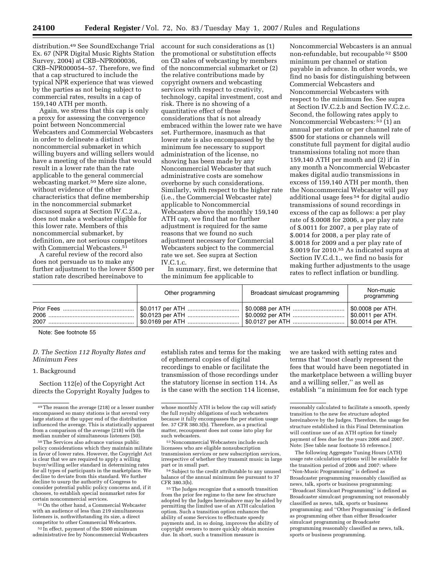distribution.49 See SoundExchange Trial Ex. 67 (NPR Digital Music Rights Station Survey, 2004) at CRB–NPR000036, CRB–NPR000054–57. Therefore, we find that a cap structured to include the typical NPR experience that was viewed by the parties as not being subject to commercial rates, results in a cap of 159,140 ATH per month.

Again, we stress that this cap is only a proxy for assessing the convergence point between Noncommercial Webcasters and Commercial Webcasters in order to delineate a distinct noncommercial submarket in which willing buyers and willing sellers would have a meeting of the minds that would result in a lower rate than the rate applicable to the general commercial webcasting market.50 Mere size alone, without evidence of the other characteristics that define membership in the noncommercial submarket discussed supra at Section IV.C.2.a., does not make a webcaster eligible for this lower rate. Members of this noncommercial submarket, by definition, are not serious competitors with Commercial Webcasters.<sup>51</sup>

A careful review of the record also does not persuade us to make any further adjustment to the lower \$500 per station rate described hereinabove to

account for such considerations as (1) the promotional or substitution effects on CD sales of webcasting by members of the noncommercial submarket or (2) the relative contributions made by copyright owners and webcasting services with respect to creativity, technology, capital investment, cost and risk. There is no showing of a quantitative effect of these considerations that is not already embraced within the lower rate we have set. Furthermore, inasmuch as that lower rate is also encompassed by the minimum fee necessary to support administration of the license, no showing has been made by any Noncommercial Webcaster that such administrative costs are somehow overborne by such considerations. Similarly, with respect to the higher rate (i.e., the Commercial Webcaster rate) applicable to Noncommercial Webcasters above the monthly 159,140 ATH cap, we find that no further adjustment is required for the same reasons that we found no such adjustment necessary for Commercial Webcasters subject to the commercial rate we set. See supra at Section IV.C.1.c.

In summary, first, we determine that the minimum fee applicable to

Noncommercial Webcasters is an annual non-refundable, but recoupable 52 \$500 minimum per channel or station payable in advance. In other words, we find no basis for distinguishing between Commercial Webcasters and Noncommercial Webcasters with respect to the minimum fee. See supra at Section IV.C.2.b and Section IV.C.2.c. Second, the following rates apply to Noncommercial Webcasters: 53 (1) an annual per station or per channel rate of \$500 for stations or channels will constitute full payment for digital audio transmissions totaling not more than 159,140 ATH per month and (2) if in any month a Noncommercial Webcaster makes digital audio transmissions in excess of 159,140 ATH per month, then the Noncommercial Webcaster will pay additional usage fees 54 for digital audio transmissions of sound recordings in excess of the cap as follows: a per play rate of \$.0008 for 2006, a per play rate of \$.0011 for 2007, a per play rate of \$.0014 for 2008, a per play rate of \$.0018 for 2009 and a per play rate of \$.0019 for 2010.55 As indicated supra at Section IV.C.d.1., we find no basis for making further adjustments to the usage rates to reflect inflation or bundling.

| Other programming                                             | Broadcast simulcast programming                                                    | Non-music<br>programming |
|---------------------------------------------------------------|------------------------------------------------------------------------------------|--------------------------|
| │ \$0.0123 per ATH …………………………… │ \$0.0092 per ATH …………………………… | │ \$0.0169 per ATH ……………………………. │ \$0.0127 per ATH …………………………… │ \$0.0014 per ATH. | .   \$0.0011 per ATH.    |

Note: See footnote 55

#### *D. The Section 112 Royalty Rates and Minimum Fees*

#### 1. Background

Section 112(e) of the Copyright Act directs the Copyright Royalty Judges to

policy considerations which they maintain militate in favor of lower rates. However, the Copyright Act is clear that we are required to apply a willing buyer/willing seller standard in determining rates for all types of participants in the marketplace. We decline to deviate from this standard. We further decline to usurp the authority of Congress to consider potential public policy concerns and, if it chooses, to establish special nonmarket rates for

 $51$  On the other hand, a Commercial Webcaster with an audience of less than 219 simultaneous listeners is, nothwithstanding its size, a direct competitor to other Commercial Webcasters.

52 In effect, payment of the \$500 minimum administrative fee by Noncommercial Webcasters

establish rates and terms for the making of ephemeral copies of digital recordings to enable or facilitate the transmission of those recordings under the statutory license in section 114. As is the case with the section 114 license,

such webcasters. 53Noncommercial Webcasters include such licensees who are eligible nonsubscription transmission services or new subscription services, irrespective of whether they transmit music in large

<sup>54</sup> Subject to the credit attributable to any unused balance of the annual minimum fee pursuant to 37<br>CFR 380.3(b).

55 The Judges recognize that a smooth transition from the prior fee regime to the new fee structure adopted by the Judges hereinabove may be aided by permitting the limited use of an ATH calculation option. Such a transition option enhances the ability of some Services to effectuate speedy payments and, in so doing, improves the ability of copyright owners to more quickly obtain monies due. In short, such a transition measure is

we are tasked with setting rates and terms that ''most clearly represent the fees that would have been negotiated in the marketplace between a willing buyer and a willing seller,'' as well as establish ''a minimum fee for each type

The following Aggregate Tuning Hours (ATH) usage rate calculation options will be available for the transition period of 2006 and 2007: where ''Non-Music Programming'' is defined as Broadcaster programming reasonably classified as news, talk, sports or business programming; ''Broadcast Simulcast Programming'' is defined as Broadcaster simulcast programming not reasonably classified as news, talk, sports or business programming; and ''Other Programming'' is defined as programming other than either Broadcaster simulcast programming or Broadcaster programming reasonably classified as news, talk, sports or business programming.

<sup>49</sup>The reason the average (218) or a lesser number encompassed so many stations is that several very large stations at the upper end of the distribution influenced the average. This is statistically apparent from a comparison of the average (218) with the median number of simultaneous listeners (50). 50The Services also advance various public

whose monthly ATH is below the cap will satisfy the full royalty obligations of such webcasters because it fully encompasses the per station usage fee. 37 CFR 380.3(b). Therefore, as a practical matter, recoupment does not come into play for

reasonably calculated to facilitate a smooth, speedy transition to the new fee structure adopted hereinabove by the Judges. Therefore, the usage fee structure established in this Final Determination will continue use of an ATH option for timely payment of fees due for the years 2006 and 2007. Note: [See table near footnote 55 reference.]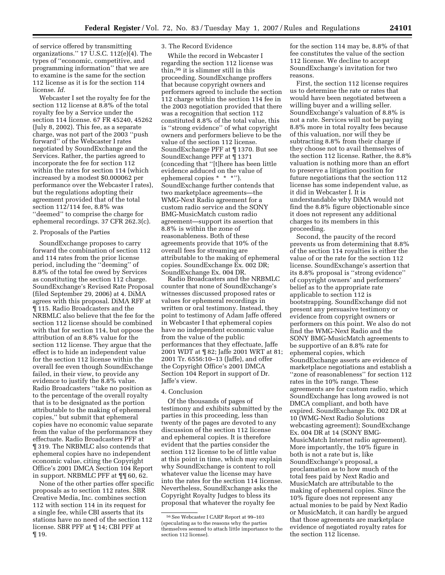of service offered by transmitting organizations."  $17$  U.S.C.  $112(e)(4)$ . The types of ''economic, competitive, and programming information'' that we are to examine is the same for the section 112 license as it is for the section 114 license. *Id.* 

Webcaster I set the royalty fee for the section 112 license at 8.8% of the total royalty fee by a Service under the section 114 license. 67 FR 45240, 45262 (July 8, 2002). This fee, as a separate charge, was not part of the 2003 ''push forward'' of the Webcaster I rates negotiated by SoundExchange and the Services. Rather, the parties agreed to incorporate the fee for section 112 within the rates for section 114 (which increased by a modest \$0.000062 per performance over the Webcaster I rates), but the regulations adopting their agreement provided that of the total section 112/114 fee, 8.8% was ''deemed'' to comprise the charge for ephemeral recordings. 37 CFR 262.3(c).

#### 2. Proposals of the Parties

SoundExchange proposes to carry forward the combination of section 112 and 114 rates from the prior license period, including the ''deeming'' of 8.8% of the total fee owed by Services as constituting the section 112 charge. SoundExchange's Revised Rate Proposal (filed September 29, 2006) at 4. DiMA agrees with this proposal. DiMA RFF at ¶ 115. Radio Broadcasters and the NRBMLC also believe that the fee for the section 112 license should be combined with that for section 114, but oppose the attribution of an 8.8% value for the section 112 license. They argue that the effect is to hide an independent value for the section 112 license within the overall fee even though SoundExchange failed, in their view, to provide any evidence to justify the 8.8% value. Radio Broadcasters ''take no position as to the percentage of the overall royalty that is to be designated as the portion attributable to the making of ephemeral copies,'' but submit that ephemeral copies have no economic value separate from the value of the performances they effectuate. Radio Broadcasters PFF at ¶ 319. The NRBMLC also contends that ephemeral copies have no independent economic value, citing the Copyright Office's 2001 DMCA Section 104 Report in support. NRBMLC PFF at ¶¶ 60, 62.

None of the other parties offer specific proposals as to section 112 rates. SBR Creative Media, Inc. combines section 112 with section 114 in its request for a single fee, while CBI asserts that its stations have no need of the section 112 license. SBR PFF at ¶ 14; CBI PFF at ¶ 19.

#### 3. The Record Evidence

While the record in Webcaster I regarding the section 112 license was thin,56 it is slimmer still in this proceeding. SoundExchange proffers that because copyright owners and performers agreed to include the section 112 charge within the section 114 fee in the 2003 negotiation provided that there was a recognition that section 112 constituted 8.8% of the total value, this is ''strong evidence'' of what copyright owners and performers believe to be the value of the section 112 license. SoundExchange PFF at ¶ 1370. But see SoundExchange PFF at ¶ 1371 (conceding that ''[t]here has been little evidence adduced on the value of ephemeral copies \* \* \*''). SoundExchange further contends that two marketplace agreements—the WMG-Next Radio agreement for a custom radio service and the SONY BMG-MusicMatch custom radio agreement—support its assertion that 8.8% is within the zone of reasonableness. Both of these agreements provide that 10% of the overall fees for streaming are attributable to the making of ephemeral copies. SoundExchange Ex. 002 DR; SoundExchange Ex. 004 DR.

Radio Broadcasters and the NRBMLC counter that none of SoundExchange's witnesses discussed proposed rates or values for ephemeral recordings in written or oral testimony. Instead, they point to testimony of Adam Jaffe offered in Webcaster I that ephemeral copies have no independent economic value from the value of the public performances that they effectuate, Jaffe 2001 WDT at ¶ 82; Jaffe 2001 WRT at 81; 2001 Tr. 6556:10–13 (Jaffe), and offer the Copyright Office's 2001 DMCA Section 104 Report in support of Dr. Jaffe's view.

#### 4. Conclusion

Of the thousands of pages of testimony and exhibits submitted by the parties in this proceeding, less than twenty of the pages are devoted to any discussion of the section 112 license and ephemeral copies. It is therefore evident that the parties consider the section 112 license to be of little value at this point in time, which may explain why SoundExchange is content to roll whatever value the license may have into the rates for the section 114 license. Nevertheless, SoundExchange asks the Copyright Royalty Judges to bless its proposal that whatever the royalty fee

for the section 114 may be, 8.8% of that fee constitutes the value of the section 112 license. We decline to accept SoundExchange's invitation for two reasons.

First, the section 112 license requires us to determine the rate or rates that would have been negotiated between a willing buyer and a willing seller. SoundExchange's valuation of 8.8% is not a rate. Services will not be paying 8.8% more in total royalty fees because of this valuation, nor will they be subtracting 8.8% from their charge if they choose not to avail themselves of the section 112 license. Rather, the 8.8% valuation is nothing more than an effort to preserve a litigation position for future negotiations that the section 112 license has some independent value, as it did in Webcaster I. It is understandable why DiMA would not find the 8.8% figure objectionable since it does not represent any additional charges to its members in this proceeding.

Second, the paucity of the record prevents us from determining that 8.8% of the section 114 royalties is either the value of or the rate for the section 112 license. SoundExchange's assertion that its 8.8% proposal is ''strong evidence'' of copyright owners' and performers' belief as to the appropriate rate applicable to section 112 is bootstrapping. SoundExchange did not present any persuasive testimony or evidence from copyright owners or performers on this point. We also do not find the WMG-Next Radio and the SONY BMG-MusicMatch agreements to be supportive of an 8.8% rate for ephemeral copies, which SoundExchange asserts are evidence of marketplace negotiations and establish a ''zone of reasonableness'' for section 112 rates in the 10% range. These agreements are for custom radio, which SoundExchange has long avowed is not DMCA compliant, and both have expired. SoundExchange Ex. 002 DR at 10 (WMG-Next Radio Solutions webcasting agreement); SoundExchange Ex. 004 DR at 14 (SONY BMG-MusicMatch Internet radio agreement). More importantly, the 10% figure in both is not a rate but is, like SoundExchange's proposal, a proclamation as to how much of the total fees paid by Next Radio and MusicMatch are attributable to the making of ephemeral copies. Since the 10% figure does not represent any actual monies to be paid by Next Radio or MusicMatch, it can hardly be argued that those agreements are marketplace evidence of negotiated royalty rates for the section 112 license.

<sup>56</sup>See Webcaster I CARP Report at 99–103 (speculating as to the reasons why the parties themselves seemed to attach little importance to the section 112 license).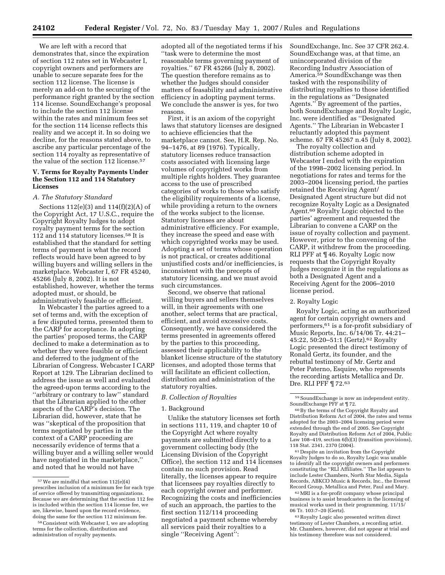We are left with a record that demonstrates that, since the expiration of section 112 rates set in Webcaster I, copyright owners and performers are unable to secure separate fees for the section 112 license. The license is merely an add-on to the securing of the performance right granted by the section 114 license. SoundExchange's proposal to include the section 112 license within the rates and minimum fees set for the section 114 license reflects this reality and we accept it. In so doing we decline, for the reasons stated above, to ascribe any particular percentage of the section 114 royalty as representative of the value of the section 112 license.<sup>57</sup>

#### **V. Terms for Royalty Payments Under the Section 112 and 114 Statutory Licenses**

#### *A. The Statutory Standard*

Sections 112(e)(3) and 114(f)(2)(A) of the Copyright Act, 17 U.S.C., require the Copyright Royalty Judges to adopt royalty payment terms for the section 112 and 114 statutory licenses.58 It is established that the standard for setting terms of payment is what the record reflects would have been agreed to by willing buyers and willing sellers in the marketplace. Webcaster I, 67 FR 45240, 45266 (July 8, 2002). It is not established, however, whether the terms adopted must, or should, be administratively feasible or efficient.

In Webcaster I the parties agreed to a set of terms and, with the exception of a few disputed terms, presented them to the CARP for acceptance. In adopting the parties' proposed terms, the CARP declined to make a determination as to whether they were feasible or efficient and deferred to the judgment of the Librarian of Congress. Webcaster I CARP Report at 129. The Librarian declined to address the issue as well and evaluated the agreed-upon terms according to the ''arbitrary or contrary to law'' standard that the Librarian applied to the other aspects of the CARP's decision. The Librarian did, however, state that he was ''skeptical of the proposition that terms negotiated by parties in the context of a CARP proceeding are necessarily evidence of terms that a willing buyer and a willing seller would have negotiated in the marketplace,'' and noted that he would not have

adopted all of the negotiated terms if his ''task were to determine the most reasonable terms governing payment of royalties.'' 67 FR 45266 (July 8, 2002). The question therefore remains as to whether the Judges should consider matters of feasability and administrative efficiency in adopting payment terms. We conclude the answer is yes, for two reasons.

First, it is an axiom of the copyright laws that statutory licenses are designed to achieve efficiencies that the marketplace cannot. See, H.R. Rep. No. 94–1476, at 89 (1976). Typically, statutory licenses reduce transaction costs associated with licensing large volumes of copyrighted works from multiple rights holders. They guarantee access to the use of prescribed categories of works to those who satisfy the eligibility requirements of a license, while providing a return to the owners of the works subject to the license. Statutory licenses are about administrative efficiency. For example, they increase the speed and ease with which copyrighted works may be used. Adopting a set of terms whose operation is not practical, or creates additional unjustified costs and/or inefficiencies, is inconsistent with the precepts of statutory licensing, and we must avoid such circumstances.

Second, we observe that rational willing buyers and sellers themselves will, in their agreements with one another, select terms that are practical, efficient, and avoid excessive costs. Consequently, we have considered the terms presented in agreements offered by the parties to this proceeding, assessed their applicability to the blanket license structure of the statutory licenses, and adopted those terms that will facilitate an efficient collection, distribution and administration of the statutory royalties.

#### *B. Collection of Royalties*

#### 1. Background

Unlike the statutory licenses set forth in sections 111, 119, and chapter 10 of the Copyright Act where royalty payments are submitted directly to a government collecting body (the Licensing Division of the Copyright Office), the section 112 and 114 licenses contain no such provision. Read literally, the licenses appear to require that licensees pay royalties directly to each copyright owner and performer. Recognizing the costs and inefficiencies of such an approach, the parties to the first section 112/114 proceeding negotiated a payment scheme whereby all services paid their royalties to a single ''Receiving Agent'':

SoundExchange, Inc. See 37 CFR 262.4. SoundExchange was, at that time, an unincorporated division of the Recording Industry Association of America.<sup>59</sup> SoundExchange was then tasked with the responsibility of distributing royalties to those identified in the regulations as ''Designated Agents.'' By agreement of the parties, both SoundExchange and Royalty Logic, Inc. were identified as ''Designated Agents.'' The Librarian in Webcaster I reluctantly adopted this payment scheme. 67 FR 45267 n.45 (July 8, 2002).

The royalty collection and distribution scheme adopted in Webcaster I ended with the expiration of the 1998–2002 licensing period. In negotiations for rates and terms for the 2003–2004 licensing period, the parties retained the Receiving Agent/ Designated Agent structure but did not recognize Royalty Logic as a Designated Agent.60 Royalty Logic objected to the parties' agreement and requested the Librarian to convene a CARP on the issue of royalty collection and payment. However, prior to the convening of the CARP, it withdrew from the proceeding. RLI PFF at ¶ 46. Royalty Logic now requests that the Copyright Royalty Judges recognize it in the regulations as both a Designated Agent and a Receiving Agent for the 2006–2010 license period.

#### 2. Royalty Logic

Royalty Logic, acting as an authorized agent for certain copyright owners and performers,61 is a for-profit subsidiary of Music Reports, Inc. 6/14/06 Tr. 44:21– 45:22, 50:20–51:1 (Gertz).62 Royalty Logic presented the direct testimony of Ronald Gertz, its founder, and the rebuttal testimony of Mr. Gertz and Peter Paterno, Esquire, who represents the recording artists Metallica and Dr. Dre. RLI PFF ¶ 72.63

61 Despite an invitation from the Copyright Royalty Judges to do so, Royalty Logic was unable to identify all the copyright owners and performers constituting the ''RLI Affiliates.'' The list appears to include Lester Chambers, North Star Media, Sigala Records, ABKCO Music & Records, Inc., the Everest Record Group, Metallica and Peter, Paul and Mary.

62MRI is a for-profit company whose principal business is to assist broadcasters in the licensing of musical works used in their programming. 11/15/ 06 Tr. 103:7–20 (Gertz).

63Royalty Logic also presented written direct testimony of Lester Chambers, a recording artist. Mr. Chambers, however, did not appear at trial and his testimony therefore was not considered.

<sup>57</sup>We are mindful that section 112(e)(4) prescribes inclusion of a minimum fee for each type of service offered by transmitting organizations. Because we are determining that the section 112 fee is included within the section 114 license fee, we are, likewise, based upon the record evidence, doing the same for the section 112 minimum fee.

<sup>&</sup>lt;sup>58</sup> Consistent with Webcaster I, we are adopting terms for the collection, distribution and administration of royalty payments.

<sup>59</sup>SoundExchange is now an independent entity. SoundExchange PFF at ¶ 72.

<sup>60</sup>By the terms of the Copyright Royalty and Distribution Reform Act of 2004, the rates and terms adopted for the 2003–2004 licensing period were extended through the end of 2005. See Copyright Royalty and Distribution Reform Act of 2004, Public Law 108–419, section 6(b)(3) (transition provisions), 118 Stat. 2341, 2370 (2004).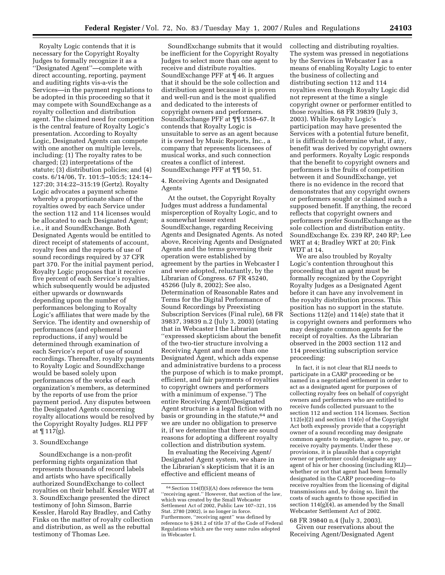Royalty Logic contends that it is necessary for the Copyright Royalty Judges to formally recognize it as a ''Designated Agent''—complete with direct accounting, reporting, payment and auditing rights vis-a-vis the Services—in the payment regulations to be adopted in this proceeding so that it may compete with SoundExchange as a royalty collection and distribution agent. The claimed need for competition is the central feature of Royalty Logic's presentation. According to Royalty Logic, Designated Agents can compete with one another on multiple levels, including: (1) The royalty rates to be charged; (2) interpretations of the statute; (3) distribution policies; and (4) costs. 6/14/06, Tr. 101:5–105:5; 124:14– 127:20; 314:22–315:19 (Gertz). Royalty Logic advocates a payment scheme whereby a proportionate share of the royalties owed by each Service under the section 112 and 114 licenses would be allocated to each Designated Agent; i.e., it and SoundExchange. Both Designated Agents would be entitled to direct receipt of statements of account, royalty fees and the reports of use of sound recordings required by 37 CFR part 370. For the initial payment period, Royalty Logic proposes that it receive five percent of each Service's royalties, which subsequently would be adjusted either upwards or downwards depending upon the number of performances belonging to Royalty Logic's affiliates that were made by the Service. The identity and ownership of performances (and ephemeral reproductions, if any) would be determined through examination of each Service's report of use of sound recordings. Thereafter, royalty payments to Royalty Logic and SoundExchange would be based solely upon performances of the works of each organization's members, as determined by the reports of use from the prior payment period. Any disputes between the Designated Agents concerning royalty allocations would be resolved by the Copyright Royalty Judges. RLI PFF at ¶ 117(g).

#### 3. SoundExchange

SoundExchange is a non-profit performing rights organization that represents thousands of record labels and artists who have specifically authorized SoundExchange to collect royalties on their behalf. Kessler WDT at 3. SoundExchange presented the direct testimony of John Simson, Barrie Kessler, Harold Ray Bradley, and Cathy Finks on the matter of royalty collection and distribution, as well as the rebuttal testimony of Thomas Lee.

SoundExchange submits that it would be inefficient for the Copyright Royalty Judges to select more than one agent to receive and distribute royalties. SoundExchange PFF at ¶ 46. It argues that it should be the sole collection and distribution agent because it is proven and well-run and is the most qualified and dedicated to the interests of copyright owners and performers. SoundExchange PFF at ¶¶ 1558–67. It contends that Royalty Logic is unsuitable to serve as an agent because it is owned by Music Reports, Inc., a company that represents licensees of musical works, and such connection creates a conflict of interest. SoundExchange PFF at ¶¶ 50, 51.

4. Receiving Agents and Designated Agents

At the outset, the Copyright Royalty Judges must address a fundamental misperception of Royalty Logic, and to a somewhat lesser extent SoundExchange, regarding Receiving Agents and Designated Agents. As noted above, Receiving Agents and Designated Agents and the terms governing their operation were established by agreement by the parties in Webcaster I and were adopted, reluctantly, by the Librarian of Congress. 67 FR 45240, 45266 (July 8, 2002); See also, Determination of Reasonable Rates and Terms for the Digital Performance of Sound Recordings by Preexisting Subscription Services (Final rule), 68 FR 39837, 39839 n.2 (July 3, 2003) (stating that in Webcaster I the Librarian ''expressed skepticism about the benefit of the two-tier structure involving a Receiving Agent and more than one Designated Agent, which adds expense and administrative burdens to a process the purpose of which is to make prompt, efficient, and fair payments of royalties to copyright owners and performers with a minimum of expense.'') The entire Receiving Agent/Designated Agent structure is a legal fiction with no basis or grounding in the statute,64 and we are under no obligation to preserve it, if we determine that there are sound reasons for adopting a different royalty collection and distribution system.

In evaluating the Receiving Agent/ Designated Agent system, we share in the Librarian's skepticism that it is an effective and efficient means of

collecting and distributing royalties. The system was pressed in negotiations by the Services in Webcaster I as a means of enabling Royalty Logic to enter the business of collecting and distributing section 112 and 114 royalties even though Royalty Logic did not represent at the time a single copyright owner or performer entitled to those royalties. 68 FR 39839 (July 3, 2003). While Royalty Logic's participation may have presented the Services with a potential future benefit, it is difficult to determine what, if any, benefit was derived by copyright owners and performers. Royalty Logic responds that the benefit to copyright owners and performers is the fruits of competition between it and SoundExchange, yet there is no evidence in the record that demonstrates that any copyright owners or performers sought or claimed such a supposed benefit. If anything, the record reflects that copyright owners and performers prefer SoundExchange as the sole collection and distribution entity. SoundExchange Ex. 239 RP, 240 RP; Lee WRT at 4; Bradley WRT at 20; Fink WDT at 14.

We are also troubled by Royalty Logic's contention throughout this proceeding that an agent must be formally recognized by the Copyright Royalty Judges as a Designated Agent before it can have any involvement in the royalty distribution process. This position has no support in the statute. Sections 112(e) and 114(e) state that it is copyright owners and performers who may designate common agents for the receipt of royalties. As the Librarian observed in the 2003 section 112 and 114 preexisting subscription service proceeding:

In fact, it is not clear that RLI needs to participate in a CARP proceeding or be named in a negotiated settlement in order to act as a designated agent for purposes of collecting royalty fees on behalf of copyright owners and performers who are entitled to receive funds collected pursuant to the section 112 and section 114 licenses. Section 112(e)(2) and section 114(e) of the Copyright Act both expressly provide that a copyright owner of a sound recording may designate common agents to negotiate, agree to, pay, or receive royalty payments. Under these provisions, it is plausible that a copyright owner or performer could designate any agent of his or her choosing (including RLI) whether or not that agent had been formally designated in the CARP proceeding—to receive royalties from the licensing of digital transmissions and, by doing so, limit the costs of such agents to those specified in section  $114(g)(4)$ , as amended by the Small Webcaster Settlement Act of 2002.

68 FR 39840 n.4 (July 3, 2003). Given our reservations about the Receiving Agent/Designated Agent

 $64$  Section 114(f)(5)(A) does reference the term ''receiving agent.'' However, that section of the law, which was created by the Small Webcaster Settlement Act of 2002, Public Law 107–321, 116 Stat. 2780 (2002), is no longer in force. Furthermore, ''receiving agent'' was defined by reference to § 261.2 of title 37 of the Code of Federal Regulations which are the very same rules adopted in Webcaster I.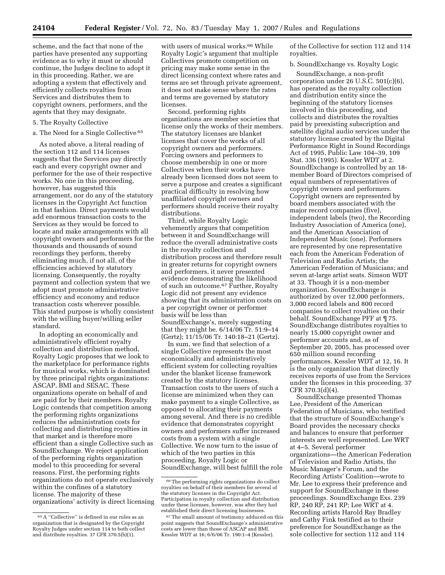scheme, and the fact that none of the parties have presented any supporting evidence as to why it must or should continue, the Judges decline to adopt it in this proceeding. Rather, we are adopting a system that effectively and efficiently collects royalties from Services and distributes them to copyright owners, performers, and the agents that they may designate.

#### 5. The Royalty Collective

#### a. The Need for a Single Collective 65

As noted above, a literal reading of the section 112 and 114 licenses suggests that the Services pay directly each and every copyright owner and performer for the use of their respective works. No one in this proceeding, however, has suggested this arrangement, nor do any of the statutory licenses in the Copyright Act function in that fashion. Direct payments would add enormous transaction costs to the Services as they would be forced to locate and make arrangements with all copyright owners and performers for the thousands and thousands of sound recordings they perform, thereby eliminating much, if not all, of the efficiencies achieved by statutory licensing. Consequently, the royalty payment and collection system that we adopt must promote administrative efficiency and economy and reduce transaction costs wherever possible. This stated purpose is wholly consistent with the willing buyer/willing seller standard.

In adopting an economically and administratively efficient royalty collection and distribution method, Royalty Logic proposes that we look to the marketplace for performance rights for musical works, which is dominated by three principal rights organizations: ASCAP, BMI and SESAC. These organizations operate on behalf of and are paid for by their members. Royalty Logic contends that competition among the performing rights organizations reduces the administration costs for collecting and distributing royalties in that market and is therefore more efficient than a single Collective such as SoundExchange. We reject application of the performing rights organization model to this proceeding for several reasons. First, the performing rights organizations do not operate exclusively within the confines of a statutory license. The majority of these organizations' activity is direct licensing with users of musical works.<sup>66</sup> While Royalty Logic's argument that multiple Collectives promote competition on pricing may make some sense in the direct licensing context where rates and terms are set through private agreement, it does not make sense where the rates and terms are governed by statutory licenses.

Second, performing rights organizations are member societies that license only the works of their members. The statutory licenses are blanket licenses that cover the works of all copyright owners and performers. Forcing owners and performers to choose membership in one or more Collectives when their works have already been licensed does not seem to serve a purpose and creates a significant practical difficulty in resolving how unaffiliated copyright owners and performers should receive their royalty distributions.

Third, while Royalty Logic vehemently argues that competition between it and SoundExchange will reduce the overall administrative costs in the royalty collection and distribution process and therefore result in greater returns for copyright owners and performers, it never presented evidence demonstrating the likelihood of such an outcome.67 Further, Royalty Logic did not present any evidence showing that its administration costs on a per copyright owner or performer basis will be less than SoundExchange's, merely suggesting that they might be. 6/14/06 Tr. 51:9–14 (Gertz); 11/15/06 Tr. 140:18–21 (Gertz).

In sum, we find that selection of a single Collective represents the most economically and administratively efficient system for collecting royalties under the blanket license framework created by the statutory licenses. Transaction costs to the users of such a license are minimized when they can make payment to a single Collective, as opposed to allocating their payments among several. And there is no credible evidence that demonstrates copyright owners and performers suffer increased costs from a system with a single Collective. We now turn to the issue of which of the two parties in this proceeding, Royalty Logic or SoundExchange, will best fulfill the role of the Collective for section 112 and 114 royalties.

b. SoundExchange vs. Royalty Logic

SoundExchange, a non-profit corporation under 26 U.S.C. 501(c)(6), has operated as the royalty collection and distribution entity since the beginning of the statutory licenses involved in this proceeding, and collects and distributes the royalties paid by preexisting subscription and satellite digital audio services under the statutory license created by the Digital Performance Right in Sound Recordings Act of 1995, Public Law 104–39, 109 Stat. 336 (1995). Kessler WDT at 2. SoundExchange is controlled by an 18 member Board of Directors comprised of equal numbers of representatives of copyright owners and performers. Copyright owners are represented by board members associated with the major record companies (five), independent labels (two), the Recording Industry Association of America (one), and the American Association of Independent Music (one). Performers are represented by one representative each from the American Federation of Television and Radio Artists; the American Federation of Musicians; and seven at-large artist seats. Simson WDT at 33. Though it is a non-member organization, SoundExchange is authorized by over 12,000 performers, 3,000 record labels and 800 record companies to collect royalties on their behalf. SoundExchange PFF at ¶ 75. SoundExchange distributes royalties to nearly 15,000 copyright owner and performer accounts and, as of September 20, 2005, has processed over 650 million sound recording performances. Kessler WDT at 12, 16. It is the only organization that directly receives reports of use from the Services under the licenses in this proceeding. 37 CFR 370.3(d)(4).

SoundExchange presented Thomas Lee, President of the American Federation of Musicians, who testified that the structure of SoundExchange's Board provides the necessary checks and balances to ensure that performer interests are well represented. Lee WRT at 4–5. Several performer organizations—the American Federation of Television and Radio Artists, the Music Manager's Forum, and the Recording Artists' Coalition—wrote to Mr. Lee to express their preference and support for SoundExchange in these proceedings. SoundExchange Exs. 239 RP, 240 RP, 241 RP; Lee WRT at 4. Recording artists Harold Ray Bradley and Cathy Fink testified as to their preference for SoundExchange as the sole collective for section 112 and 114

<sup>65</sup>A ''Collective'' is defined in our rules as an organization that is designated by the Copyright Royalty Judges under section 114 to both collect and distribute royalties. 37 CFR 370.5(b)(1).

<sup>66</sup>The performing rights organizations do collect royalties on behalf of their members for several of the statutory licenses in the Copyright Act. Participation in royalty collection and distribution under these licenses, however, was after they had established their direct licensing businesses.

<sup>67</sup>The small amount of testimony adduced on this point suggests that SoundExchange's administrative costs are lower than those of ASCAP and BMI. Kessler WDT at 16; 6/6/06 Tr. 190:1–4 (Kessler).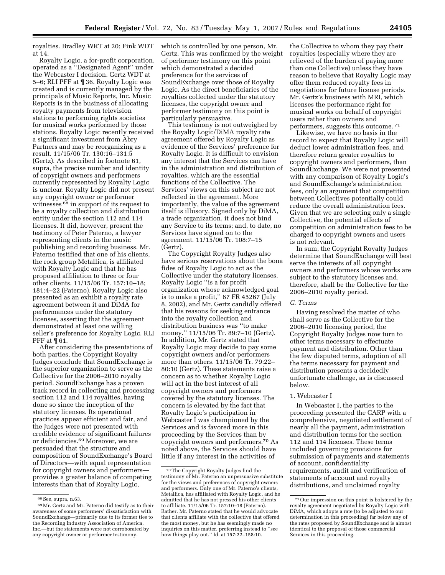royalties. Bradley WRT at 20; Fink WDT at 14.

Royalty Logic, a for-profit corporation, operated as a ''Designated Agent'' under the Webcaster I decision. Gertz WDT at 5–6; RLI PFF at ¶ 36. Royalty Logic was created and is currently managed by the principals of Music Reports, Inc. Music Reports is in the business of allocating royalty payments from television stations to performing rights societies for musical works performed by those stations. Royalty Logic recently received a significant investment from Abry Partners and may be reorganizing as a result. 11/15/06 Tr. 130:16–131:5 (Gertz). As described in footnote 61, supra, the precise number and identity of copyright owners and performers currently represented by Royalty Logic is unclear. Royalty Logic did not present any copyright owner or performer witnesses <sup>68</sup> in support of its request to be a royalty collection and distribution entity under the section 112 and 114 licenses. It did, however, present the testimony of Peter Paterno, a lawyer representing clients in the music publishing and recording business. Mr. Paterno testified that one of his clients, the rock group Metallica, is affiliated with Royalty Logic and that he has proposed affiliation to three or four other clients. 11/15/06 Tr. 157:10–18; 181:4–22 (Paterno). Royalty Logic also presented as an exhibit a royalty rate agreement between it and DiMA for performances under the statutory licenses, asserting that the agreement demonstrated at least one willing seller's preference for Royalty Logic. RLI PFF at ¶ 61.

After considering the presentations of both parties, the Copyright Royalty Judges conclude that SoundExchange is the superior organization to serve as the Collective for the 2006–2010 royalty period. SoundExchange has a proven track record in collecting and processing section 112 and 114 royalties, having done so since the inception of the statutory licenses. Its operational practices appear efficient and fair, and the Judges were not presented with credible evidence of significant failures or deficiencies.69 Moreover, we are persuaded that the structure and composition of SoundExchange's Board of Directors—with equal representation for copyright owners and performers provides a greater balance of competing interests than that of Royalty Logic,

which is controlled by one person, Mr. Gertz. This was confirmed by the weight of performer testimony on this point which demonstrated a decided preference for the services of SoundExchange over those of Royalty Logic. As the direct beneficiaries of the royalties collected under the statutory licenses, the copyright owner and performer testimony on this point is particularly persuasive.

This testimony is not outweighed by the Royalty Logic/DiMA royalty rate agreement offered by Royalty Logic as evidence of the Services' preference for Royalty Logic. It is difficult to envision any interest that the Services can have in the administration and distribution of royalties, which are the essential functions of the Collective. The Services' views on this subject are not reflected in the agreement. More importantly, the value of the agreement itself is illusory. Signed only by DiMA, a trade organization, it does not bind any Service to its terms; and, to date, no Services have signed on to the agreement. 11/15/06 Tr. 108:7–15 (Gertz).

The Copyright Royalty Judges also have serious reservations about the bona fides of Royalty Logic to act as the Collective under the statutory licenses. Royalty Logic ''is a for profit organization whose acknowledged goal is to make a profit,'' 67 FR 45267 (July 8, 2002), and Mr. Gertz candidly offered that his reasons for seeking entrance into the royalty collection and distribution business was ''to make money.'' 11/15/06 Tr. 89:7–10 (Gertz). In addition, Mr. Gertz stated that Royalty Logic may decide to pay some copyright owners and/or performers more than others. 11/15/06 Tr. 79:22– 80:10 (Gertz). These statements raise a concern as to whether Royalty Logic will act in the best interest of all copyright owners and performers covered by the statutory licenses. The concern is elevated by the fact that Royalty Logic's participation in Webcaster I was championed by the Services and is favored more in this proceeding by the Services than by copyright owners and performers.70 As noted above, the Services should have little if any interest in the activities of

the Collective to whom they pay their royalties (especially where they are relieved of the burden of paying more than one Collective) unless they have reason to believe that Royalty Logic may offer them reduced royalty fees in negotiations for future license periods. Mr. Gertz's business with MRI, which licenses the performance right for musical works on behalf of copyright users rather than owners and performers, suggests this outcome. 71

Likewise, we have no basis in the record to expect that Royalty Logic will deduct lower administration fees, and therefore return greater royalties to copyright owners and performers, than SoundExchange. We were not presented with any comparison of Royalty Logic's and SoundExchange's administration fees, only an argument that competition between Collectives potentially could reduce the overall administration fees. Given that we are selecting only a single Collective, the potential effects of competition on administration fees to be charged to copyright owners and users is not relevant.

In sum, the Copyright Royalty Judges determine that SoundExchange will best serve the interests of all copyright owners and performers whose works are subject to the statutory licenses and, therefore, shall be the Collective for the 2006–2010 royalty period.

#### *C. Terms*

Having resolved the matter of who shall serve as the Collective for the 2006–2010 licensing period, the Copyright Royalty Judges now turn to other terms necessary to effectuate payment and distribution. Other than the few disputed terms, adoption of all the terms necessary for payment and distribution presents a decidedly unfortunate challenge, as is discussed below.

#### 1. Webcaster I

In Webcaster I, the parties to the proceeding presented the CARP with a comprehensive, negotiated settlement of nearly all the payment, administration and distribution terms for the section 112 and 114 licenses. These terms included governing provisions for submission of payments and statements of account, confidentiality requirements, audit and verification of statements of account and royalty distributions, and unclaimed royalty

<sup>68</sup>See, supra, n.63.

<sup>69</sup>Mr. Gertz and Mr. Paterno did testify as to their awareness of some performers' dissatisfaction with SoundExchange—primarily due to its former ties to the Recording Industry Association of America, Inc.—but the statements were not corroborated by any copyright owner or performer testimony.

<sup>70</sup>The Copyright Royalty Judges find the testimony of Mr. Paterno an unpersuasive substitute for the views and preferences of copyright owners and performers. Only one of Mr. Paterno's clients, Metallica, has affiliated with Royalty Logic, and he admitted that he has not pressed his other clients to affiliate. 11/15/06 Tr. 157:10–18 (Paterno). Rather, Mr. Paterno stated that he would advocate that clients affiliate with the collective that offered the most money, but he has seemingly made no inquiries on this matter, preferring instead to ''see how things play out.'' Id. at 157:22–158:10.

<sup>71</sup>Our impression on this point is bolstered by the royalty agreement negotiated by Royalty Logic with DiMA, which adopts a rate (to be adjusted to our determination in this proceeding) far below any of the rates proposed by SoundExchange and is almost identical to the proposal of those commercial Services in this proceeding.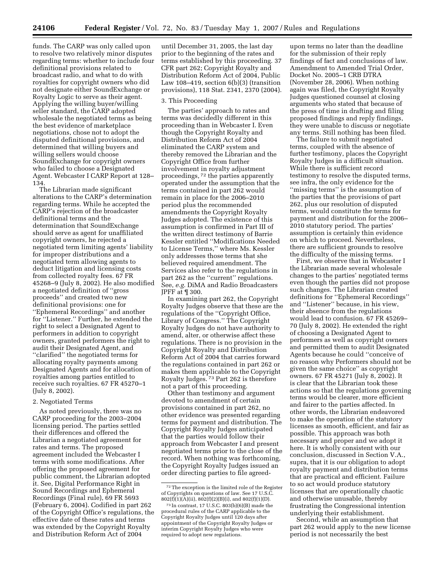funds. The CARP was only called upon to resolve two relatively minor disputes regarding terms: whether to include four definitional provisions related to broadcast radio, and what to do with royalties for copyright owners who did not designate either SoundExchange or Royalty Logic to serve as their agent. Applying the willing buyer/willing seller standard, the CARP adopted wholesale the negotiated terms as being the best evidence of marketplace negotiations, chose not to adopt the disputed definitional provisions, and determined that willing buyers and willing sellers would choose SoundExchange for copyright owners who failed to choose a Designated Agent. Webcaster I CARP Report at 128– 134.

The Librarian made significant alterations to the CARP's determination regarding terms. While he accepted the CARP's rejection of the broadcaster definitional terms and the determination that SoundExchange should serve as agent for unaffiliated copyright owners, he rejected a negotiated term limiting agents' liability for improper distributions and a negotiated term allowing agents to deduct litigation and licensing costs from collected royalty fees. 67 FR 45268–9 (July 8, 2002). He also modified a negotiated definition of ''gross proceeds'' and created two new definitional provisions: one for ''Ephemeral Recordings'' and another for ''Listener.'' Further, he extended the right to select a Designated Agent to performers in addition to copyright owners, granted performers the right to audit their Designated Agent, and ''clarified'' the negotiated terms for allocating royalty payments among Designated Agents and for allocation of royalties among parties entitled to receive such royalties. 67 FR 45270–1 (July 8, 2002).

#### 2. Negotiated Terms

As noted previously, there was no CARP proceeding for the 2003–2004 licensing period. The parties settled their differences and offered the Librarian a negotiated agreement for rates and terms. The proposed agreement included the Webcaster I terms with some modifications. After offering the proposed agreement for public comment, the Librarian adopted it. See, Digital Performance Right in Sound Recordings and Ephemeral Recordings (Final rule), 69 FR 5693 (February 6, 2004). Codified in part 262 of the Copyright Office's regulations, the effective date of these rates and terms was extended by the Copyright Royalty and Distribution Reform Act of 2004

until December 31, 2005, the last day prior to the beginning of the rates and terms established by this proceeding. 37 CFR part 262; Copyright Royalty and Distribution Reform Act of 2004, Public Law  $108-419$ , section  $6(b)(3)$  (transition provisions), 118 Stat. 2341, 2370 (2004).

#### 3. This Proceeding

The parties' approach to rates and terms was decidedly different in this proceeding than in Webcaster I. Even though the Copyright Royalty and Distribution Reform Act of 2004 eliminated the CARP system and thereby removed the Librarian and the Copyright Office from further involvement in royalty adjustment proceedings, 72 the parties apparently operated under the assumption that the terms contained in part 262 would remain in place for the 2006–2010 period plus the recommended amendments the Copyright Royalty Judges adopted. The existence of this assumption is confirmed in Part III of the written direct testimony of Barrie Kessler entitled ''Modifications Needed to License Terms,'' where Ms. Kessler only addresses those terms that she believed required amendment. The Services also refer to the regulations in part 262 as the ''current'' regulations. See, *e.g.* DiMA and Radio Broadcasters JPFF at ¶ 300.

In examining part 262, the Copyright Royalty Judges observe that these are the regulations of the ''Copyright Office, Library of Congress.'' The Copyright Royalty Judges do not have authority to amend, alter, or otherwise affect these regulations. There is no provision in the Copyright Royalty and Distribution Reform Act of 2004 that carries forward the regulations contained in part 262 or makes them applicable to the Copyright Royalty Judges. 73 Part 262 is therefore not a part of this proceeding.

Other than testimony and argument devoted to amendment of certain provisions contained in part 262, no other evidence was presented regarding terms for payment and distribution. The Copyright Royalty Judges anticipated that the parties would follow their approach from Webcaster I and present negotiated terms prior to the close of the record. When nothing was forthcoming, the Copyright Royalty Judges issued an order directing parties to file agreed-

upon terms no later than the deadline for the submission of their reply findings of fact and conclusions of law. Amendment to Amended Trial Order, Docket No. 2005–1 CRB DTRA (November 28, 2006). When nothing again was filed, the Copyright Royalty Judges questioned counsel at closing arguments who stated that because of the press of time in drafting and filing proposed findings and reply findings, they were unable to discuss or negotiate any terms. Still nothing has been filed.

The failure to submit negotiated terms, coupled with the absence of further testimony, places the Copyright Royalty Judges in a difficult situation. While there is sufficient record testimony to resolve the disputed terms, see infra, the only evidence for the ''missing terms'' is the assumption of the parties that the provisions of part 262, plus our resolution of disputed terms, would constitute the terms for payment and distribution for the 2006– 2010 statutory period. The parties' assumption is certainly thin evidence on which to proceed. Nevertheless, there are sufficient grounds to resolve the difficulty of the missing terms.

First, we observe that in Webcaster I the Librarian made several wholesale changes to the parties' negotiated terms even though the parties did not propose such changes. The Librarian created definitions for ''Ephemeral Recordings'' and ''Listener'' because, in his view, their absence from the regulations would lead to confusion. 67 FR 45269– 70 (July 8, 2002). He extended the right of choosing a Designated Agent to performers as well as copyright owners and permitted them to audit Designated Agents because he could ''conceive of no reason why Performers should not be given the same choice'' as copyright owners. 67 FR 45271 (July 8, 2002). It is clear that the Librarian took these actions so that the regulations governing terms would be clearer, more efficient and fairer to the parties affected. In other words, the Librarian endeavored to make the operation of the statutory licenses as smooth, efficient, and fair as possible. This approach was both necessary and proper and we adopt it here. It is wholly consistent with our conclusion, discussed in Section V.A., supra, that it is our obligation to adopt royalty payment and distribution terms that are practical and efficient. Failure to so act would produce statutory licenses that are operationally chaotic and otherwise unusable, thereby frustrating the Congressional intention underlying their establishment.

Second, while an assumption that part 262 would apply to the new license period is not necessarily the best

 $^{\rm 72}$  The exception is the limited role of the Register of Copyrights on questions of law. See 17 U.S.C.  $802(f)(1)(A)(ii)$ ,  $802(f)(2)(B)(i)$ , and  $802(f)(1)(D)$ .

<sup>73</sup> In contrast, 17 U.S.C. 803(b)(6)(B) made the procedural rules of the CARP applicable to the Copyright Royalty Judges until 120 days after appointment of the Copyright Royalty Judges or interim Copyright Royalty Judges who were required to adopt new regulations.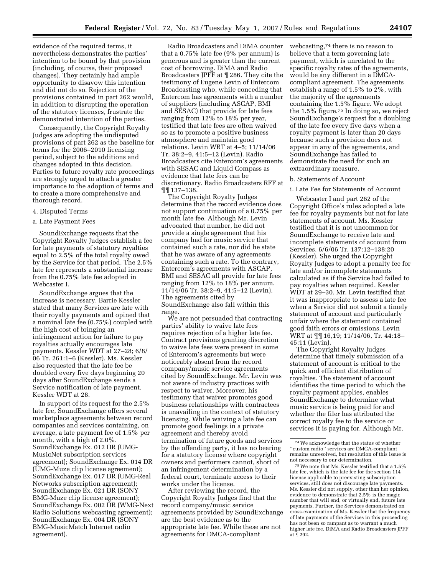evidence of the required terms, it nevertheless demonstrates the parties' intention to be bound by that provision (including, of course, their proposed changes). They certainly had ample opportunity to disavow this intention and did not do so. Rejection of the provisions contained in part 262 would, in addition to disrupting the operation of the statutory licenses, frustrate the demonstrated intention of the parties.

Consequently, the Copyright Royalty Judges are adopting the undisputed provisions of part 262 as the baseline for terms for the 2006–2010 licensing period, subject to the additions and changes adopted in this decision. Parties to future royalty rate proceedings are strongly urged to attach a greater importance to the adoption of terms and to create a more comprehensive and thorough record.

#### 4. Disputed Terms

#### a. Late Payment Fees

SoundExchange requests that the Copyright Royalty Judges establish a fee for late payments of statutory royalties equal to 2.5% of the total royalty owed by the Service for that period. The 2.5% late fee represents a substantial increase from the 0.75% late fee adopted in Webcaster I.

SoundExchange argues that the increase is necessary. Barrie Kessler stated that many Services are late with their royalty payments and opined that a nominal late fee (0.75%) coupled with the high cost of bringing an infringement action for failure to pay royalties actually encourages late payments. Kessler WDT at 27–28; 6/8/ 06 Tr. 261:1–6 (Kessler). Ms. Kessler also requested that the late fee be doubled every five days beginning 20 days after SoundExchange sends a Service notification of late payment. Kessler WDT at 28.

In support of its request for the 2.5% late fee, SoundExchange offers several marketplace agreements between record companies and services containing, on average, a late payment fee of 1.5% per month, with a high of 2.0%. SoundExchange Ex. 012 DR (UMG-MusicNet subscription services agreement); SoundExchange Ex. 014 DR (UMG-Muze clip license agreement); SoundExchange Ex. 017 DR (UMG-Real Networks subscription agreement); SoundExchange Ex. 021 DR (SONY BMG-Muze clip license agreement); SoundExchange Ex. 002 DR (WMG-Next Radio Solutions webcasting agreement); SoundExchange Ex. 004 DR (SONY BMG-MusicMatch Internet radio agreement).

Radio Broadcasters and DiMA counter that a 0.75% late fee (9% per annum) is generous and is greater than the current cost of borrowing. DiMA and Radio Broadcasters JPFF at ¶ 286. They cite the testimony of Eugene Levin of Entercom Broadcasting who, while conceding that Entercom has agreements with a number of suppliers (including ASCAP, BMI and SESAC) that provide for late fees ranging from 12% to 18% per year, testified that late fees are often waived so as to promote a positive business atmosphere and maintain good relations. Levin WRT at 4–5; 11/14/06 Tr. 38:2–9, 41:5–12 (Levin). Radio Broadcasters cite Entercom's agreements with SESAC and Liquid Compass as evidence that late fees can be discretionary. Radio Broadcasters RFF at ¶¶ 137–138.

The Copyright Royalty Judges determine that the record evidence does not support continuation of a 0.75% per month late fee. Although Mr. Levin advocated that number, he did not provide a single agreement that his company had for music service that contained such a rate, nor did he state that he was aware of any agreements containing such a rate. To the contrary, Entercom's agreements with ASCAP, BMI and SESAC all provide for late fees ranging from 12% to 18% per annum. 11/14/06 Tr. 38:2–9, 41:5–12 (Levin). The agreements cited by SoundExchange also fall within this range.

We are not persuaded that contracting parties' ability to waive late fees requires rejection of a higher late fee. Contract provisions granting discretion to waive late fees were present in some of Entercom's agreements but were noticeably absent from the record company/music service agreements cited by SoundExchange. Mr. Levin was not aware of industry practices with respect to waiver. Moreover, his testimony that waiver promotes good business relationships with contractees is unavailing in the context of statutory licensing. While waiving a late fee can promote good feelings in a private agreement and thereby avoid termination of future goods and services by the offending party, it has no bearing for a statutory license where copyright owners and performers cannot, short of an infringement determination by a federal court, terminate access to their works under the license.

After reviewing the record, the Copyright Royalty Judges find that the record company/music service agreements provided by SoundExchange are the best evidence as to the appropriate late fee. While these are not agreements for DMCA-compliant

webcasting,74 there is no reason to believe that a term governing late payment, which is unrelated to the specific royalty rates of the agreements, would be any different in a DMCAcompliant agreement. The agreements establish a range of 1.5% to 2%, with the majority of the agreements containing the 1.5% figure. We adopt the 1.5% figure.75 In doing so, we reject SoundExchange's request for a doubling of the late fee every five days when a royalty payment is later than 20 days because such a provision does not appear in any of the agreements, and SoundExchange has failed to demonstrate the need for such an extraordinary measure.

#### b. Statements of Account

#### i. Late Fee for Statements of Account

Webcaster I and part 262 of the Copyright Office's rules adopted a late fee for royalty payments but not for late statements of account. Ms. Kessler testified that it is not uncommon for SoundExchange to receive late and incomplete statements of account from Services. 6/6/06 Tr. 137:12–138:20 (Kessler). She urged the Copyright Royalty Judges to adopt a penalty fee for late and/or incomplete statements calculated as if the Service had failed to pay royalties when required. Kessler WDT at 29–30. Mr. Levin testified that it was inappropriate to assess a late fee when a Service did not submit a timely statement of account and particularly unfair where the statement contained good faith errors or omissions. Levin WRT at ¶¶ 16,19; 11/14/06, Tr. 44:18– 45:11 (Levin).

The Copyright Royalty Judges determine that timely submission of a statement of account is critical to the quick and efficient distribution of royalties. The statement of account identifies the time period to which the royalty payment applies, enables SoundExchange to determine what music service is being paid for and whether the filer has attributed the correct royalty fee to the service or services it is paying for. Although Mr.

 $^{75}\rm{We}$  note that Ms. Kessler testified that a 1.5% late fee, which is the late fee for the section 114 license applicable to preexisting subscription services, still does not discourage late payments. Ms. Kessler did not supply, other than her opinion, evidence to demonstrate that 2.5% is the magic number that will end, or virtually end, future late payments. Further, the Services demonstrated on cross-examination of Ms. Kessler that the frequency of late payments of the Services in this proceeding has not been so rampant as to warrant a much higher late fee. DiMA and Radio Broadcasters JPFF at ¶ 292.

<sup>74</sup>We acknowledge that the status of whether ''custom radio'' services are DMCA-compliant remains unresolved, but resolution of this issue is<br>not necessary to our determination.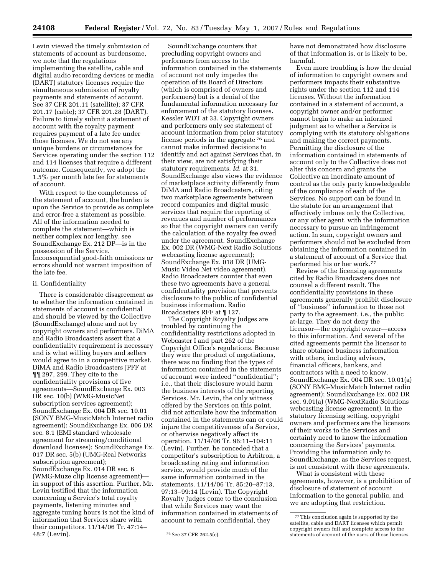Levin viewed the timely submission of statements of account as burdensome, we note that the regulations implementing the satellite, cable and digital audio recording devices or media (DART) statutory licenses require the simultaneous submission of royalty payments and statements of account. See 37 CFR 201.11 (satellite); 37 CFR 201.17 (cable); 37 CFR 201.28 (DART). Failure to timely submit a statement of account with the royalty payment requires payment of a late fee under those licenses. We do not see any unique burdens or circumstances for Services operating under the section 112 and 114 licenses that require a different outcome. Consequently, we adopt the 1.5% per month late fee for statements of account.

With respect to the completeness of the statement of account, the burden is upon the Service to provide as complete and error-free a statement as possible. All of the information needed to complete the statement—which is neither complex nor lengthy, see SoundExchange Ex. 212 DP—is in the possession of the Service. Inconsequential good-faith omissions or errors should not warrant imposition of the late fee.

#### ii. Confidentiality

There is considerable disagreement as to whether the information contained in statements of account is confidential and should be viewed by the Collective (SoundExchange) alone and not by copyright owners and performers. DiMA and Radio Broadcasters assert that a confidentiality requirement is necessary and is what willing buyers and sellers would agree to in a competitive market. DiMA and Radio Broadcasters JPFF at ¶¶ 297, 299. They cite to the confidentiality provisions of five agreements—SoundExchange Ex. 003 DR sec. 10(b) (WMG-MusicNet subscription services agreement); SoundExchange Ex. 004 DR sec. 10.01 (SONY BMG-MusicMatch Internet radio agreement); SoundExchange Ex. 006 DR sec. 8.1 (EMI standard wholesale agreement for streaming/conditional download licenses); SoundExchange Ex. 017 DR sec. 5(b) (UMG-Real Networks subscription agreement); SoundExchange Ex. 014 DR sec. 6 (WMG-Muze clip license agreement) in support of this assertion. Further, Mr. Levin testified that the information concerning a Service's total royalty payments, listening minutes and aggregate tuning hours is not the kind of information that Services share with their competitors. 11/14/06 Tr. 47:14– 48:7 (Levin).

SoundExchange counters that precluding copyright owners and performers from access to the information contained in the statements of account not only impedes the operation of its Board of Directors (which is comprised of owners and performers) but is a denial of the fundamental information necessary for enforcement of the statutory licenses. Kessler WDT at 33. Copyright owners and performers only see statement of account information from prior statutory license periods in the aggregate 76 and cannot make informed decisions to identify and act against Services that, in their view, are not satisfying their statutory requirements. *Id.* at 31. SoundExchange also views the evidence of marketplace activity differently from DiMA and Radio Broadcasters, citing two marketplace agreements between record companies and digital music services that require the reporting of revenues and number of performances so that the copyright owners can verify the calculation of the royalty fee owed under the agreement. SoundExchange Ex. 002 DR (WMG-Next Radio Solutions webcasting license agreement); SoundExchange Ex. 018 DR (UMG-Music Video Net video agreement). Radio Broadcasters counter that even these two agreements have a general confidentiality provision that prevents disclosure to the public of confidential business information. Radio Broadcasters RFF at ¶ 127.

The Copyright Royalty Judges are troubled by continuing the confidentiality restrictions adopted in Webcaster I and part 262 of the Copyright Office's regulations. Because they were the product of negotiations, there was no finding that the types of information contained in the statements of account were indeed ''confidential''; i.e., that their disclosure would harm the business interests of the reporting Services. Mr. Levin, the only witness offered by the Services on this point, did not articulate how the information contained in the statements can or could injure the competitiveness of a Service, or otherwise negatively affect its operation. 11/14/06 Tr. 96:11–104:11 (Levin). Further, he conceded that a competitor's subscription to Arbitron, a broadcasting rating and information service, would provide much of the same information contained in the statements. 11/14/06 Tr. 85:20–87:13, 97:13–99:14 (Levin). The Copyright Royalty Judges come to the conclusion that while Services may want the information contained in statements of account to remain confidential, they

have not demonstrated how disclosure of that information is, or is likely to be, harmful.

Even more troubling is how the denial of information to copyright owners and performers impacts their substantive rights under the section 112 and 114 licenses. Without the information contained in a statement of account, a copyright owner and/or performer cannot begin to make an informed judgment as to whether a Service is complying with its statutory obligations and making the correct payments. Permitting the disclosure of the information contained in statements of account only to the Collective does not alter this concern and grants the Collective an inordinate amount of control as the only party knowledgeable of the compliance of each of the Services. No support can be found in the statute for an arrangement that effectively imbues only the Collective, or any other agent, with the information necessary to pursue an infringement action. In sum, copyright owners and performers should not be excluded from obtaining the information contained in a statement of account of a Service that performed his or her work.77

Review of the licensing agreements cited by Radio Broadcasters does not counsel a different result. The confidentiality provisions in these agreements generally prohibit disclosure of ''business'' information to those not party to the agreement, i.e., the public at-large. They do not deny the licensor—the copyright owner—access to this information. And several of the cited agreements permit the licensor to share obtained business information with others, including advisors, financial officers, bankers, and contractors with a need to know. SoundExchange Ex. 004 DR sec. 10.01(a) (SONY BMG-MusicMatch Internet radio agreement); SoundExchange Ex. 002 DR sec. 9.01(a) (WMG-NextRadio Solutions webcasting license agreement). In the statutory licensing setting, copyright owners and performers are the licensors of their works to the Services and certainly need to know the information concerning the Services' payments. Providing the information only to SoundExchange, as the Services request, is not consistent with these agreements.

What is consistent with these agreements, however, is a prohibition of disclosure of statement of account information to the general public, and we are adopting that restriction.

<sup>76</sup>See 37 CFR 262.5(c).

<sup>77</sup>This conclusion again is supported by the satellite, cable and DART licenses which permit copyright owners full and complete access to the statements of account of the users of those licenses.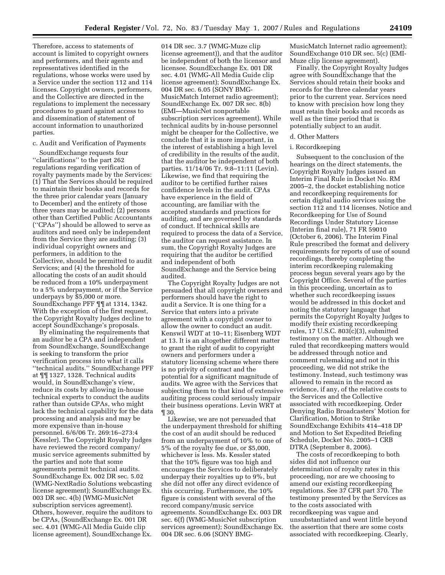Therefore, access to statements of account is limited to copyright owners and performers, and their agents and representatives identified in the regulations, whose works were used by a Service under the section 112 and 114 licenses. Copyright owners, performers, and the Collective are directed in the regulations to implement the necessary procedures to guard against access to and dissemination of statement of account information to unauthorized parties.

#### c. Audit and Verification of Payments

SoundExchange requests four ''clarifications'' to the part 262 regulations regarding verification of royalty payments made by the Services: (1) That the Services should be required to maintain their books and records for the three prior calendar years (January to December) and the entirety of those three years may be audited; (2) persons other than Certified Public Accountants (''CPAs'') should be allowed to serve as auditors and need only be independent from the Service they are auditing; (3) individual copyright owners and performers, in addition to the Collective, should be permitted to audit Services; and (4) the threshold for allocating the costs of an audit should be reduced from a 10% underpayment to a 5% underpayment, or if the Service underpays by \$5,000 or more. SoundExchange PFF ¶¶ at 1314, 1342. With the exception of the first request, the Copyright Royalty Judges decline to accept SoundExchange's proposals.

By eliminating the requirements that an auditor be a CPA and independent from SoundExchange, SoundExchange is seeking to transform the prior verification process into what it calls ''technical audits.'' SoundExchange PFF at ¶¶ 1327, 1328. Technical audits would, in SoundExchange's view, reduce its costs by allowing in-house technical experts to conduct the audits rather than outside CPAs, who might lack the technical capability for the data processing and analysis and may be more expensive than in-house personnel. 6/6/06 Tr. 269:16–273:4 (Kessler). The Copyright Royalty Judges have reviewed the record company/ music service agreements submitted by the parties and note that some agreements permit technical audits. SoundExchange Ex. 002 DR sec. 5.02 (WMG-NextRadio Solutions webcasting license agreement); SoundExchange Ex. 003 DR sec. 4(b) (WMG-MusicNet subscription services agreement). Others, however, require the auditors to be CPAs, (SoundExchange Ex. 001 DR sec. 4.01 (WMG-All Media Guide clip license agreement), SoundExchange Ex.

014 DR sec. 3.7 (WMG-Muze clip license agreement)), and that the auditor be independent of both the licensor and licensee. SoundExchange Ex. 001 DR sec. 4.01 (WMG-All Media Guide clip license agreement); SoundExchange Ex. 004 DR sec. 6.05 (SONY BMG-MusicMatch Internet radio agreement); SoundExchange Ex. 007 DR sec. 8(b) (EMI—MusicNet nonportable subscription services agreement). While technical audits by in-house personnel might be cheaper for the Collective, we conclude that it is more important, in the interest of establishing a high level of credibility in the results of the audit, that the auditor be independent of both parties. 11/14/06 Tr. 9:8–11:11 (Levin). Likewise, we find that requiring the auditor to be certified further raises confidence levels in the audit. CPAs have experience in the field of accounting, are familiar with the accepted standards and practices for auditing, and are governed by standards of conduct. If technical skills are required to process the data of a Service, the auditor can request assistance. In sum, the Copyright Royalty Judges are requiring that the auditor be certified and independent of both SoundExchange and the Service being audited.

The Copyright Royalty Judges are not persuaded that all copyright owners and performers should have the right to audit a Service. It is one thing for a Service that enters into a private agreement with a copyright owner to allow the owner to conduct an audit. Kenswil WDT at 10–11; Eisenberg WDT at 13. It is an altogether different matter to grant the right of audit to copyright owners and performers under a statutory licensing scheme where there is no privity of contract and the potential for a significant magnitude of audits. We agree with the Services that subjecting them to that kind of extensive auditing process could seriously impair their business operations. Levin WRT at ¶ 30.

Likewise, we are not persuaded that the underpayment threshold for shifting the cost of an audit should be reduced from an underpayment of 10% to one of 5% of the royalty fee due, or \$5,000, whichever is less. Ms. Kessler stated that the 10% figure was too high and encourages the Services to deliberately underpay their royalties up to 9%, but she did not offer any direct evidence of this occurring. Furthermore, the 10% figure is consistent with several of the record company/music service agreements. SoundExchange Ex. 003 DR sec. 6(f) (WMG-MusicNet subscription services agreement); SoundExchange Ex. 004 DR sec. 6.06 (SONY BMG-

MusicMatch Internet radio agreement); SoundExchange 010 DR sec. 5(c) (EMI-Muze clip license agreement).

Finally, the Copyright Royalty Judges agree with SoundExchange that the Services should retain their books and records for the three calendar years prior to the current year. Services need to know with precision how long they must retain their books and records as well as the time period that is potentially subject to an audit.

#### d. Other Matters

#### i. Recordkeeping

Subsequent to the conclusion of the hearings on the direct statements, the Copyright Royalty Judges issued an Interim Final Rule in Docket No. RM 2005–2, the docket establishing notice and recordkeeping requirements for certain digital audio services using the section 112 and 114 licenses. Notice and Recordkeeping for Use of Sound Recordings Under Statutory License (Interim final rule), 71 FR 59010 (October 6, 2006). The Interim Final Rule prescribed the format and delivery requirements for reports of use of sound recordings, thereby completing the interim recordkeeping rulemaking process begun several years ago by the Copyright Office. Several of the parties in this proceeding, uncertain as to whether such recordkeeping issues would be addressed in this docket and noting the statutory language that permits the Copyright Royalty Judges to modify their existing recordkeeping rules, 17 U.S.C. 803(c)(3), submitted testimony on the matter. Although we ruled that recordkeeping matters would be addressed through notice and comment rulemaking and not in this proceeding, we did not strike the testimony. Instead, such testimony was allowed to remain in the record as evidence, if any, of the relative costs to the Services and the Collective associated with recordkeeping. Order Denying Radio Broadcasters' Motion for Clarification, Motion to Strike SoundExchange Exhibits 414–418 DP and Motion to Set Expedited Briefing Schedule, Docket No. 2005–1 CRB DTRA (September 8, 2006).

The costs of recordkeeping to both sides did not influence our determination of royalty rates in this proceeding, nor are we choosing to amend our existing recordkeeping regulations. See 37 CFR part 370. The testimony presented by the Services as to the costs associated with recordkeeping was vague and unsubstantiated and went little beyond the assertion that there are some costs associated with recordkeeping. Clearly,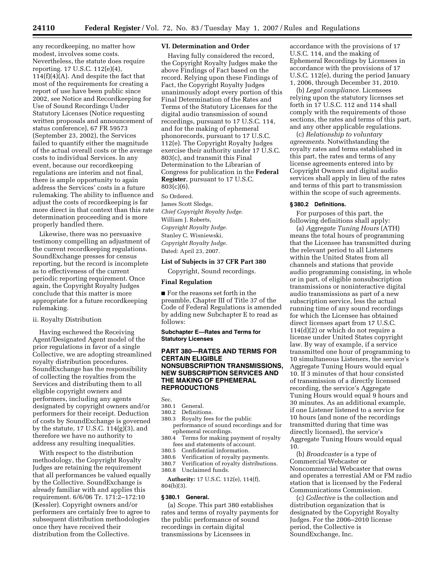any recordkeeping, no matter how modest, involves some costs. Nevertheless, the statute does require reporting. 17 U.S.C. 112(e)(4),  $114(f)(4)(A)$ . And despite the fact that most of the requirements for creating a report of use have been public since 2002, see Notice and Recordkeeping for Use of Sound Recordings Under Statutory Licenses (Notice requesting written proposals and announcement of status conference), 67 FR 59573 (September 23, 2002), the Services failed to quantify either the magnitude of the actual overall costs or the average costs to individual Services. In any event, because our recordkeeping regulations are interim and not final, there is ample opportunity to again address the Services' costs in a future rulemaking. The ability to influence and adjust the costs of recordkeeping is far more direct in that context than this rate determination proceeding and is more properly handled there.

Likewise, there was no persuasive testimony compelling an adjustment of the current recordkeeping regulations. SoundExchange presses for census reporting, but the record is incomplete as to effectiveness of the current periodic reporting requirement. Once again, the Copyright Royalty Judges conclude that this matter is more appropriate for a future recordkeeping rulemaking.

#### ii. Royalty Distribution

Having eschewed the Receiving Agent/Designated Agent model of the prior regulations in favor of a single Collective, we are adopting streamlined royalty distribution procedures. SoundExchange has the responsibility of collecting the royalties from the Services and distributing them to all eligible copyright owners and performers, including any agents designated by copyright owners and/or performers for their receipt. Deduction of costs by SoundExchange is governed by the statute, 17 U.S.C. 114(g)(3), and therefore we have no authority to address any resulting inequalities.

With respect to the distribution methodology, the Copyright Royalty Judges are retaining the requirement that all performances be valued equally by the Collective. SoundExchange is already familiar with and applies this requirement. 6/6/06 Tr. 171:2–172:10 (Kessler). Copyright owners and/or performers are certainly free to agree to subsequent distribution methodologies once they have received their distribution from the Collective.

#### **VI. Determination and Order**

Having fully considered the record, the Copyright Royalty Judges make the above Findings of Fact based on the record. Relying upon these Findings of Fact, the Copyright Royalty Judges unanimously adopt every portion of this Final Determination of the Rates and Terms of the Statutory Licenses for the digital audio transmission of sound recordings, pursuant to 17 U.S.C. 114, and for the making of ephemeral phonorecords, pursuant to 17 U.S.C. 112(e). The Copyright Royalty Judges exercise their authority under 17 U.S.C. 803(c), and transmit this Final Determination to the Librarian of Congress for publication in the **Federal Register**, pursuant to 17 U.S.C. 803(c)(6). So Ordered.

James Scott Sledge, *Chief Copyright Royalty Judge.*  William J. Roberts, *Copyright Royalty Judge.*  Stanley C. Wisniewski, *Copyright Royalty Judge.* 

### Dated: April 23, 2007.

**List of Subjects in 37 CFR Part 380** 

Copyright, Sound recordings.

#### **Final Regulation**

■ For the reasons set forth in the preamble, Chapter III of Title 37 of the Code of Federal Regulations is amended by adding new Subchapter E to read as follows:

**Subchapter E—Rates and Terms for Statutory Licenses** 

#### **PART 380—RATES AND TERMS FOR CERTAIN ELIGIBLE NONSUBSCRIPTION TRANSMISSIONS, NEW SUBSCRIPTION SERVICES AND THE MAKING OF EPHEMERAL REPRODUCTIONS**

Sec.<br>380.1

- General.
- 380.2 Definitions.
- 380.3 Royalty fees for the public performance of sound recordings and for ephemeral recordings.
- 380.4 Terms for making payment of royalty fees and statements of account.<br>380.5 Confidential information.
- Confidential information.
- 380.6 Verification of royalty payments.
- 380.7 Verification of royalty distributions. 380.8 Unclaimed funds.
- 

**Authority:** 17 U.S.C. 112(e), 114(f), 804(b)(3).

#### **§ 380.1 General.**

(a) *Scope.* This part 380 establishes rates and terms of royalty payments for the public performance of sound recordings in certain digital transmissions by Licensees in

accordance with the provisions of 17 U.S.C. 114, and the making of Ephemeral Recordings by Licensees in accordance with the provisions of 17 U.S.C. 112(e), during the period January 1, 2006, through December 31, 2010.

(b) *Legal compliance.* Licensees relying upon the statutory licenses set forth in 17 U.S.C. 112 and 114 shall comply with the requirements of those sections, the rates and terms of this part, and any other applicable regulations.

(c) *Relationship to voluntary agreements.* Notwithstanding the royalty rates and terms established in this part, the rates and terms of any license agreements entered into by Copyright Owners and digital audio services shall apply in lieu of the rates and terms of this part to transmission within the scope of such agreements.

#### **§ 380.2 Definitions.**

For purposes of this part, the following definitions shall apply:

(a) *Aggregate Tuning Hours* (ATH) means the total hours of programming that the Licensee has transmitted during the relevant period to all Listeners within the United States from all channels and stations that provide audio programming consisting, in whole or in part, of eligible nonsubscription transmissions or noninteractive digital audio transmissions as part of a new subscription service, less the actual running time of any sound recordings for which the Licensee has obtained direct licenses apart from 17 U.S.C. 114(d)(2) or which do not require a license under United States copyright law. By way of example, if a service transmitted one hour of programming to 10 simultaneous Listeners, the service's Aggregate Tuning Hours would equal 10. If 3 minutes of that hour consisted of transmission of a directly licensed recording, the service's Aggregate Tuning Hours would equal 9 hours and 30 minutes. As an additional example, if one Listener listened to a service for 10 hours (and none of the recordings transmitted during that time was directly licensed), the service's Aggregate Tuning Hours would equal 10.

(b) *Broadcaster* is a type of Commercial Webcaster or Noncommercial Webcaster that owns and operates a terrestial AM or FM radio station that is licensed by the Federal Communications Commission.

(c) *Collective* is the collection and distribution organization that is designated by the Copyright Royalty Judges. For the 2006–2010 license period, the Collective is SoundExchange, Inc.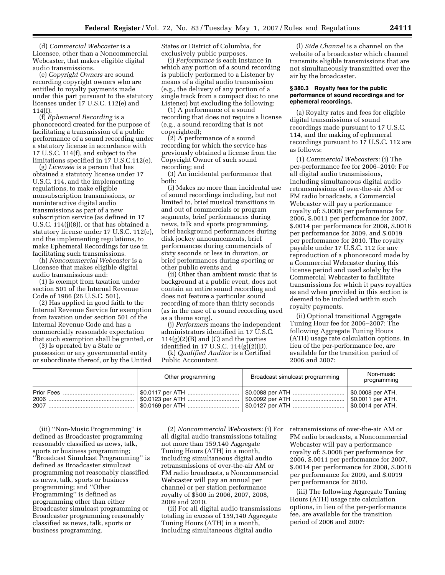(d) *Commercial Webcaster* is a Licensee, other than a Noncommercial Webcaster, that makes eligible digital audio transmissions.

(e) *Copyright Owners* are sound recording copyright owners who are entitled to royalty payments made under this part pursuant to the statutory licenses under 17 U.S.C. 112(e) and 114(f).

(f) *Ephemeral Recording* is a phonorecord created for the purpose of facilitating a transmission of a public performance of a sound recording under a statutory license in accordance with 17 U.S.C. 114(f), and subject to the limitations specified in 17 U.S.C.112(e).

(g) *Licensee* is a person that has obtained a statutory license under 17 U.S.C. 114, and the implementing regulations, to make eligible nonsubscription transmissions, or noninteractive digital audio transmissions as part of a new subscription service (as defined in 17 U.S.C. 114(j)(8)), or that has obtained a statutory license under 17 U.S.C. 112(e), and the implementing regulations, to make Ephemeral Recordings for use in facilitating such transmissions.

(h) *Noncommercial Webcaster* is a Licensee that makes eligible digital audio transmissions and:

(1) Is exempt from taxation under section 501 of the Internal Revenue Code of 1986 (26 U.S.C. 501),

(2) Has applied in good faith to the Internal Revenue Service for exemption from taxation under section 501 of the Internal Revenue Code and has a commercially reasonable expectation that such exemption shall be granted, or

(3) Is operated by a State or possession or any governmental entity or subordinate thereof, or by the United States or District of Columbia, for exclusively public purposes.

(i) *Performance* is each instance in which any portion of a sound recording is publicly performed to a Listener by means of a digital audio transmission (e.g., the delivery of any portion of a single track from a compact disc to one Listener) but excluding the following:

(1) A performance of a sound recording that does not require a license (e.g., a sound recording that is not copyrighted);

(2) A performance of a sound recording for which the service has previously obtained a license from the Copyright Owner of such sound recording; and

(3) An incidental performance that both:

(i) Makes no more than incidental use of sound recordings including, but not limited to, brief musical transitions in and out of commercials or program segments, brief performances during news, talk and sports programming, brief background performances during disk jockey announcements, brief performances during commercials of sixty seconds or less in duration, or brief performances during sporting or other public events and

(ii) Other than ambient music that is background at a public event, does not contain an entire sound recording and does not feature a particular sound recording of more than thirty seconds (as in the case of a sound recording used as a theme song).

(j) *Performers* means the independent administrators identified in 17 U.S.C.  $114(g)(2)(B)$  and  $(C)$  and the parties identified in 17 U.S.C. 114(g)(2)(D).

(k) *Qualified Auditor* is a Certified Public Accountant.

(l) *Side Channel* is a channel on the website of a broadcaster which channel transmits eligible transmissions that are not simultaneously transmitted over the air by the broadcaster.

#### **§ 380.3 Royalty fees for the public performance of sound recordings and for ephemeral recordings.**

(a) Royalty rates and fees for eligible digital transmissions of sound recordings made pursuant to 17 U.S.C. 114, and the making of ephemeral recordings pursuant to 17 U.S.C. 112 are as follows:

(1) *Commercial Webcasters:* (i) The per-performance fee for 2006–2010: For all digital audio transmissions, including simultaneous digital audio retransmissions of over-the-air AM or FM radio broadcasts, a Commercial Webcaster will pay a performance royalty of: \$.0008 per performance for 2006, \$.0011 per performance for 2007, \$.0014 per performance for 2008, \$.0018 per performance for 2009, and \$.0019 per performance for 2010. The royalty payable under 17 U.S.C. 112 for any reproduction of a phonorecord made by a Commercial Webcaster during this license period and used solely by the Commercial Webcaster to facilitate transmissions for which it pays royalties as and when provided in this section is deemed to be included within such royalty payments.

(ii) Optional transitional Aggregate Tuning Hour fee for 2006–2007: The following Aggregate Tuning Hours (ATH) usage rate calculation options, in lieu of the per-performance fee, are available for the transition period of 2006 and 2007:

| Other programming                           | Broadcast simulcast programming | Non-music<br>programming |
|---------------------------------------------|---------------------------------|--------------------------|
| │ \$0.0117 per ATH  │ \$0.0088 per ATH      | \$0.0092 per ATH                | \$0.0008 per ATH.        |
| \$0.0123 per ATH                            |                                 | \$0.0011 per ATH.        |
| │ \$0.0169 per ATH …… │ \$0.0127 per ATH …… |                                 | \$0.0014 per ATH.        |

(iii) ''Non-Music Programming'' is defined as Broadcaster programming reasonably classified as news, talk, sports or business programming; ''Broadcast Simulcast Programming'' is defined as Broadcaster simulcast programming not reasonably classified as news, talk, sports or business programming; and ''Other Programming'' is defined as programming other than either Broadcaster simulcast programming or Broadcaster programming reasonably classified as news, talk, sports or business programming.

(2) *Noncommercial Webcasters:* (i) For all digital audio transmissions totaling not more than 159,140 Aggregate Tuning Hours (ATH) in a month, including simultaneous digital audio retransmissions of over-the-air AM or FM radio broadcasts, a Noncommercial Webcaster will pay an annual per channel or per station performance royalty of \$500 in 2006, 2007, 2008, 2009 and 2010.

(ii) For all digital audio transmissions totaling in excess of 159,140 Aggregate Tuning Hours (ATH) in a month, including simultaneous digital audio

retransmissions of over-the-air AM or FM radio broadcasts, a Noncommercial Webcaster will pay a performance royalty of: \$.0008 per performance for 2006, \$.0011 per performance for 2007, \$.0014 per performance for 2008, \$.0018 per performance for 2009, and \$.0019 per performance for 2010.

(iii) The following Aggregate Tuning Hours (ATH) usage rate calculation options, in lieu of the per-performance fee, are available for the transition period of 2006 and 2007: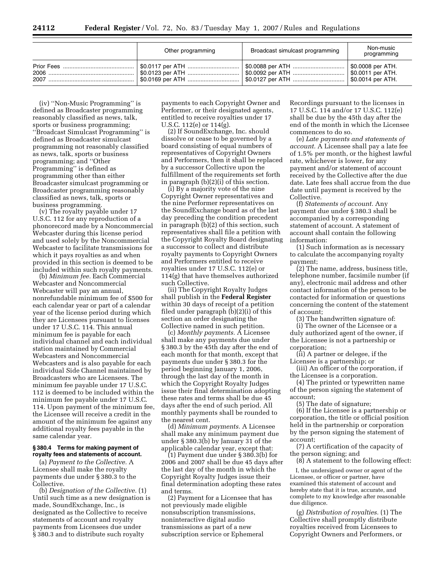| Other programming | Broadcast simulcast programming | Non-music<br>programming |
|-------------------|---------------------------------|--------------------------|
|                   |                                 |                          |

(iv) ''Non-Music Programming'' is defined as Broadcaster programming reasonably classified as news, talk, sports or business programming; ''Broadcast Simulcast Programming'' is defined as Broadcaster simulcast programming not reasonably classified as news, talk, sports or business programming; and ''Other Programming'' is defined as programming other than either Broadcaster simulcast programming or Broadcaster programming reasonably classified as news, talk, sports or business programming.

(v) The royalty payable under 17 U.S.C. 112 for any reproduction of a phonorecord made by a Noncommercial Webcaster during this license period and used solely by the Noncommercial Webcaster to facilitate transmissions for which it pays royalties as and when provided in this section is deemed to be included within such royalty payments.

(b) *Minimum fee.* Each Commercial Webcaster and Noncommercial Webcaster will pay an annual, nonrefundable minimum fee of \$500 for each calendar year or part of a calendar year of the license period during which they are Licensees pursuant to licenses under 17 U.S.C. 114. This annual minimum fee is payable for each individual channel and each individual station maintained by Commercial Webcasters and Noncommercial Webcasters and is also payable for each individual Side Channel maintained by Broadcasters who are Licensees. The minimum fee payable under 17 U.S.C. 112 is deemed to be included within the minimum fee payable under 17 U.S.C. 114. Upon payment of the minimum fee, the Licensee will receive a credit in the amount of the minimum fee against any additional royalty fees payable in the same calendar year.

#### **§ 380.4 Terms for making payment of royalty fees and statements of account.**

(a) *Payment to the Collective.* A Licensee shall make the royalty payments due under § 380.3 to the Collective.

(b) *Designation of the Collective.* (1) Until such time as a new designation is made, SoundExchange, Inc., is designated as the Collective to receive statements of account and royalty payments from Licensees due under § 380.3 and to distribute such royalty

payments to each Copyright Owner and Performer, or their designated agents, entitled to receive royalties under 17 U.S.C. 112(e) or 114(g).

(2) If SoundExchange, Inc. should dissolve or cease to be governed by a board consisting of equal numbers of representatives of Copyright Owners and Performers, then it shall be replaced by a successor Collective upon the fulfillment of the requirements set forth in paragraph (b)(2)(i) of this section.

(i) By a majority vote of the nine Copyright Owner representatives and the nine Performer representatives on the SoundExchange board as of the last day preceding the condition precedent in paragraph (b)(2) of this section, such representatives shall file a petition with the Copyright Royalty Board designating a successor to collect and distribute royalty payments to Copyright Owners and Performers entitled to receive royalties under 17 U.S.C. 112(e) or 114(g) that have themselves authorized such Collective.

(ii) The Copyright Royalty Judges shall publish in the **Federal Register**  within 30 days of receipt of a petition filed under paragraph (b)(2)(i) of this section an order designating the Collective named in such petition.

(c) *Monthly payments.* A Licensee shall make any payments due under § 380.3 by the 45th day after the end of each month for that month, except that payments due under § 380.3 for the period beginning January 1, 2006, through the last day of the month in which the Copyright Royalty Judges issue their final determination adopting these rates and terms shall be due 45 days after the end of such period. All monthly payments shall be rounded to the nearest cent.

(d) *Minimum payments.* A Licensee shall make any minimum payment due under § 380.3(b) by January 31 of the applicable calendar year, except that:

(1) Payment due under § 380.3(b) for 2006 and 2007 shall be due 45 days after the last day of the month in which the Copyright Royalty Judges issue their final determination adopting these rates and terms.

(2) Payment for a Licensee that has not previously made eligible nonsubscription transmissions, noninteractive digital audio transmissions as part of a new subscription service or Ephemeral

Recordings pursuant to the licenses in 17 U.S.C. 114 and/or 17 U.S.C. 112(e) shall be due by the 45th day after the end of the month in which the Licensee commences to do so.

(e) *Late payments and statements of account.* A Licensee shall pay a late fee of 1.5% per month, or the highest lawful rate, whichever is lower, for any payment and/or statement of account received by the Collective after the due date. Late fees shall accrue from the due date until payment is received by the Collective.

(f) *Statements of account.* Any payment due under § 380.3 shall be accompanied by a corresponding statement of account. A statement of account shall contain the following information:

(1) Such information as is necessary to calculate the accompanying royalty payment;

(2) The name, address, business title, telephone number, facsimile number (if any), electronic mail address and other contact information of the person to be contacted for information or questions concerning the content of the statement of account;

(3) The handwritten signature of:

(i) The owner of the Licensee or a duly authorized agent of the owner, if the Licensee is not a partnership or corporation;

(ii) A partner or delegee, if the Licensee is a partnership; or

(iii) An officer of the corporation, if the Licensee is a corporation.

(4) The printed or typewritten name of the person signing the statement of account;

(5) The date of signature;

(6) If the Licensee is a partnership or corporation, the title or official position held in the partnership or corporation by the person signing the statement of account;

(7) A certification of the capacity of the person signing; and

(8) A statement to the following effect:

I, the undersigned owner or agent of the Licensee, or officer or partner, have examined this statement of account and hereby state that it is true, accurate, and complete to my knowledge after reasonable due diligence.

(g) *Distribution of royalties.* (1) The Collective shall promptly distribute royalties received from Licensees to Copyright Owners and Performers, or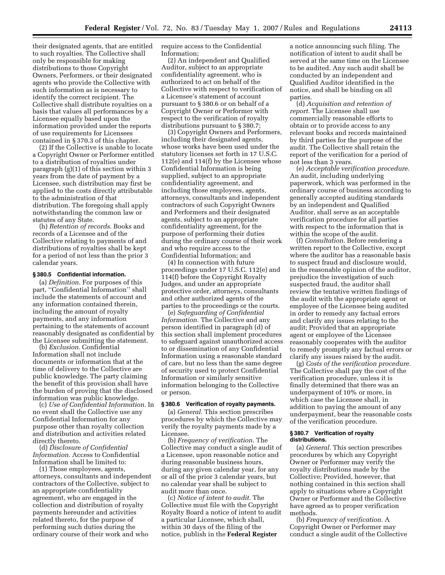their designated agents, that are entitled to such royalties. The Collective shall only be responsible for making distributions to those Copyright Owners, Performers, or their designated agents who provide the Collective with such information as is necessary to identify the correct recipient. The Collective shall distribute royalties on a basis that values all performances by a Licensee equally based upon the information provided under the reports of use requirements for Licensees contained in § 370.3 of this chapter.

(2) If the Collective is unable to locate a Copyright Owner or Performer entitled to a distribution of royalties under paragraph (g)(1) of this section within 3 years from the date of payment by a Licensee, such distribution may first be applied to the costs directly attributable to the administration of that distribution. The foregoing shall apply notwithstanding the common law or statutes of any State.

(h) *Retention of records.* Books and records of a Licensee and of the Collective relating to payments of and distributions of royalties shall be kept for a period of not less than the prior 3 calendar years.

#### **§ 380.5 Confidential information.**

(a) *Definition.* For purposes of this part, ''Confidential Information'' shall include the statements of account and any information contained therein, including the amount of royalty payments, and any information pertaining to the statements of account reasonably designated as confidential by the Licensee submitting the statement.

(b) *Exclusion.* Confidential Information shall not include documents or information that at the time of delivery to the Collective are public knowledge. The party claiming the benefit of this provision shall have the burden of proving that the disclosed information was public knowledge.

(c) *Use of Confidential Information.* In no event shall the Collective use any Confidential Information for any purpose other than royalty collection and distribution and activities related directly thereto.

(d) *Disclosure of Confidential Information.* Access to Confidential Information shall be limited to:

(1) Those employees, agents, attorneys, consultants and independent contractors of the Collective, subject to an appropriate confidentiality agreement, who are engaged in the collection and distribution of royalty payments hereunder and activities related thereto, for the purpose of performing such duties during the ordinary course of their work and who

require access to the Confidential Information;

(2) An independent and Qualified Auditor, subject to an appropriate confidentiality agreement, who is authorized to act on behalf of the Collective with respect to verification of a Licensee's statement of account pursuant to § 380.6 or on behalf of a Copyright Owner or Performer with respect to the verification of royalty distributions pursuant to § 380.7;

(3) Copyright Owners and Performers, including their designated agents, whose works have been used under the statutory licenses set forth in 17 U.S.C. 112(e) and 114(f) by the Licensee whose Confidential Information is being supplied, subject to an appropriate confidentiality agreement, and including those employees, agents, attorneys, consultants and independent contractors of such Copyright Owners and Performers and their designated agents, subject to an appropriate confidentiality agreement, for the purpose of performing their duties during the ordinary course of their work and who require access to the Confidential Information; and

(4) In connection with future proceedings under 17 U.S.C. 112(e) and 114(f) before the Copyright Royalty Judges, and under an appropriate protective order, attorneys, consultants and other authorized agents of the parties to the proceedings or the courts.

(e) *Safeguarding of Confidential Information.* The Collective and any person identified in paragraph (d) of this section shall implement procedures to safeguard against unauthorized access to or dissemination of any Confidential Information using a reasonable standard of care, but no less than the same degree of security used to protect Confidential Information or similarly sensitive information belonging to the Collective or person.

#### **§ 380.6 Verification of royalty payments.**

(a) *General.* This section prescribes procedures by which the Collective may verify the royalty payments made by a Licensee.

(b) *Frequency of verification.* The Collective may conduct a single audit of a Licensee, upon reasonable notice and during reasonable business hours, during any given calendar year, for any or all of the prior 3 calendar years, but no calendar year shall be subject to audit more than once.

(c) *Notice of intent to audit.* The Collective must file with the Copyright Royalty Board a notice of intent to audit a particular Licensee, which shall, within 30 days of the filing of the notice, publish in the **Federal Register** 

a notice announcing such filing. The notification of intent to audit shall be served at the same time on the Licensee to be audited. Any such audit shall be conducted by an independent and Qualified Auditor identified in the notice, and shall be binding on all parties.

(d) *Acquisition and retention of report.* The Licensee shall use commercially reasonable efforts to obtain or to provide access to any relevant books and records maintained by third parties for the purpose of the audit. The Collective shall retain the report of the verification for a period of not less than 3 years.

(e) *Acceptable verification procedure.*  An audit, including underlying paperwork, which was performed in the ordinary course of business according to generally accepted auditing standards by an independent and Qualified Auditor, shall serve as an acceptable verification procedure for all parties with respect to the information that is within the scope of the audit.

(f) *Consultation.* Before rendering a written report to the Collective, except where the auditor has a reasonable basis to suspect fraud and disclosure would, in the reasonable opinion of the auditor, prejudice the investigation of such suspected fraud, the auditor shall review the tentative written findings of the audit with the appropriate agent or employee of the Licensee being audited in order to remedy any factual errors and clarify any issues relating to the audit; Provided that an appropriate agent or employee of the Licensee reasonably cooperates with the auditor to remedy promptly any factual errors or clarify any issues raised by the audit.

(g) *Costs of the verification procedure.*  The Collective shall pay the cost of the verification procedure, unless it is finally determined that there was an underpayment of 10% or more, in which case the Licensee shall, in addition to paying the amount of any underpayment, bear the reasonable costs of the verification procedure.

#### **§ 380.7 Verification of royalty distributions.**

(a) *General.* This section prescribes procedures by which any Copyright Owner or Performer may verify the royalty distributions made by the Collective; Provided, however, that nothing contained in this section shall apply to situations where a Copyright Owner or Performer and the Collective have agreed as to proper verification methods.

(b) *Frequency of verification.* A Copyright Owner or Performer may conduct a single audit of the Collective